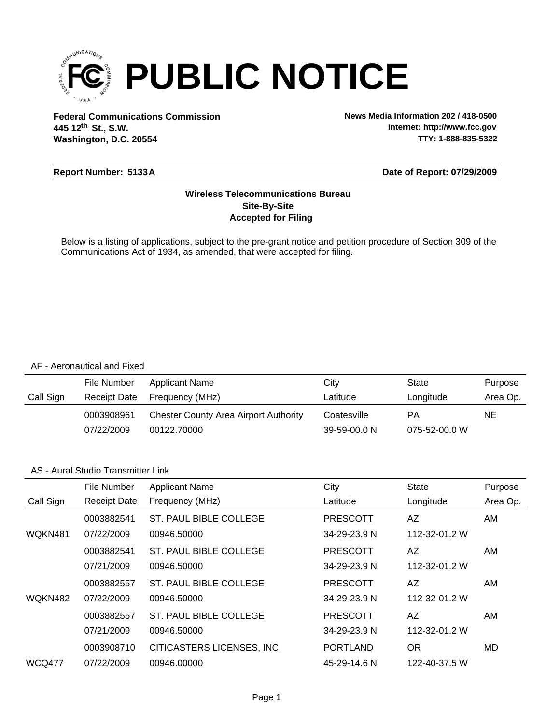

**Federal Communications Commission News Media Information 202 / 418-0500 Washington, D.C. 20554 th 445 12 St., S.W.**

**Internet: http://www.fcc.gov TTY: 1-888-835-5322**

#### **Report Number: 5133A**

#### **Date of Report: 07/29/2009**

#### **Accepted for Filing Site-By-Site Wireless Telecommunications Bureau**

Below is a listing of applications, subject to the pre-grant notice and petition procedure of Section 309 of the Communications Act of 1934, as amended, that were accepted for filing.

#### AF - Aeronautical and Fixed

|           | File Number  | Applicant Name                               | City         | State         | Purpose  |
|-----------|--------------|----------------------------------------------|--------------|---------------|----------|
| Call Sign | Receipt Date | Frequency (MHz)                              | Latitude     | Longitude     | Area Op. |
|           | 0003908961   | <b>Chester County Area Airport Authority</b> | Coatesville  | PА            | NE       |
|           | 07/22/2009   | 00122.70000                                  | 39-59-00.0 N | 075-52-00.0 W |          |

#### AS - Aural Studio Transmitter Link

|               | File Number         | <b>Applicant Name</b>      | City            | <b>State</b>  | Purpose  |
|---------------|---------------------|----------------------------|-----------------|---------------|----------|
| Call Sign     | <b>Receipt Date</b> | Frequency (MHz)            | Latitude        | Longitude     | Area Op. |
|               | 0003882541          | ST. PAUL BIBLE COLLEGE     | <b>PRESCOTT</b> | AZ            | AM       |
| WQKN481       | 07/22/2009          | 00946.50000                | 34-29-23.9 N    | 112-32-01.2 W |          |
|               | 0003882541          | ST. PAUL BIBLE COLLEGE     | <b>PRESCOTT</b> | AZ            | AM       |
|               | 07/21/2009          | 00946.50000                | 34-29-23.9 N    | 112-32-01.2 W |          |
|               | 0003882557          | ST. PAUL BIBLE COLLEGE     | <b>PRESCOTT</b> | AZ.           | AM       |
| WQKN482       | 07/22/2009          | 00946.50000                | 34-29-23.9 N    | 112-32-01.2 W |          |
|               | 0003882557          | ST. PAUL BIBLE COLLEGE     | <b>PRESCOTT</b> | AZ            | AM       |
|               | 07/21/2009          | 00946.50000                | 34-29-23.9 N    | 112-32-01.2 W |          |
|               | 0003908710          | CITICASTERS LICENSES, INC. | <b>PORTLAND</b> | <b>OR</b>     | MD       |
| <b>WCQ477</b> | 07/22/2009          | 00946.00000                | 45-29-14.6 N    | 122-40-37.5 W |          |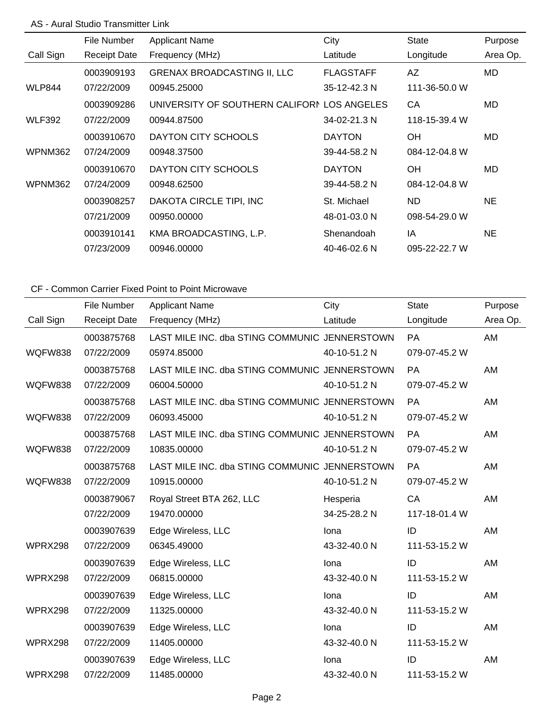## AS - Aural Studio Transmitter Link

|               | File Number         | <b>Applicant Name</b>                       | City             | State         | Purpose   |
|---------------|---------------------|---------------------------------------------|------------------|---------------|-----------|
| Call Sign     | <b>Receipt Date</b> | Frequency (MHz)                             | Latitude         | Longitude     | Area Op.  |
|               | 0003909193          | <b>GRENAX BROADCASTING II, LLC</b>          | <b>FLAGSTAFF</b> | AZ            | MD.       |
| <b>WLP844</b> | 07/22/2009          | 00945.25000                                 | 35-12-42.3 N     | 111-36-50.0 W |           |
|               | 0003909286          | UNIVERSITY OF SOUTHERN CALIFORN LOS ANGELES |                  | CA            | MD.       |
| <b>WLF392</b> | 07/22/2009          | 00944.87500                                 | 34-02-21.3 N     | 118-15-39.4 W |           |
|               | 0003910670          | DAYTON CITY SCHOOLS                         | <b>DAYTON</b>    | <b>OH</b>     | MD.       |
| WPNM362       | 07/24/2009          | 00948.37500                                 | 39-44-58.2 N     | 084-12-04.8 W |           |
|               | 0003910670          | DAYTON CITY SCHOOLS                         | <b>DAYTON</b>    | <b>OH</b>     | MD.       |
| WPNM362       | 07/24/2009          | 00948.62500                                 | 39-44-58.2 N     | 084-12-04.8 W |           |
|               | 0003908257          | DAKOTA CIRCLE TIPI, INC                     | St. Michael      | ND.           | NE.       |
|               | 07/21/2009          | 00950.00000                                 | 48-01-03.0 N     | 098-54-29.0 W |           |
|               | 0003910141          | KMA BROADCASTING, L.P.                      | Shenandoah       | ΙA            | <b>NE</b> |
|               | 07/23/2009          | 00946.00000                                 | 40-46-02.6 N     | 095-22-22.7 W |           |

|           | File Number         | <b>Applicant Name</b>                         | City         | <b>State</b>  | Purpose  |
|-----------|---------------------|-----------------------------------------------|--------------|---------------|----------|
| Call Sign | <b>Receipt Date</b> | Frequency (MHz)                               | Latitude     | Longitude     | Area Op. |
|           | 0003875768          | LAST MILE INC. dba STING COMMUNIC JENNERSTOWN |              | <b>PA</b>     | AM       |
| WQFW838   | 07/22/2009          | 05974.85000                                   | 40-10-51.2 N | 079-07-45.2 W |          |
|           | 0003875768          | LAST MILE INC. dba STING COMMUNIC JENNERSTOWN |              | <b>PA</b>     | AM       |
| WQFW838   | 07/22/2009          | 06004.50000                                   | 40-10-51.2 N | 079-07-45.2 W |          |
|           | 0003875768          | LAST MILE INC. dba STING COMMUNIC JENNERSTOWN |              | <b>PA</b>     | AM       |
| WQFW838   | 07/22/2009          | 06093.45000                                   | 40-10-51.2 N | 079-07-45.2 W |          |
|           | 0003875768          | LAST MILE INC. dba STING COMMUNIC JENNERSTOWN |              | <b>PA</b>     | AM       |
| WQFW838   | 07/22/2009          | 10835.00000                                   | 40-10-51.2 N | 079-07-45.2 W |          |
|           | 0003875768          | LAST MILE INC. dba STING COMMUNIC JENNERSTOWN |              | PA            | AM       |
| WQFW838   | 07/22/2009          | 10915.00000                                   | 40-10-51.2 N | 079-07-45.2 W |          |
|           | 0003879067          | Royal Street BTA 262, LLC                     | Hesperia     | CA            | AM       |
|           | 07/22/2009          | 19470.00000                                   | 34-25-28.2 N | 117-18-01.4 W |          |
|           | 0003907639          | Edge Wireless, LLC                            | Iona         | ID            | AM       |
| WPRX298   | 07/22/2009          | 06345.49000                                   | 43-32-40.0 N | 111-53-15.2 W |          |
|           | 0003907639          | Edge Wireless, LLC                            | Iona         | ID            | AM       |
| WPRX298   | 07/22/2009          | 06815.00000                                   | 43-32-40.0 N | 111-53-15.2 W |          |
|           | 0003907639          | Edge Wireless, LLC                            | Iona         | ID            | AM       |
| WPRX298   | 07/22/2009          | 11325.00000                                   | 43-32-40.0 N | 111-53-15.2 W |          |
|           | 0003907639          | Edge Wireless, LLC                            | lona         | ID            | AM       |
| WPRX298   | 07/22/2009          | 11405.00000                                   | 43-32-40.0 N | 111-53-15.2 W |          |
|           | 0003907639          | Edge Wireless, LLC                            | Iona         | ID            | AM       |
| WPRX298   | 07/22/2009          | 11485.00000                                   | 43-32-40.0 N | 111-53-15.2 W |          |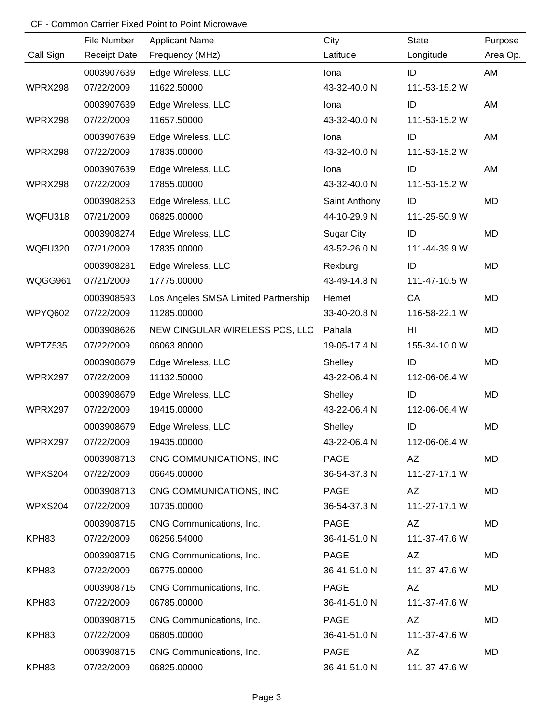|                | File Number         | <b>Applicant Name</b>                | City              | State         | Purpose  |
|----------------|---------------------|--------------------------------------|-------------------|---------------|----------|
| Call Sign      | <b>Receipt Date</b> | Frequency (MHz)                      | Latitude          | Longitude     | Area Op. |
|                | 0003907639          | Edge Wireless, LLC                   | lona              | ID            | AM       |
| WPRX298        | 07/22/2009          | 11622.50000                          | 43-32-40.0 N      | 111-53-15.2 W |          |
|                | 0003907639          | Edge Wireless, LLC                   | lona              | ID            | AM       |
| WPRX298        | 07/22/2009          | 11657.50000                          | 43-32-40.0 N      | 111-53-15.2 W |          |
|                | 0003907639          | Edge Wireless, LLC                   | lona              | ID            | AM       |
| WPRX298        | 07/22/2009          | 17835.00000                          | 43-32-40.0 N      | 111-53-15.2 W |          |
|                | 0003907639          | Edge Wireless, LLC                   | lona              | ID            | AM       |
| WPRX298        | 07/22/2009          | 17855.00000                          | 43-32-40.0 N      | 111-53-15.2 W |          |
|                | 0003908253          | Edge Wireless, LLC                   | Saint Anthony     | ID            | MD       |
| WQFU318        | 07/21/2009          | 06825.00000                          | 44-10-29.9 N      | 111-25-50.9 W |          |
|                | 0003908274          | Edge Wireless, LLC                   | <b>Sugar City</b> | ID            | MD       |
| <b>WQFU320</b> | 07/21/2009          | 17835.00000                          | 43-52-26.0 N      | 111-44-39.9 W |          |
|                | 0003908281          | Edge Wireless, LLC                   | Rexburg           | ID            | MD       |
| WQGG961        | 07/21/2009          | 17775.00000                          | 43-49-14.8 N      | 111-47-10.5 W |          |
|                | 0003908593          | Los Angeles SMSA Limited Partnership | Hemet             | CA            | MD       |
| WPYQ602        | 07/22/2009          | 11285.00000                          | 33-40-20.8 N      | 116-58-22.1 W |          |
|                | 0003908626          | NEW CINGULAR WIRELESS PCS, LLC       | Pahala            | HI            | MD       |
| WPTZ535        | 07/22/2009          | 06063.80000                          | 19-05-17.4 N      | 155-34-10.0 W |          |
|                | 0003908679          | Edge Wireless, LLC                   | Shelley           | ID            | MD       |
| WPRX297        | 07/22/2009          | 11132.50000                          | 43-22-06.4 N      | 112-06-06.4 W |          |
|                | 0003908679          | Edge Wireless, LLC                   | Shelley           | ID            | MD       |
| WPRX297        | 07/22/2009          | 19415.00000                          | 43-22-06.4 N      | 112-06-06.4 W |          |
|                | 0003908679          | Edge Wireless, LLC                   | Shelley           | ID            | MD       |
| WPRX297        | 07/22/2009          | 19435.00000                          | 43-22-06.4 N      | 112-06-06.4 W |          |
|                | 0003908713          | CNG COMMUNICATIONS, INC.             | PAGE              | AZ            | MD       |
| WPXS204        | 07/22/2009          | 06645.00000                          | 36-54-37.3 N      | 111-27-17.1 W |          |
|                | 0003908713          | CNG COMMUNICATIONS, INC.             | PAGE              | AZ            | MD       |
| WPXS204        | 07/22/2009          | 10735.00000                          | 36-54-37.3 N      | 111-27-17.1 W |          |
|                | 0003908715          | CNG Communications, Inc.             | PAGE              | AZ            | MD       |
| KPH83          | 07/22/2009          | 06256.54000                          | 36-41-51.0 N      | 111-37-47.6 W |          |
|                | 0003908715          | CNG Communications, Inc.             | <b>PAGE</b>       | AZ            | MD       |
| KPH83          | 07/22/2009          | 06775.00000                          | 36-41-51.0 N      | 111-37-47.6 W |          |
|                | 0003908715          | CNG Communications, Inc.             | <b>PAGE</b>       | AZ            | MD       |
| KPH83          | 07/22/2009          | 06785.00000                          | 36-41-51.0 N      | 111-37-47.6 W |          |
|                | 0003908715          | CNG Communications, Inc.             | PAGE              | AZ            | MD       |
| KPH83          | 07/22/2009          | 06805.00000                          | 36-41-51.0 N      | 111-37-47.6 W |          |
|                | 0003908715          | CNG Communications, Inc.             | PAGE              | AZ            | MD       |
| KPH83          | 07/22/2009          | 06825.00000                          | 36-41-51.0 N      | 111-37-47.6 W |          |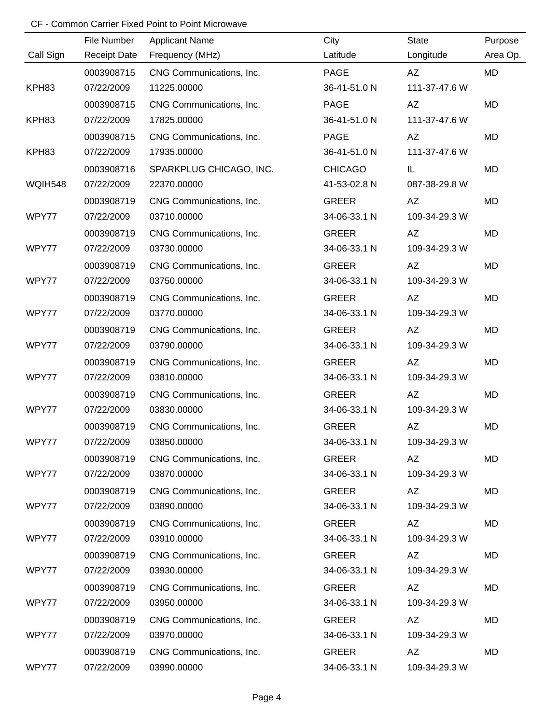|                | File Number         | <b>Applicant Name</b>    | City           | <b>State</b>  | Purpose   |
|----------------|---------------------|--------------------------|----------------|---------------|-----------|
| Call Sign      | <b>Receipt Date</b> | Frequency (MHz)          | Latitude       | Longitude     | Area Op.  |
|                | 0003908715          | CNG Communications, Inc. | <b>PAGE</b>    | AZ            | MD        |
| KPH83          | 07/22/2009          | 11225.00000              | 36-41-51.0 N   | 111-37-47.6 W |           |
|                | 0003908715          | CNG Communications, Inc. | <b>PAGE</b>    | AZ            | MD        |
| KPH83          | 07/22/2009          | 17825.00000              | 36-41-51.0 N   | 111-37-47.6 W |           |
|                | 0003908715          | CNG Communications, Inc. | <b>PAGE</b>    | AZ            | MD        |
| KPH83          | 07/22/2009          | 17935.00000              | 36-41-51.0 N   | 111-37-47.6 W |           |
|                | 0003908716          | SPARKPLUG CHICAGO, INC.  | <b>CHICAGO</b> | IL            | <b>MD</b> |
| <b>WQIH548</b> | 07/22/2009          | 22370.00000              | 41-53-02.8 N   | 087-38-29.8 W |           |
|                | 0003908719          | CNG Communications, Inc. | <b>GREER</b>   | AZ            | <b>MD</b> |
| WPY77          | 07/22/2009          | 03710.00000              | 34-06-33.1 N   | 109-34-29.3 W |           |
|                | 0003908719          | CNG Communications, Inc. | <b>GREER</b>   | AZ            | <b>MD</b> |
| WPY77          | 07/22/2009          | 03730.00000              | 34-06-33.1 N   | 109-34-29.3 W |           |
|                | 0003908719          | CNG Communications, Inc. | <b>GREER</b>   | AZ            | <b>MD</b> |
| WPY77          | 07/22/2009          | 03750.00000              | 34-06-33.1 N   | 109-34-29.3 W |           |
|                | 0003908719          | CNG Communications, Inc. | <b>GREER</b>   | AZ            | <b>MD</b> |
| WPY77          | 07/22/2009          | 03770.00000              | 34-06-33.1 N   | 109-34-29.3 W |           |
|                | 0003908719          | CNG Communications, Inc. | <b>GREER</b>   | AZ            | <b>MD</b> |
| WPY77          | 07/22/2009          | 03790.00000              | 34-06-33.1 N   | 109-34-29.3 W |           |
|                | 0003908719          | CNG Communications, Inc. | <b>GREER</b>   | AZ            | <b>MD</b> |
| WPY77          | 07/22/2009          | 03810.00000              | 34-06-33.1 N   | 109-34-29.3 W |           |
|                | 0003908719          | CNG Communications, Inc. | <b>GREER</b>   | AZ            | <b>MD</b> |
| WPY77          | 07/22/2009          | 03830.00000              | 34-06-33.1 N   | 109-34-29.3 W |           |
|                | 0003908719          | CNG Communications, Inc. | <b>GREER</b>   | AZ            | <b>MD</b> |
| WPY77          | 07/22/2009          | 03850.00000              | 34-06-33.1 N   | 109-34-29.3 W |           |
|                | 0003908719          | CNG Communications, Inc. | <b>GREER</b>   | AZ            | MD        |
| WPY77          | 07/22/2009          | 03870.00000              | 34-06-33.1 N   | 109-34-29.3 W |           |
|                | 0003908719          | CNG Communications, Inc. | <b>GREER</b>   | AZ            | MD        |
| WPY77          | 07/22/2009          | 03890.00000              | 34-06-33.1 N   | 109-34-29.3 W |           |
|                | 0003908719          | CNG Communications, Inc. | <b>GREER</b>   | AZ            | MD        |
| WPY77          | 07/22/2009          | 03910.00000              | 34-06-33.1 N   | 109-34-29.3 W |           |
|                | 0003908719          | CNG Communications, Inc. | <b>GREER</b>   | AZ            | MD        |
| WPY77          | 07/22/2009          | 03930.00000              | 34-06-33.1 N   | 109-34-29.3 W |           |
|                | 0003908719          | CNG Communications, Inc. | <b>GREER</b>   | AZ            | MD        |
| WPY77          | 07/22/2009          | 03950.00000              | 34-06-33.1 N   | 109-34-29.3 W |           |
|                | 0003908719          | CNG Communications, Inc. | <b>GREER</b>   | AZ            | MD        |
| WPY77          | 07/22/2009          | 03970.00000              | 34-06-33.1 N   | 109-34-29.3 W |           |
|                | 0003908719          | CNG Communications, Inc. | <b>GREER</b>   | AZ            | MD        |
| WPY77          | 07/22/2009          | 03990.00000              | 34-06-33.1 N   | 109-34-29.3 W |           |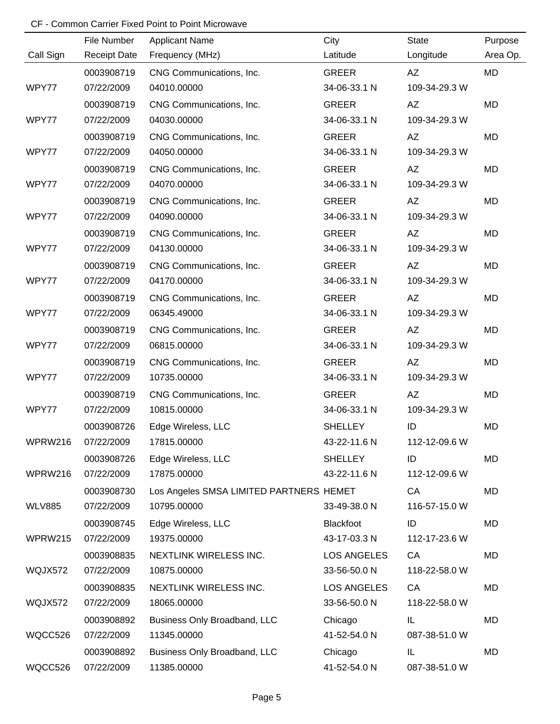|               | File Number         | <b>Applicant Name</b>                   | City               | <b>State</b>  | Purpose   |
|---------------|---------------------|-----------------------------------------|--------------------|---------------|-----------|
| Call Sign     | <b>Receipt Date</b> | Frequency (MHz)                         | Latitude           | Longitude     | Area Op.  |
|               | 0003908719          | CNG Communications, Inc.                | <b>GREER</b>       | AZ            | MD        |
| WPY77         | 07/22/2009          | 04010.00000                             | 34-06-33.1 N       | 109-34-29.3 W |           |
|               | 0003908719          | CNG Communications, Inc.                | <b>GREER</b>       | AZ            | MD        |
| WPY77         | 07/22/2009          | 04030.00000                             | 34-06-33.1 N       | 109-34-29.3 W |           |
|               | 0003908719          | CNG Communications, Inc.                | <b>GREER</b>       | AZ            | MD        |
| WPY77         | 07/22/2009          | 04050.00000                             | 34-06-33.1 N       | 109-34-29.3 W |           |
|               | 0003908719          | CNG Communications, Inc.                | <b>GREER</b>       | AZ            | <b>MD</b> |
| WPY77         | 07/22/2009          | 04070.00000                             | 34-06-33.1 N       | 109-34-29.3 W |           |
|               | 0003908719          | CNG Communications, Inc.                | <b>GREER</b>       | AZ            | MD        |
| WPY77         | 07/22/2009          | 04090.00000                             | 34-06-33.1 N       | 109-34-29.3 W |           |
|               | 0003908719          | CNG Communications, Inc.                | <b>GREER</b>       | AZ            | <b>MD</b> |
| WPY77         | 07/22/2009          | 04130.00000                             | 34-06-33.1 N       | 109-34-29.3 W |           |
|               | 0003908719          | CNG Communications, Inc.                | <b>GREER</b>       | AZ            | <b>MD</b> |
| WPY77         | 07/22/2009          | 04170.00000                             | 34-06-33.1 N       | 109-34-29.3 W |           |
|               | 0003908719          | CNG Communications, Inc.                | <b>GREER</b>       | AZ            | <b>MD</b> |
| WPY77         | 07/22/2009          | 06345.49000                             | 34-06-33.1 N       | 109-34-29.3 W |           |
|               | 0003908719          | CNG Communications, Inc.                | <b>GREER</b>       | AZ            | MD        |
| WPY77         | 07/22/2009          | 06815.00000                             | 34-06-33.1 N       | 109-34-29.3 W |           |
|               | 0003908719          | CNG Communications, Inc.                | <b>GREER</b>       | AZ            | <b>MD</b> |
| WPY77         | 07/22/2009          | 10735.00000                             | 34-06-33.1 N       | 109-34-29.3 W |           |
|               | 0003908719          | CNG Communications, Inc.                | <b>GREER</b>       | AZ            | <b>MD</b> |
| WPY77         | 07/22/2009          | 10815.00000                             | 34-06-33.1 N       | 109-34-29.3 W |           |
|               | 0003908726          | Edge Wireless, LLC                      | <b>SHELLEY</b>     | ID            | <b>MD</b> |
| WPRW216       | 07/22/2009          | 17815.00000                             | 43-22-11.6 N       | 112-12-09.6 W |           |
|               | 0003908726          | Edge Wireless, LLC                      | <b>SHELLEY</b>     | ID            | MD        |
| WPRW216       | 07/22/2009          | 17875.00000                             | 43-22-11.6 N       | 112-12-09.6 W |           |
|               | 0003908730          | Los Angeles SMSA LIMITED PARTNERS HEMET |                    | CA            | MD        |
| <b>WLV885</b> | 07/22/2009          | 10795.00000                             | 33-49-38.0 N       | 116-57-15.0 W |           |
|               | 0003908745          | Edge Wireless, LLC                      | Blackfoot          | ID            | MD        |
| WPRW215       | 07/22/2009          | 19375.00000                             | 43-17-03.3 N       | 112-17-23.6 W |           |
|               | 0003908835          | NEXTLINK WIRELESS INC.                  | <b>LOS ANGELES</b> | CA            | MD        |
| WQJX572       | 07/22/2009          | 10875.00000                             | 33-56-50.0 N       | 118-22-58.0 W |           |
|               | 0003908835          | NEXTLINK WIRELESS INC.                  | <b>LOS ANGELES</b> | CA            | MD        |
| WQJX572       | 07/22/2009          | 18065.00000                             | 33-56-50.0 N       | 118-22-58.0 W |           |
|               | 0003908892          | Business Only Broadband, LLC            | Chicago            | IL            | MD        |
| WQCC526       | 07/22/2009          | 11345.00000                             | 41-52-54.0 N       | 087-38-51.0 W |           |
|               | 0003908892          | Business Only Broadband, LLC            | Chicago            | IL            | MD        |
| WQCC526       | 07/22/2009          | 11385.00000                             | 41-52-54.0 N       | 087-38-51.0 W |           |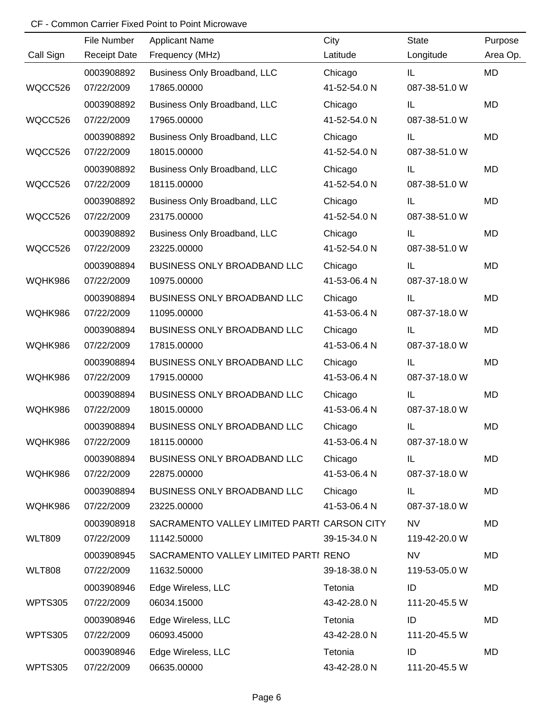|                | File Number         | <b>Applicant Name</b>                       | City         | <b>State</b>  | Purpose   |
|----------------|---------------------|---------------------------------------------|--------------|---------------|-----------|
| Call Sign      | <b>Receipt Date</b> | Frequency (MHz)                             | Latitude     | Longitude     | Area Op.  |
|                | 0003908892          | Business Only Broadband, LLC                | Chicago      | IL.           | <b>MD</b> |
| WQCC526        | 07/22/2009          | 17865.00000                                 | 41-52-54.0 N | 087-38-51.0 W |           |
|                | 0003908892          | Business Only Broadband, LLC                | Chicago      | IL            | <b>MD</b> |
| WQCC526        | 07/22/2009          | 17965.00000                                 | 41-52-54.0 N | 087-38-51.0 W |           |
|                | 0003908892          | Business Only Broadband, LLC                | Chicago      | IL            | MD        |
| WQCC526        | 07/22/2009          | 18015.00000                                 | 41-52-54.0 N | 087-38-51.0 W |           |
|                | 0003908892          | Business Only Broadband, LLC                | Chicago      | IL            | <b>MD</b> |
| WQCC526        | 07/22/2009          | 18115.00000                                 | 41-52-54.0 N | 087-38-51.0 W |           |
|                | 0003908892          | Business Only Broadband, LLC                | Chicago      | IL            | MD        |
| WQCC526        | 07/22/2009          | 23175.00000                                 | 41-52-54.0 N | 087-38-51.0 W |           |
|                | 0003908892          | Business Only Broadband, LLC                | Chicago      | IL            | MD        |
| WQCC526        | 07/22/2009          | 23225.00000                                 | 41-52-54.0 N | 087-38-51.0 W |           |
|                | 0003908894          | BUSINESS ONLY BROADBAND LLC                 | Chicago      | IL            | MD        |
| WQHK986        | 07/22/2009          | 10975.00000                                 | 41-53-06.4 N | 087-37-18.0 W |           |
|                | 0003908894          | BUSINESS ONLY BROADBAND LLC                 | Chicago      | IL            | <b>MD</b> |
| WQHK986        | 07/22/2009          | 11095.00000                                 | 41-53-06.4 N | 087-37-18.0 W |           |
|                | 0003908894          | BUSINESS ONLY BROADBAND LLC                 | Chicago      | IL            | MD        |
| WQHK986        | 07/22/2009          | 17815.00000                                 | 41-53-06.4 N | 087-37-18.0 W |           |
|                | 0003908894          | BUSINESS ONLY BROADBAND LLC                 | Chicago      | IL            | MD        |
| WQHK986        | 07/22/2009          | 17915.00000                                 | 41-53-06.4 N | 087-37-18.0 W |           |
|                | 0003908894          | BUSINESS ONLY BROADBAND LLC                 | Chicago      | IL            | <b>MD</b> |
| WQHK986        | 07/22/2009          | 18015.00000                                 | 41-53-06.4 N | 087-37-18.0 W |           |
|                | 0003908894          | BUSINESS ONLY BROADBAND LLC                 | Chicago      | IL            | <b>MD</b> |
| WQHK986        | 07/22/2009          | 18115.00000                                 | 41-53-06.4 N | 087-37-18.0 W |           |
|                | 0003908894          | BUSINESS ONLY BROADBAND LLC                 | Chicago      | IL.           | MD        |
| WQHK986        | 07/22/2009          | 22875.00000                                 | 41-53-06.4 N | 087-37-18.0 W |           |
|                | 0003908894          | BUSINESS ONLY BROADBAND LLC                 | Chicago      | IL.           | MD        |
| WQHK986        | 07/22/2009          | 23225.00000                                 | 41-53-06.4 N | 087-37-18.0 W |           |
|                | 0003908918          | SACRAMENTO VALLEY LIMITED PARTI CARSON CITY |              | <b>NV</b>     | MD        |
| <b>WLT809</b>  | 07/22/2009          | 11142.50000                                 | 39-15-34.0 N | 119-42-20.0 W |           |
|                | 0003908945          | SACRAMENTO VALLEY LIMITED PARTI RENO        |              | <b>NV</b>     | MD        |
| <b>WLT808</b>  | 07/22/2009          | 11632.50000                                 | 39-18-38.0 N | 119-53-05.0 W |           |
|                | 0003908946          | Edge Wireless, LLC                          | Tetonia      | ID            | MD        |
| <b>WPTS305</b> | 07/22/2009          | 06034.15000                                 | 43-42-28.0 N | 111-20-45.5 W |           |
|                | 0003908946          | Edge Wireless, LLC                          | Tetonia      | ID            | MD        |
| <b>WPTS305</b> | 07/22/2009          | 06093.45000                                 | 43-42-28.0 N | 111-20-45.5 W |           |
|                | 0003908946          | Edge Wireless, LLC                          | Tetonia      | ID            | MD        |
| <b>WPTS305</b> | 07/22/2009          | 06635.00000                                 | 43-42-28.0 N | 111-20-45.5 W |           |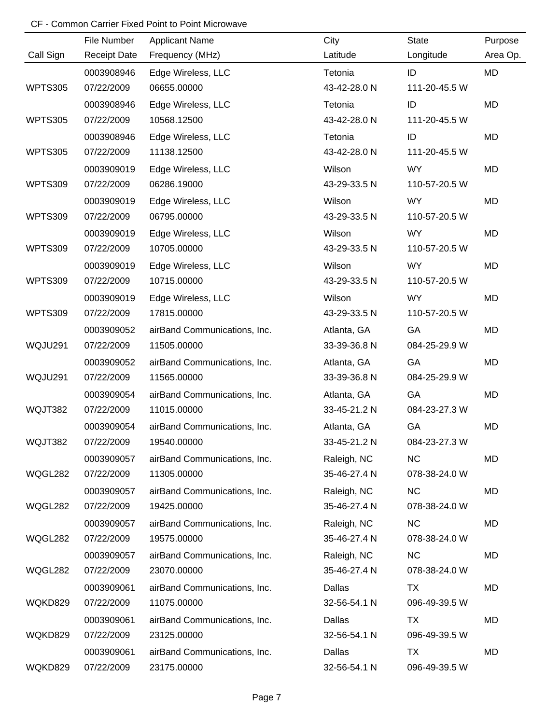|                | File Number         | <b>Applicant Name</b>        | City         | State         | Purpose   |
|----------------|---------------------|------------------------------|--------------|---------------|-----------|
| Call Sign      | <b>Receipt Date</b> | Frequency (MHz)              | Latitude     | Longitude     | Area Op.  |
|                | 0003908946          | Edge Wireless, LLC           | Tetonia      | ID            | <b>MD</b> |
| <b>WPTS305</b> | 07/22/2009          | 06655.00000                  | 43-42-28.0 N | 111-20-45.5 W |           |
|                | 0003908946          | Edge Wireless, LLC           | Tetonia      | ID            | <b>MD</b> |
| <b>WPTS305</b> | 07/22/2009          | 10568.12500                  | 43-42-28.0 N | 111-20-45.5 W |           |
|                | 0003908946          | Edge Wireless, LLC           | Tetonia      | ID            | <b>MD</b> |
| <b>WPTS305</b> | 07/22/2009          | 11138.12500                  | 43-42-28.0 N | 111-20-45.5 W |           |
|                | 0003909019          | Edge Wireless, LLC           | Wilson       | <b>WY</b>     | MD        |
| <b>WPTS309</b> | 07/22/2009          | 06286.19000                  | 43-29-33.5 N | 110-57-20.5 W |           |
|                | 0003909019          | Edge Wireless, LLC           | Wilson       | <b>WY</b>     | MD        |
| <b>WPTS309</b> | 07/22/2009          | 06795.00000                  | 43-29-33.5 N | 110-57-20.5 W |           |
|                | 0003909019          | Edge Wireless, LLC           | Wilson       | <b>WY</b>     | MD        |
| <b>WPTS309</b> | 07/22/2009          | 10705.00000                  | 43-29-33.5 N | 110-57-20.5 W |           |
|                | 0003909019          | Edge Wireless, LLC           | Wilson       | <b>WY</b>     | MD        |
| WPTS309        | 07/22/2009          | 10715.00000                  | 43-29-33.5 N | 110-57-20.5 W |           |
|                | 0003909019          | Edge Wireless, LLC           | Wilson       | <b>WY</b>     | MD        |
| <b>WPTS309</b> | 07/22/2009          | 17815.00000                  | 43-29-33.5 N | 110-57-20.5 W |           |
|                | 0003909052          | airBand Communications, Inc. | Atlanta, GA  | GA            | MD        |
| WQJU291        | 07/22/2009          | 11505.00000                  | 33-39-36.8 N | 084-25-29.9 W |           |
|                | 0003909052          | airBand Communications, Inc. | Atlanta, GA  | GA            | MD        |
| WQJU291        | 07/22/2009          | 11565.00000                  | 33-39-36.8 N | 084-25-29.9 W |           |
|                | 0003909054          | airBand Communications, Inc. | Atlanta, GA  | GA            | MD        |
| WQJT382        | 07/22/2009          | 11015.00000                  | 33-45-21.2 N | 084-23-27.3 W |           |
|                | 0003909054          | airBand Communications, Inc. | Atlanta, GA  | GA            | MD        |
| WQJT382        | 07/22/2009          | 19540.00000                  | 33-45-21.2 N | 084-23-27.3 W |           |
|                | 0003909057          | airBand Communications, Inc. | Raleigh, NC  | <b>NC</b>     | MD        |
| WQGL282        | 07/22/2009          | 11305.00000                  | 35-46-27.4 N | 078-38-24.0 W |           |
|                | 0003909057          | airBand Communications, Inc. | Raleigh, NC  | <b>NC</b>     | MD        |
| WQGL282        | 07/22/2009          | 19425.00000                  | 35-46-27.4 N | 078-38-24.0 W |           |
|                | 0003909057          | airBand Communications, Inc. | Raleigh, NC  | <b>NC</b>     | MD        |
| WQGL282        | 07/22/2009          | 19575.00000                  | 35-46-27.4 N | 078-38-24.0 W |           |
|                | 0003909057          | airBand Communications, Inc. | Raleigh, NC  | <b>NC</b>     | MD        |
| WQGL282        | 07/22/2009          | 23070.00000                  | 35-46-27.4 N | 078-38-24.0 W |           |
|                | 0003909061          | airBand Communications, Inc. | Dallas       | TX            | MD        |
| WQKD829        | 07/22/2009          | 11075.00000                  | 32-56-54.1 N | 096-49-39.5 W |           |
|                | 0003909061          | airBand Communications, Inc. | Dallas       | <b>TX</b>     | MD        |
| WQKD829        | 07/22/2009          | 23125.00000                  | 32-56-54.1 N | 096-49-39.5 W |           |
|                | 0003909061          | airBand Communications, Inc. | Dallas       | TX            | MD        |
| WQKD829        | 07/22/2009          | 23175.00000                  | 32-56-54.1 N | 096-49-39.5 W |           |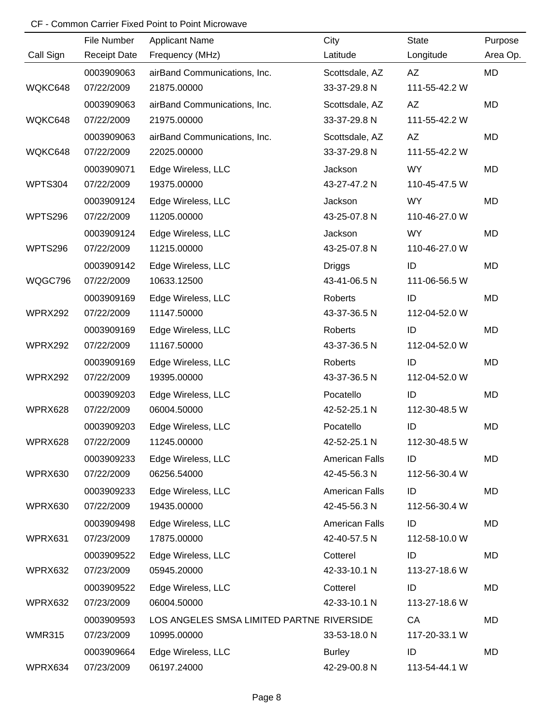|                | File Number         | <b>Applicant Name</b>                     | City                  | <b>State</b>  | Purpose   |
|----------------|---------------------|-------------------------------------------|-----------------------|---------------|-----------|
| Call Sign      | <b>Receipt Date</b> | Frequency (MHz)                           | Latitude              | Longitude     | Area Op.  |
|                | 0003909063          | airBand Communications, Inc.              | Scottsdale, AZ        | AZ            | MD        |
| WQKC648        | 07/22/2009          | 21875.00000                               | 33-37-29.8 N          | 111-55-42.2 W |           |
|                | 0003909063          | airBand Communications, Inc.              | Scottsdale, AZ        | <b>AZ</b>     | <b>MD</b> |
| WQKC648        | 07/22/2009          | 21975.00000                               | 33-37-29.8 N          | 111-55-42.2 W |           |
|                | 0003909063          | airBand Communications, Inc.              | Scottsdale, AZ        | <b>AZ</b>     | MD        |
| WQKC648        | 07/22/2009          | 22025.00000                               | 33-37-29.8 N          | 111-55-42.2 W |           |
|                | 0003909071          | Edge Wireless, LLC                        | Jackson               | <b>WY</b>     | MD        |
| WPTS304        | 07/22/2009          | 19375.00000                               | 43-27-47.2 N          | 110-45-47.5 W |           |
|                | 0003909124          | Edge Wireless, LLC                        | Jackson               | <b>WY</b>     | MD        |
| WPTS296        | 07/22/2009          | 11205.00000                               | 43-25-07.8 N          | 110-46-27.0 W |           |
|                | 0003909124          | Edge Wireless, LLC                        | Jackson               | <b>WY</b>     | MD        |
| <b>WPTS296</b> | 07/22/2009          | 11215.00000                               | 43-25-07.8 N          | 110-46-27.0 W |           |
|                | 0003909142          | Edge Wireless, LLC                        | <b>Driggs</b>         | ID            | MD        |
| WQGC796        | 07/22/2009          | 10633.12500                               | 43-41-06.5 N          | 111-06-56.5 W |           |
|                | 0003909169          | Edge Wireless, LLC                        | Roberts               | ID            | MD        |
| WPRX292        | 07/22/2009          | 11147.50000                               | 43-37-36.5 N          | 112-04-52.0 W |           |
|                | 0003909169          | Edge Wireless, LLC                        | Roberts               | ID            | MD        |
| WPRX292        | 07/22/2009          | 11167.50000                               | 43-37-36.5 N          | 112-04-52.0 W |           |
|                | 0003909169          | Edge Wireless, LLC                        | Roberts               | ID            | MD        |
| WPRX292        | 07/22/2009          | 19395.00000                               | 43-37-36.5 N          | 112-04-52.0 W |           |
|                | 0003909203          | Edge Wireless, LLC                        | Pocatello             | ID            | MD        |
| WPRX628        | 07/22/2009          | 06004.50000                               | 42-52-25.1 N          | 112-30-48.5 W |           |
|                | 0003909203          | Edge Wireless, LLC                        | Pocatello             | ID            | MD        |
| WPRX628        | 07/22/2009          | 11245.00000                               | 42-52-25.1 N          | 112-30-48.5 W |           |
|                | 0003909233          | Edge Wireless, LLC                        | <b>American Falls</b> | ID            | MD        |
| WPRX630        | 07/22/2009          | 06256.54000                               | 42-45-56.3 N          | 112-56-30.4 W |           |
|                | 0003909233          | Edge Wireless, LLC                        | <b>American Falls</b> | ID            | MD        |
| WPRX630        | 07/22/2009          | 19435.00000                               | 42-45-56.3 N          | 112-56-30.4 W |           |
|                | 0003909498          | Edge Wireless, LLC                        | <b>American Falls</b> | ID            | MD        |
| WPRX631        | 07/23/2009          | 17875.00000                               | 42-40-57.5 N          | 112-58-10.0 W |           |
|                | 0003909522          | Edge Wireless, LLC                        | Cotterel              | ID            | MD        |
| WPRX632        | 07/23/2009          | 05945.20000                               | 42-33-10.1 N          | 113-27-18.6 W |           |
|                | 0003909522          | Edge Wireless, LLC                        | Cotterel              | ID            | MD        |
| WPRX632        | 07/23/2009          | 06004.50000                               | 42-33-10.1 N          | 113-27-18.6 W |           |
|                | 0003909593          | LOS ANGELES SMSA LIMITED PARTNE RIVERSIDE |                       | CA            | MD        |
| <b>WMR315</b>  | 07/23/2009          | 10995.00000                               | 33-53-18.0 N          | 117-20-33.1 W |           |
|                | 0003909664          | Edge Wireless, LLC                        | <b>Burley</b>         | ID            | MD        |
| WPRX634        | 07/23/2009          | 06197.24000                               | 42-29-00.8 N          | 113-54-44.1 W |           |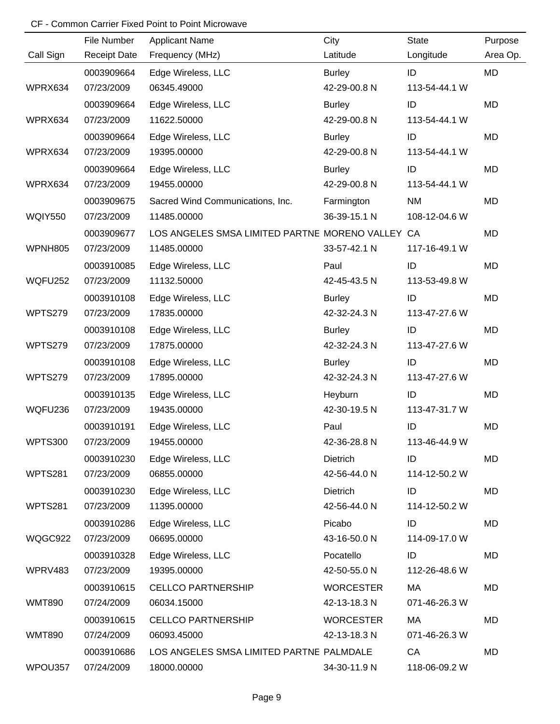|                | File Number         | <b>Applicant Name</b>                            | City             | <b>State</b>  | Purpose   |
|----------------|---------------------|--------------------------------------------------|------------------|---------------|-----------|
| Call Sign      | <b>Receipt Date</b> | Frequency (MHz)                                  | Latitude         | Longitude     | Area Op.  |
|                | 0003909664          | Edge Wireless, LLC                               | <b>Burley</b>    | ID            | <b>MD</b> |
| WPRX634        | 07/23/2009          | 06345.49000                                      | 42-29-00.8 N     | 113-54-44.1 W |           |
|                | 0003909664          | Edge Wireless, LLC                               | <b>Burley</b>    | ID            | <b>MD</b> |
| WPRX634        | 07/23/2009          | 11622.50000                                      | 42-29-00.8 N     | 113-54-44.1 W |           |
|                | 0003909664          | Edge Wireless, LLC                               | <b>Burley</b>    | ID            | <b>MD</b> |
| WPRX634        | 07/23/2009          | 19395.00000                                      | 42-29-00.8 N     | 113-54-44.1 W |           |
|                | 0003909664          | Edge Wireless, LLC                               | <b>Burley</b>    | ID            | <b>MD</b> |
| WPRX634        | 07/23/2009          | 19455.00000                                      | 42-29-00.8 N     | 113-54-44.1 W |           |
|                | 0003909675          | Sacred Wind Communications, Inc.                 | Farmington       | <b>NM</b>     | <b>MD</b> |
| WQIY550        | 07/23/2009          | 11485.00000                                      | 36-39-15.1 N     | 108-12-04.6 W |           |
|                | 0003909677          | LOS ANGELES SMSA LIMITED PARTNE MORENO VALLEY CA |                  |               | <b>MD</b> |
| WPNH805        | 07/23/2009          | 11485.00000                                      | 33-57-42.1 N     | 117-16-49.1 W |           |
|                | 0003910085          | Edge Wireless, LLC                               | Paul             | ID            | <b>MD</b> |
| WQFU252        | 07/23/2009          | 11132.50000                                      | 42-45-43.5 N     | 113-53-49.8 W |           |
|                | 0003910108          | Edge Wireless, LLC                               | <b>Burley</b>    | ID            | <b>MD</b> |
| WPTS279        | 07/23/2009          | 17835.00000                                      | 42-32-24.3 N     | 113-47-27.6 W |           |
|                | 0003910108          | Edge Wireless, LLC                               | <b>Burley</b>    | ID            | <b>MD</b> |
| WPTS279        | 07/23/2009          | 17875.00000                                      | 42-32-24.3 N     | 113-47-27.6 W |           |
|                | 0003910108          | Edge Wireless, LLC                               | <b>Burley</b>    | ID            | <b>MD</b> |
| WPTS279        | 07/23/2009          | 17895.00000                                      | 42-32-24.3 N     | 113-47-27.6 W |           |
|                | 0003910135          | Edge Wireless, LLC                               | Heyburn          | ID            | <b>MD</b> |
| WQFU236        | 07/23/2009          | 19435.00000                                      | 42-30-19.5 N     | 113-47-31.7 W |           |
|                | 0003910191          | Edge Wireless, LLC                               | Paul             | ID            | <b>MD</b> |
| <b>WPTS300</b> | 07/23/2009          | 19455.00000                                      | 42-36-28.8 N     | 113-46-44.9 W |           |
|                | 0003910230          | Edge Wireless, LLC                               | Dietrich         | ID            | <b>MD</b> |
| WPTS281        | 07/23/2009          | 06855.00000                                      | 42-56-44.0 N     | 114-12-50.2 W |           |
|                | 0003910230          | Edge Wireless, LLC                               | Dietrich         | ID            | MD        |
| WPTS281        | 07/23/2009          | 11395.00000                                      | 42-56-44.0 N     | 114-12-50.2 W |           |
|                | 0003910286          | Edge Wireless, LLC                               | Picabo           | ID            | <b>MD</b> |
| WQGC922        | 07/23/2009          | 06695.00000                                      | 43-16-50.0 N     | 114-09-17.0 W |           |
|                | 0003910328          | Edge Wireless, LLC                               | Pocatello        | ID            | <b>MD</b> |
| WPRV483        | 07/23/2009          | 19395.00000                                      | 42-50-55.0 N     | 112-26-48.6 W |           |
|                | 0003910615          | <b>CELLCO PARTNERSHIP</b>                        | <b>WORCESTER</b> | МA            | MD        |
| <b>WMT890</b>  | 07/24/2009          | 06034.15000                                      | 42-13-18.3 N     | 071-46-26.3 W |           |
|                | 0003910615          | <b>CELLCO PARTNERSHIP</b>                        | <b>WORCESTER</b> | МA            | MD        |
| <b>WMT890</b>  | 07/24/2009          | 06093.45000                                      | 42-13-18.3 N     | 071-46-26.3 W |           |
|                | 0003910686          | LOS ANGELES SMSA LIMITED PARTNE PALMDALE         |                  | CA            | <b>MD</b> |
| WPOU357        | 07/24/2009          | 18000.00000                                      | 34-30-11.9 N     | 118-06-09.2 W |           |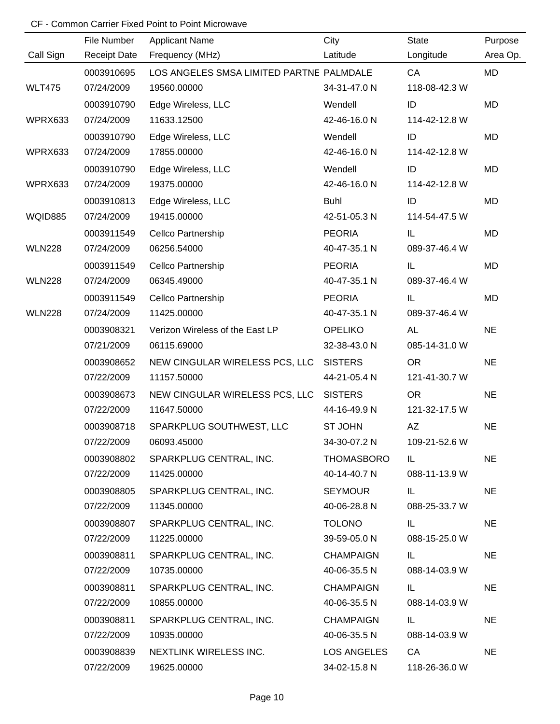|               | File Number         | <b>Applicant Name</b>                    | City             | <b>State</b>  | Purpose   |
|---------------|---------------------|------------------------------------------|------------------|---------------|-----------|
| Call Sign     | <b>Receipt Date</b> | Frequency (MHz)                          | Latitude         | Longitude     | Area Op.  |
|               | 0003910695          | LOS ANGELES SMSA LIMITED PARTNE PALMDALE |                  | CA            | MD        |
| <b>WLT475</b> | 07/24/2009          | 19560.00000                              | 34-31-47.0 N     | 118-08-42.3 W |           |
|               | 0003910790          | Edge Wireless, LLC                       | Wendell          | ID            | MD        |
| WPRX633       | 07/24/2009          | 11633.12500                              | 42-46-16.0 N     | 114-42-12.8 W |           |
|               | 0003910790          | Edge Wireless, LLC                       | Wendell          | ID            | MD        |
| WPRX633       | 07/24/2009          | 17855.00000                              | 42-46-16.0 N     | 114-42-12.8 W |           |
|               | 0003910790          | Edge Wireless, LLC                       | Wendell          | ID            | MD        |
| WPRX633       | 07/24/2009          | 19375.00000                              | 42-46-16.0 N     | 114-42-12.8 W |           |
|               | 0003910813          | Edge Wireless, LLC                       | <b>Buhl</b>      | ID            | MD        |
| WQID885       | 07/24/2009          | 19415.00000                              | 42-51-05.3 N     | 114-54-47.5 W |           |
|               | 0003911549          | Cellco Partnership                       | <b>PEORIA</b>    | IL            | MD        |
| <b>WLN228</b> | 07/24/2009          | 06256.54000                              | 40-47-35.1 N     | 089-37-46.4 W |           |
|               | 0003911549          | Cellco Partnership                       | <b>PEORIA</b>    | IL            | MD        |
| <b>WLN228</b> | 07/24/2009          | 06345.49000                              | 40-47-35.1 N     | 089-37-46.4 W |           |
|               | 0003911549          | Cellco Partnership                       | <b>PEORIA</b>    | IL            | MD        |
| <b>WLN228</b> | 07/24/2009          | 11425.00000                              | 40-47-35.1 N     | 089-37-46.4 W |           |
|               | 0003908321          | Verizon Wireless of the East LP          | <b>OPELIKO</b>   | <b>AL</b>     | <b>NE</b> |
|               | 07/21/2009          | 06115.69000                              | 32-38-43.0 N     | 085-14-31.0 W |           |
|               | 0003908652          | NEW CINGULAR WIRELESS PCS, LLC           | <b>SISTERS</b>   | <b>OR</b>     | <b>NE</b> |
|               | 07/22/2009          | 11157.50000                              | 44-21-05.4 N     | 121-41-30.7 W |           |
|               | 0003908673          | NEW CINGULAR WIRELESS PCS, LLC           | <b>SISTERS</b>   | <b>OR</b>     | <b>NE</b> |
|               | 07/22/2009          | 11647.50000                              | 44-16-49.9 N     | 121-32-17.5 W |           |
|               | 0003908718          | SPARKPLUG SOUTHWEST, LLC                 | <b>ST JOHN</b>   | AZ            | <b>NE</b> |
|               | 07/22/2009          | 06093.45000                              | 34-30-07.2 N     | 109-21-52.6 W |           |
|               | 0003908802          | SPARKPLUG CENTRAL, INC.                  | THOMASBORO       | IL.           | <b>NE</b> |
|               | 07/22/2009          | 11425.00000                              | 40-14-40.7 N     | 088-11-13.9 W |           |
|               | 0003908805          | SPARKPLUG CENTRAL, INC.                  | <b>SEYMOUR</b>   | IL.           | <b>NE</b> |
|               | 07/22/2009          | 11345.00000                              | 40-06-28.8 N     | 088-25-33.7 W |           |
|               | 0003908807          | SPARKPLUG CENTRAL, INC.                  | <b>TOLONO</b>    | IL.           | <b>NE</b> |
|               | 07/22/2009          | 11225.00000                              | 39-59-05.0 N     | 088-15-25.0 W |           |
|               | 0003908811          | SPARKPLUG CENTRAL, INC.                  | <b>CHAMPAIGN</b> | IL.           | <b>NE</b> |
|               | 07/22/2009          | 10735.00000                              | 40-06-35.5 N     | 088-14-03.9 W |           |
|               | 0003908811          | SPARKPLUG CENTRAL, INC.                  | <b>CHAMPAIGN</b> | IL.           | <b>NE</b> |
|               | 07/22/2009          | 10855.00000                              | 40-06-35.5 N     | 088-14-03.9 W |           |
|               | 0003908811          | SPARKPLUG CENTRAL, INC.                  | <b>CHAMPAIGN</b> | IL.           | <b>NE</b> |
|               | 07/22/2009          | 10935.00000                              | 40-06-35.5 N     | 088-14-03.9 W |           |
|               | 0003908839          | NEXTLINK WIRELESS INC.                   | LOS ANGELES      | CA            | <b>NE</b> |
|               | 07/22/2009          | 19625.00000                              | 34-02-15.8 N     | 118-26-36.0 W |           |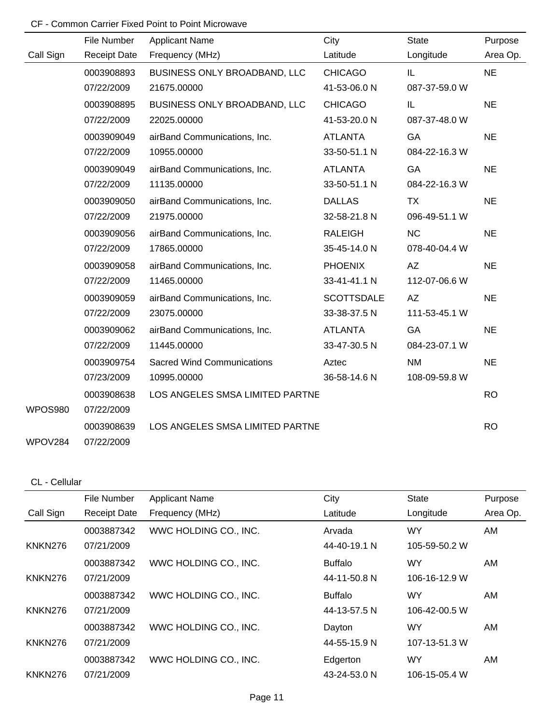|                | File Number         | <b>Applicant Name</b>             | City              | <b>State</b>  | Purpose   |
|----------------|---------------------|-----------------------------------|-------------------|---------------|-----------|
| Call Sign      | <b>Receipt Date</b> | Frequency (MHz)                   | Latitude          | Longitude     | Area Op.  |
|                | 0003908893          | BUSINESS ONLY BROADBAND, LLC      | <b>CHICAGO</b>    | IL.           | <b>NE</b> |
|                | 07/22/2009          | 21675.00000                       | 41-53-06.0 N      | 087-37-59.0 W |           |
|                | 0003908895          | BUSINESS ONLY BROADBAND, LLC      | <b>CHICAGO</b>    | IL            | <b>NE</b> |
|                | 07/22/2009          | 22025.00000                       | 41-53-20.0 N      | 087-37-48.0 W |           |
|                | 0003909049          | airBand Communications, Inc.      | <b>ATLANTA</b>    | GA            | <b>NE</b> |
|                | 07/22/2009          | 10955.00000                       | 33-50-51.1 N      | 084-22-16.3 W |           |
|                | 0003909049          | airBand Communications, Inc.      | <b>ATLANTA</b>    | GA            | <b>NE</b> |
|                | 07/22/2009          | 11135.00000                       | 33-50-51.1 N      | 084-22-16.3 W |           |
|                | 0003909050          | airBand Communications, Inc.      | <b>DALLAS</b>     | <b>TX</b>     | <b>NE</b> |
|                | 07/22/2009          | 21975.00000                       | 32-58-21.8 N      | 096-49-51.1 W |           |
|                | 0003909056          | airBand Communications, Inc.      | <b>RALEIGH</b>    | <b>NC</b>     | <b>NE</b> |
|                | 07/22/2009          | 17865.00000                       | 35-45-14.0 N      | 078-40-04.4 W |           |
|                | 0003909058          | airBand Communications, Inc.      | <b>PHOENIX</b>    | AZ            | <b>NE</b> |
|                | 07/22/2009          | 11465.00000                       | 33-41-41.1 N      | 112-07-06.6 W |           |
|                | 0003909059          | airBand Communications, Inc.      | <b>SCOTTSDALE</b> | AZ            | <b>NE</b> |
|                | 07/22/2009          | 23075.00000                       | 33-38-37.5 N      | 111-53-45.1 W |           |
|                | 0003909062          | airBand Communications, Inc.      | <b>ATLANTA</b>    | GA            | <b>NE</b> |
|                | 07/22/2009          | 11445.00000                       | 33-47-30.5 N      | 084-23-07.1 W |           |
|                | 0003909754          | <b>Sacred Wind Communications</b> | Aztec             | <b>NM</b>     | <b>NE</b> |
|                | 07/23/2009          | 10995.00000                       | 36-58-14.6 N      | 108-09-59.8 W |           |
|                | 0003908638          | LOS ANGELES SMSA LIMITED PARTNE   |                   |               | <b>RO</b> |
| <b>WPOS980</b> | 07/22/2009          |                                   |                   |               |           |
|                | 0003908639          | LOS ANGELES SMSA LIMITED PARTNE   |                   |               | <b>RO</b> |
| WPOV284        | 07/22/2009          |                                   |                   |               |           |

#### CL - Cellular

|           | File Number         | <b>Applicant Name</b> | City           | <b>State</b>  | Purpose  |
|-----------|---------------------|-----------------------|----------------|---------------|----------|
| Call Sign | <b>Receipt Date</b> | Frequency (MHz)       | Latitude       | Longitude     | Area Op. |
|           | 0003887342          | WWC HOLDING CO., INC. | Arvada         | <b>WY</b>     | AM       |
| KNKN276   | 07/21/2009          |                       | 44-40-19.1 N   | 105-59-50.2 W |          |
|           | 0003887342          | WWC HOLDING CO., INC. | <b>Buffalo</b> | WY.           | AM       |
| KNKN276   | 07/21/2009          |                       | 44-11-50.8 N   | 106-16-12.9 W |          |
|           | 0003887342          | WWC HOLDING CO., INC. | <b>Buffalo</b> | <b>WY</b>     | AM       |
| KNKN276   | 07/21/2009          |                       | 44-13-57.5 N   | 106-42-00.5 W |          |
|           | 0003887342          | WWC HOLDING CO., INC. | Dayton         | <b>WY</b>     | AM       |
| KNKN276   | 07/21/2009          |                       | 44-55-15.9 N   | 107-13-51.3 W |          |
|           | 0003887342          | WWC HOLDING CO., INC. | Edgerton       | WY            | AM       |
| KNKN276   | 07/21/2009          |                       | 43-24-53.0 N   | 106-15-05.4 W |          |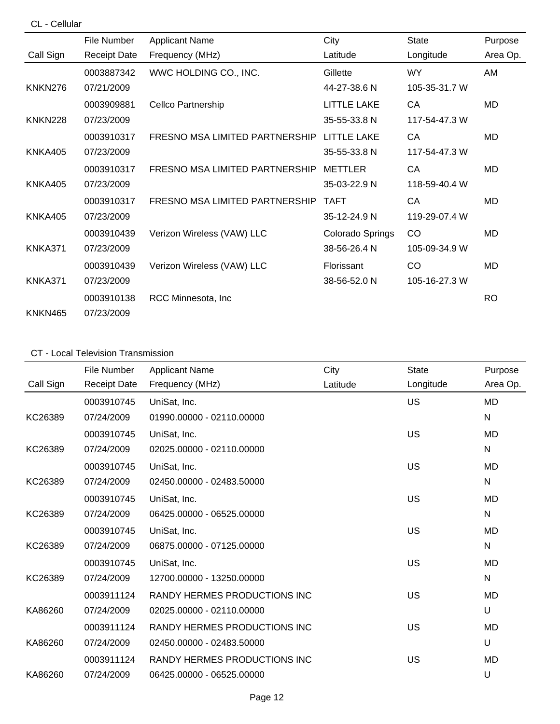CL - Cellular

|                | File Number         | <b>Applicant Name</b>          | City               | <b>State</b>  | Purpose   |
|----------------|---------------------|--------------------------------|--------------------|---------------|-----------|
| Call Sign      | <b>Receipt Date</b> | Frequency (MHz)                | Latitude           | Longitude     | Area Op.  |
|                | 0003887342          | WWC HOLDING CO., INC.          | Gillette           | <b>WY</b>     | AM        |
| KNKN276        | 07/21/2009          |                                | 44-27-38.6 N       | 105-35-31.7 W |           |
|                | 0003909881          | Cellco Partnership             | <b>LITTLE LAKE</b> | СA            | MD        |
| KNKN228        | 07/23/2009          |                                | 35-55-33.8 N       | 117-54-47.3 W |           |
|                | 0003910317          | FRESNO MSA LIMITED PARTNERSHIP | <b>LITTLE LAKE</b> | CA            | MD        |
| KNKA405        | 07/23/2009          |                                | 35-55-33.8 N       | 117-54-47.3 W |           |
|                | 0003910317          | FRESNO MSA LIMITED PARTNERSHIP | <b>METTLER</b>     | СA            | MD        |
| KNKA405        | 07/23/2009          |                                | 35-03-22.9 N       | 118-59-40.4 W |           |
|                | 0003910317          | FRESNO MSA LIMITED PARTNERSHIP | <b>TAFT</b>        | СA            | MD        |
| <b>KNKA405</b> | 07/23/2009          |                                | 35-12-24.9 N       | 119-29-07.4 W |           |
|                | 0003910439          | Verizon Wireless (VAW) LLC     | Colorado Springs   | CO            | MD        |
| KNKA371        | 07/23/2009          |                                | 38-56-26.4 N       | 105-09-34.9 W |           |
|                | 0003910439          | Verizon Wireless (VAW) LLC     | Florissant         | CO            | MD        |
| KNKA371        | 07/23/2009          |                                | 38-56-52.0 N       | 105-16-27.3 W |           |
|                | 0003910138          | RCC Minnesota, Inc.            |                    |               | <b>RO</b> |
| KNKN465        | 07/23/2009          |                                |                    |               |           |

## CT - Local Television Transmission

|           | File Number         | <b>Applicant Name</b>        | City     | <b>State</b> | Purpose      |
|-----------|---------------------|------------------------------|----------|--------------|--------------|
| Call Sign | <b>Receipt Date</b> | Frequency (MHz)              | Latitude | Longitude    | Area Op.     |
|           | 0003910745          | UniSat, Inc.                 |          | US           | <b>MD</b>    |
| KC26389   | 07/24/2009          | 01990.00000 - 02110.00000    |          |              | N            |
|           | 0003910745          | UniSat, Inc.                 |          | US           | MD           |
| KC26389   | 07/24/2009          | 02025.00000 - 02110.00000    |          |              | N            |
|           | 0003910745          | UniSat, Inc.                 |          | US           | <b>MD</b>    |
| KC26389   | 07/24/2009          | 02450.00000 - 02483.50000    |          |              | N            |
|           | 0003910745          | UniSat, Inc.                 |          | US           | <b>MD</b>    |
| KC26389   | 07/24/2009          | 06425.00000 - 06525.00000    |          |              | $\mathsf{N}$ |
|           | 0003910745          | UniSat, Inc.                 |          | US           | MD           |
| KC26389   | 07/24/2009          | 06875.00000 - 07125.00000    |          |              | $\mathsf{N}$ |
|           | 0003910745          | UniSat, Inc.                 |          | US           | MD           |
| KC26389   | 07/24/2009          | 12700.00000 - 13250.00000    |          |              | N            |
|           | 0003911124          | RANDY HERMES PRODUCTIONS INC |          | US           | MD           |
| KA86260   | 07/24/2009          | 02025.00000 - 02110.00000    |          |              | U            |
|           | 0003911124          | RANDY HERMES PRODUCTIONS INC |          | US           | <b>MD</b>    |
| KA86260   | 07/24/2009          | 02450.00000 - 02483.50000    |          |              | U            |
|           | 0003911124          | RANDY HERMES PRODUCTIONS INC |          | US           | MD           |
| KA86260   | 07/24/2009          | 06425.00000 - 06525.00000    |          |              | U            |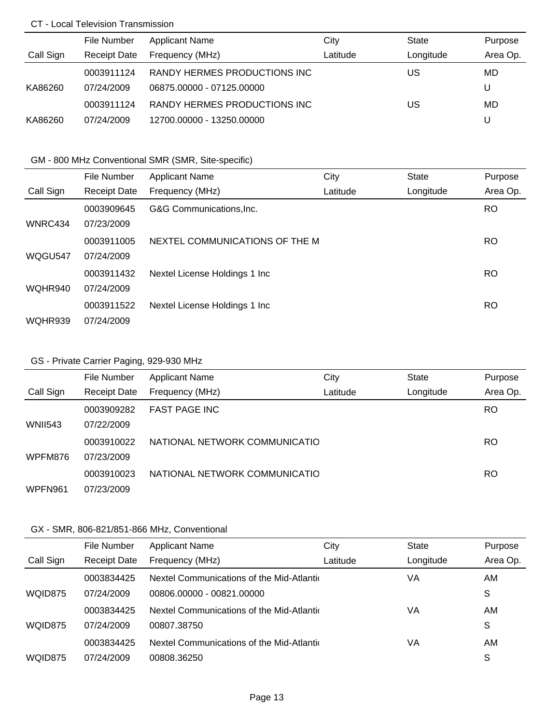#### CT - Local Television Transmission

|           | File Number         | <b>Applicant Name</b>        | City     | State     | Purpose  |
|-----------|---------------------|------------------------------|----------|-----------|----------|
| Call Sign | <b>Receipt Date</b> | Frequency (MHz)              | Latitude | Longitude | Area Op. |
|           | 0003911124          | RANDY HERMES PRODUCTIONS INC |          | US        | MD       |
| KA86260   | 07/24/2009          | 06875.00000 - 07125.00000    |          |           | U        |
|           | 0003911124          | RANDY HERMES PRODUCTIONS INC |          | US        | MD       |
| KA86260   | 07/24/2009          | 12700.00000 - 13250.00000    |          |           | U        |

## GM - 800 MHz Conventional SMR (SMR, Site-specific)

|           | File Number         | <b>Applicant Name</b>          | City     | <b>State</b> | Purpose   |
|-----------|---------------------|--------------------------------|----------|--------------|-----------|
| Call Sign | <b>Receipt Date</b> | Frequency (MHz)                | Latitude | Longitude    | Area Op.  |
|           | 0003909645          | G&G Communications, Inc.       |          |              | <b>RO</b> |
| WNRC434   | 07/23/2009          |                                |          |              |           |
|           | 0003911005          | NEXTEL COMMUNICATIONS OF THE M |          |              | <b>RO</b> |
| WQGU547   | 07/24/2009          |                                |          |              |           |
|           | 0003911432          | Nextel License Holdings 1 Inc  |          |              | <b>RO</b> |
| WQHR940   | 07/24/2009          |                                |          |              |           |
|           | 0003911522          | Nextel License Holdings 1 Inc  |          |              | <b>RO</b> |
| WQHR939   | 07/24/2009          |                                |          |              |           |

## GS - Private Carrier Paging, 929-930 MHz

|                | File Number         | <b>Applicant Name</b>         | City     | State     | Purpose   |
|----------------|---------------------|-------------------------------|----------|-----------|-----------|
| Call Sign      | <b>Receipt Date</b> | Frequency (MHz)               | Latitude | Longitude | Area Op.  |
|                | 0003909282          | <b>FAST PAGE INC</b>          |          |           | <b>RO</b> |
| <b>WNII543</b> | 07/22/2009          |                               |          |           |           |
|                | 0003910022          | NATIONAL NETWORK COMMUNICATIO |          |           | <b>RO</b> |
| WPFM876        | 07/23/2009          |                               |          |           |           |
|                | 0003910023          | NATIONAL NETWORK COMMUNICATIO |          |           | <b>RO</b> |
| WPFN961        | 07/23/2009          |                               |          |           |           |

|           | File Number         | <b>Applicant Name</b>                     | City     | <b>State</b> | Purpose  |
|-----------|---------------------|-------------------------------------------|----------|--------------|----------|
| Call Sign | <b>Receipt Date</b> | Frequency (MHz)                           | Latitude | Longitude    | Area Op. |
|           | 0003834425          | Nextel Communications of the Mid-Atlantic |          | VA           | AM       |
| WQID875   | 07/24/2009          | 00806.00000 - 00821.00000                 |          |              | S        |
|           | 0003834425          | Nextel Communications of the Mid-Atlantic |          | VA           | AM       |
| WQID875   | 07/24/2009          | 00807.38750                               |          |              | S        |
|           | 0003834425          | Nextel Communications of the Mid-Atlantic |          | VA           | AM       |
| WQID875   | 07/24/2009          | 00808.36250                               |          |              | S        |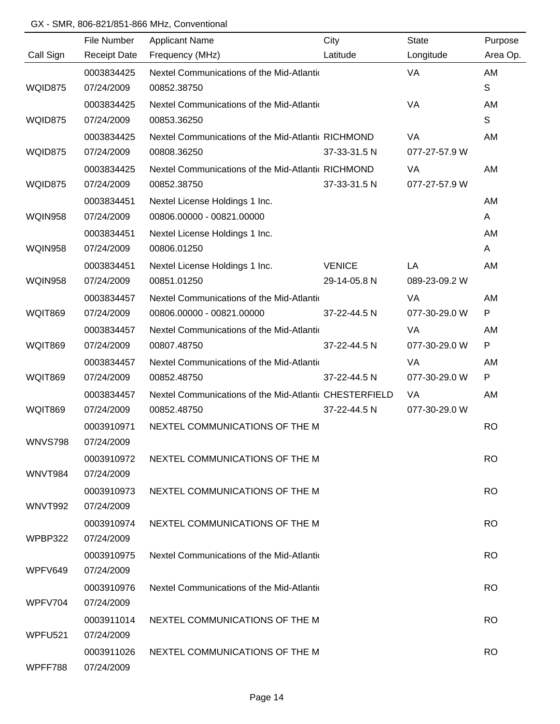|                     | File Number         | <b>Applicant Name</b>                                  | City          | <b>State</b>  | Purpose   |
|---------------------|---------------------|--------------------------------------------------------|---------------|---------------|-----------|
| Call Sign           | <b>Receipt Date</b> | Frequency (MHz)                                        | Latitude      | Longitude     | Area Op.  |
|                     | 0003834425          | Nextel Communications of the Mid-Atlantic              |               | VA            | AM        |
| WQID875             | 07/24/2009          | 00852.38750                                            |               |               | S         |
|                     | 0003834425          | Nextel Communications of the Mid-Atlantic              |               | VA            | AM        |
| WQID875             | 07/24/2009          | 00853.36250                                            |               |               | S         |
|                     | 0003834425          | Nextel Communications of the Mid-Atlantic RICHMOND     |               | <b>VA</b>     | AM        |
| WQID875             | 07/24/2009          | 00808.36250                                            | 37-33-31.5 N  | 077-27-57.9 W |           |
|                     | 0003834425          | Nextel Communications of the Mid-Atlantic RICHMOND     |               | VA            | AM        |
| WQID875             | 07/24/2009          | 00852.38750                                            | 37-33-31.5 N  | 077-27-57.9 W |           |
|                     | 0003834451          | Nextel License Holdings 1 Inc.                         |               |               | AM        |
| <b>WQIN958</b>      | 07/24/2009          | 00806.00000 - 00821.00000                              |               |               | A         |
|                     | 0003834451          | Nextel License Holdings 1 Inc.                         |               |               | <b>AM</b> |
| <b>WQIN958</b>      | 07/24/2009          | 00806.01250                                            |               |               | A         |
|                     | 0003834451          | Nextel License Holdings 1 Inc.                         | <b>VENICE</b> | LA            | AM        |
| <b>WQIN958</b>      | 07/24/2009          | 00851.01250                                            | 29-14-05.8 N  | 089-23-09.2 W |           |
|                     | 0003834457          | Nextel Communications of the Mid-Atlantic              |               | VA            | AM        |
| <b>WQIT869</b>      | 07/24/2009          | 00806.00000 - 00821.00000                              | 37-22-44.5 N  | 077-30-29.0 W | ${\sf P}$ |
|                     | 0003834457          | Nextel Communications of the Mid-Atlantic              |               | VA            | AM        |
| <b>WQIT869</b>      | 07/24/2009          | 00807.48750                                            | 37-22-44.5 N  | 077-30-29.0 W | P         |
|                     | 0003834457          | Nextel Communications of the Mid-Atlantic              |               | VA            | AM        |
| <b>WQIT869</b>      | 07/24/2009          | 00852.48750                                            | 37-22-44.5 N  | 077-30-29.0 W | P         |
|                     | 0003834457          | Nextel Communications of the Mid-Atlantic CHESTERFIELD |               | VA            | AM        |
| <b>WQIT869</b>      | 07/24/2009          | 00852.48750                                            | 37-22-44.5 N  | 077-30-29.0 W |           |
|                     | 0003910971          | NEXTEL COMMUNICATIONS OF THE M                         |               |               | <b>RO</b> |
| <b>WNVS798</b>      | 07/24/2009          |                                                        |               |               |           |
|                     | 0003910972          | NEXTEL COMMUNICATIONS OF THE M                         |               |               | <b>RO</b> |
| WNVT984             | 07/24/2009          |                                                        |               |               |           |
|                     | 0003910973          | NEXTEL COMMUNICATIONS OF THE M                         |               |               | <b>RO</b> |
| WNVT992             | 07/24/2009          |                                                        |               |               |           |
|                     | 0003910974          | NEXTEL COMMUNICATIONS OF THE M                         |               |               | <b>RO</b> |
| WPBP322             | 07/24/2009          |                                                        |               |               |           |
|                     | 0003910975          | Nextel Communications of the Mid-Atlantic              |               |               | <b>RO</b> |
| WPFV649             | 07/24/2009          |                                                        |               |               |           |
|                     | 0003910976          | Nextel Communications of the Mid-Atlantic              |               |               | RO.       |
| WPFV704             | 07/24/2009          |                                                        |               |               |           |
|                     | 0003911014          | NEXTEL COMMUNICATIONS OF THE M                         |               |               | <b>RO</b> |
| WPFU <sub>521</sub> | 07/24/2009          |                                                        |               |               |           |
|                     | 0003911026          | NEXTEL COMMUNICATIONS OF THE M                         |               |               | <b>RO</b> |
| WPFF788             | 07/24/2009          |                                                        |               |               |           |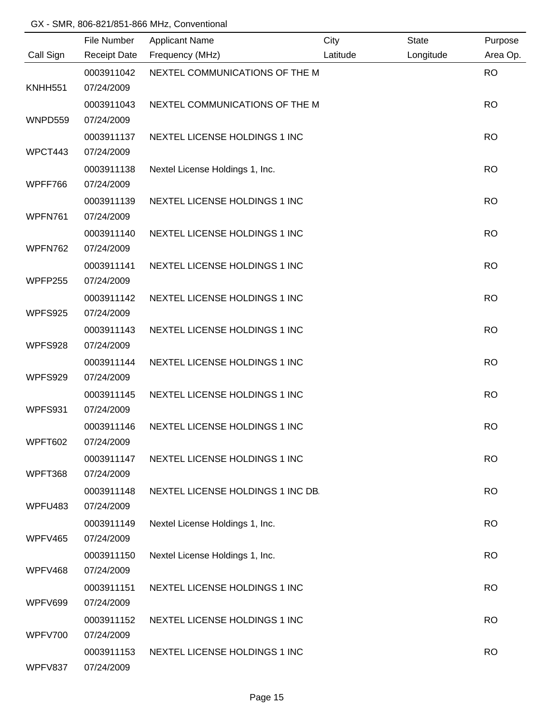|                    | File Number                            | <b>Applicant Name</b>             | City     | <b>State</b> | Purpose   |
|--------------------|----------------------------------------|-----------------------------------|----------|--------------|-----------|
| Call Sign          | <b>Receipt Date</b>                    | Frequency (MHz)                   | Latitude | Longitude    | Area Op.  |
| <b>KNHH551</b>     | 0003911042<br>07/24/2009               | NEXTEL COMMUNICATIONS OF THE M    |          |              | <b>RO</b> |
|                    | 0003911043                             | NEXTEL COMMUNICATIONS OF THE M    |          |              | <b>RO</b> |
| WNPD559            | 07/24/2009                             |                                   |          |              |           |
| WPCT443            | 0003911137<br>07/24/2009               | NEXTEL LICENSE HOLDINGS 1 INC     |          |              | <b>RO</b> |
| WPFF766            | 0003911138<br>07/24/2009               | Nextel License Holdings 1, Inc.   |          |              | <b>RO</b> |
| WPFN761            | 0003911139<br>07/24/2009               | NEXTEL LICENSE HOLDINGS 1 INC     |          |              | <b>RO</b> |
| WPFN762            | 0003911140<br>07/24/2009               | NEXTEL LICENSE HOLDINGS 1 INC     |          |              | <b>RO</b> |
| <b>WPFP255</b>     | 0003911141<br>07/24/2009               | NEXTEL LICENSE HOLDINGS 1 INC     |          |              | <b>RO</b> |
| WPFS925            | 0003911142<br>07/24/2009               | NEXTEL LICENSE HOLDINGS 1 INC     |          |              | <b>RO</b> |
|                    | 0003911143<br>07/24/2009               | NEXTEL LICENSE HOLDINGS 1 INC     |          |              | <b>RO</b> |
| WPFS928            | 0003911144                             | NEXTEL LICENSE HOLDINGS 1 INC     |          |              | <b>RO</b> |
| WPFS929<br>WPFS931 | 07/24/2009<br>0003911145<br>07/24/2009 | NEXTEL LICENSE HOLDINGS 1 INC     |          |              | <b>RO</b> |
| WPFT602            | 0003911146<br>07/24/2009               | NEXTEL LICENSE HOLDINGS 1 INC     |          |              | <b>RO</b> |
| WPFT368            | 0003911147<br>07/24/2009               | NEXTEL LICENSE HOLDINGS 1 INC     |          |              | <b>RO</b> |
| WPFU483            | 0003911148<br>07/24/2009               | NEXTEL LICENSE HOLDINGS 1 INC DB. |          |              | <b>RO</b> |
| WPFV465            | 0003911149                             | Nextel License Holdings 1, Inc.   |          |              | <b>RO</b> |
|                    | 07/24/2009<br>0003911150               | Nextel License Holdings 1, Inc.   |          |              | <b>RO</b> |
| WPFV468            | 07/24/2009<br>0003911151               | NEXTEL LICENSE HOLDINGS 1 INC     |          |              | <b>RO</b> |
| WPFV699            | 07/24/2009<br>0003911152               | NEXTEL LICENSE HOLDINGS 1 INC     |          |              | <b>RO</b> |
| WPFV700            | 07/24/2009<br>0003911153               | NEXTEL LICENSE HOLDINGS 1 INC     |          |              | <b>RO</b> |
| WPFV837            | 07/24/2009                             |                                   |          |              |           |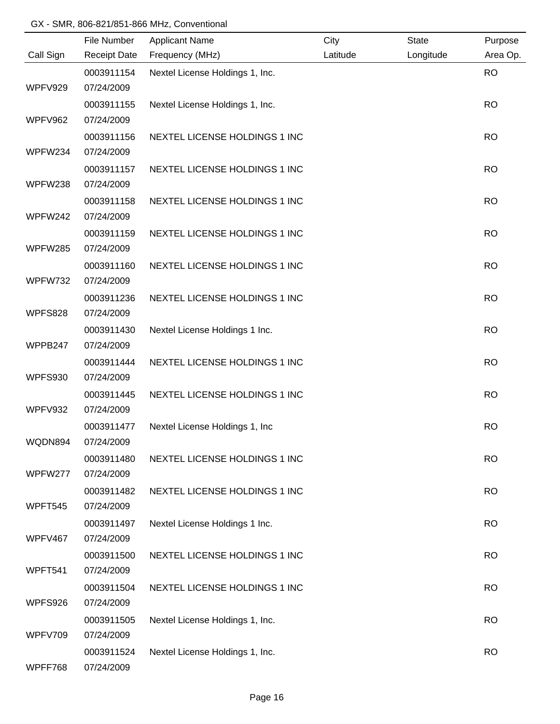|                | File Number         | <b>Applicant Name</b>           | City     | <b>State</b> | Purpose   |
|----------------|---------------------|---------------------------------|----------|--------------|-----------|
| Call Sign      | <b>Receipt Date</b> | Frequency (MHz)                 | Latitude | Longitude    | Area Op.  |
|                | 0003911154          | Nextel License Holdings 1, Inc. |          |              | <b>RO</b> |
| WPFV929        | 07/24/2009          |                                 |          |              |           |
|                | 0003911155          | Nextel License Holdings 1, Inc. |          |              | <b>RO</b> |
| WPFV962        | 07/24/2009          |                                 |          |              |           |
|                | 0003911156          | NEXTEL LICENSE HOLDINGS 1 INC   |          |              | <b>RO</b> |
| WPFW234        | 07/24/2009          |                                 |          |              |           |
|                | 0003911157          | NEXTEL LICENSE HOLDINGS 1 INC   |          |              | <b>RO</b> |
| WPFW238        | 07/24/2009          |                                 |          |              |           |
|                | 0003911158          | NEXTEL LICENSE HOLDINGS 1 INC   |          |              | <b>RO</b> |
| WPFW242        | 07/24/2009          |                                 |          |              |           |
|                | 0003911159          | NEXTEL LICENSE HOLDINGS 1 INC   |          |              | <b>RO</b> |
| WPFW285        | 07/24/2009          |                                 |          |              |           |
|                | 0003911160          | NEXTEL LICENSE HOLDINGS 1 INC   |          |              | <b>RO</b> |
| WPFW732        | 07/24/2009          |                                 |          |              |           |
|                | 0003911236          | NEXTEL LICENSE HOLDINGS 1 INC   |          |              | <b>RO</b> |
| WPFS828        | 07/24/2009          |                                 |          |              |           |
|                | 0003911430          | Nextel License Holdings 1 Inc.  |          |              | <b>RO</b> |
| WPPB247        | 07/24/2009          |                                 |          |              |           |
|                | 0003911444          | NEXTEL LICENSE HOLDINGS 1 INC   |          |              | <b>RO</b> |
| <b>WPFS930</b> | 07/24/2009          |                                 |          |              |           |
|                | 0003911445          | NEXTEL LICENSE HOLDINGS 1 INC   |          |              | <b>RO</b> |
| WPFV932        | 07/24/2009          |                                 |          |              |           |
|                | 0003911477          | Nextel License Holdings 1, Inc  |          |              | <b>RO</b> |
| WQDN894        | 07/24/2009          |                                 |          |              |           |
|                | 0003911480          | NEXTEL LICENSE HOLDINGS 1 INC   |          |              | <b>RO</b> |
| WPFW277        | 07/24/2009          |                                 |          |              |           |
|                | 0003911482          | NEXTEL LICENSE HOLDINGS 1 INC   |          |              | <b>RO</b> |
| WPFT545        | 07/24/2009          |                                 |          |              |           |
|                | 0003911497          | Nextel License Holdings 1 Inc.  |          |              | <b>RO</b> |
| WPFV467        | 07/24/2009          |                                 |          |              |           |
|                | 0003911500          | NEXTEL LICENSE HOLDINGS 1 INC   |          |              | <b>RO</b> |
| WPFT541        | 07/24/2009          |                                 |          |              |           |
|                | 0003911504          | NEXTEL LICENSE HOLDINGS 1 INC   |          |              | <b>RO</b> |
| WPFS926        | 07/24/2009          |                                 |          |              |           |
|                | 0003911505          | Nextel License Holdings 1, Inc. |          |              | <b>RO</b> |
| WPFV709        | 07/24/2009          |                                 |          |              |           |
|                | 0003911524          | Nextel License Holdings 1, Inc. |          |              | <b>RO</b> |
| WPFF768        | 07/24/2009          |                                 |          |              |           |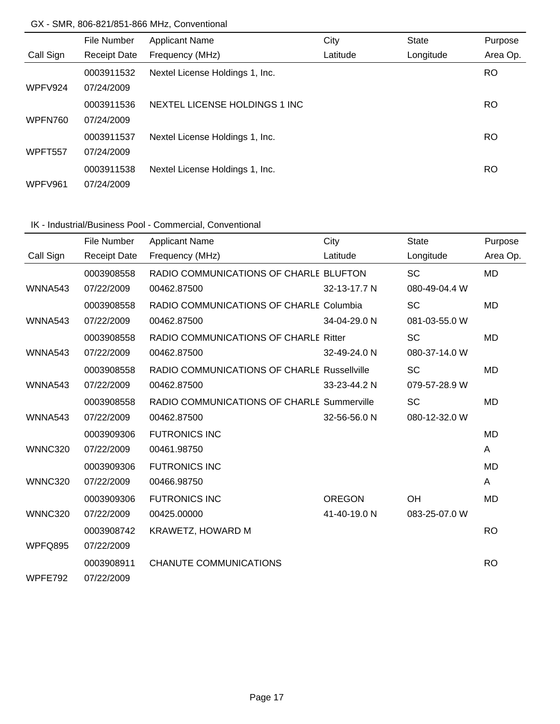|           | File Number         | <b>Applicant Name</b>           | City     | <b>State</b> | Purpose  |
|-----------|---------------------|---------------------------------|----------|--------------|----------|
| Call Sign | <b>Receipt Date</b> | Frequency (MHz)                 | Latitude | Longitude    | Area Op. |
|           | 0003911532          | Nextel License Holdings 1, Inc. |          |              | RO.      |
| WPFV924   | 07/24/2009          |                                 |          |              |          |
|           | 0003911536          | NEXTEL LICENSE HOLDINGS 1 INC   |          |              | RO.      |
| WPFN760   | 07/24/2009          |                                 |          |              |          |
|           | 0003911537          | Nextel License Holdings 1, Inc. |          |              | RO.      |
| WPFT557   | 07/24/2009          |                                 |          |              |          |
|           | 0003911538          | Nextel License Holdings 1, Inc. |          |              | RO       |
| WPFV961   | 07/24/2009          |                                 |          |              |          |

# IK - Industrial/Business Pool - Commercial, Conventional

|                | File Number         | <b>Applicant Name</b>                              | City          | <b>State</b>  | Purpose   |
|----------------|---------------------|----------------------------------------------------|---------------|---------------|-----------|
| Call Sign      | <b>Receipt Date</b> | Frequency (MHz)                                    | Latitude      | Longitude     | Area Op.  |
|                | 0003908558          | RADIO COMMUNICATIONS OF CHARLE BLUFTON             |               | <b>SC</b>     | <b>MD</b> |
| WNNA543        | 07/22/2009          | 00462.87500                                        | 32-13-17.7 N  | 080-49-04.4 W |           |
|                | 0003908558          | RADIO COMMUNICATIONS OF CHARLE Columbia            |               | <b>SC</b>     | <b>MD</b> |
| WNNA543        | 07/22/2009          | 00462.87500                                        | 34-04-29.0 N  | 081-03-55.0 W |           |
|                | 0003908558          | RADIO COMMUNICATIONS OF CHARLE Ritter              |               | <b>SC</b>     | <b>MD</b> |
| WNNA543        | 07/22/2009          | 00462.87500                                        | 32-49-24.0 N  | 080-37-14.0 W |           |
|                | 0003908558          | <b>RADIO COMMUNICATIONS OF CHARLE Russellville</b> |               | <b>SC</b>     | MD        |
| WNNA543        | 07/22/2009          | 00462.87500                                        | 33-23-44.2 N  | 079-57-28.9 W |           |
|                | 0003908558          | RADIO COMMUNICATIONS OF CHARLE Summerville         |               | <b>SC</b>     | <b>MD</b> |
| WNNA543        | 07/22/2009          | 00462.87500                                        | 32-56-56.0 N  | 080-12-32.0 W |           |
|                | 0003909306          | <b>FUTRONICS INC</b>                               |               |               | <b>MD</b> |
| <b>WNNC320</b> | 07/22/2009          | 00461.98750                                        |               |               | A         |
|                | 0003909306          | <b>FUTRONICS INC</b>                               |               |               | <b>MD</b> |
| <b>WNNC320</b> | 07/22/2009          | 00466.98750                                        |               |               | A         |
|                | 0003909306          | <b>FUTRONICS INC</b>                               | <b>OREGON</b> | OH            | <b>MD</b> |
| <b>WNNC320</b> | 07/22/2009          | 00425.00000                                        | 41-40-19.0 N  | 083-25-07.0 W |           |
|                | 0003908742          | <b>KRAWETZ, HOWARD M</b>                           |               |               | <b>RO</b> |
| WPFQ895        | 07/22/2009          |                                                    |               |               |           |
|                | 0003908911          | CHANUTE COMMUNICATIONS                             |               |               | <b>RO</b> |
| WPFE792        | 07/22/2009          |                                                    |               |               |           |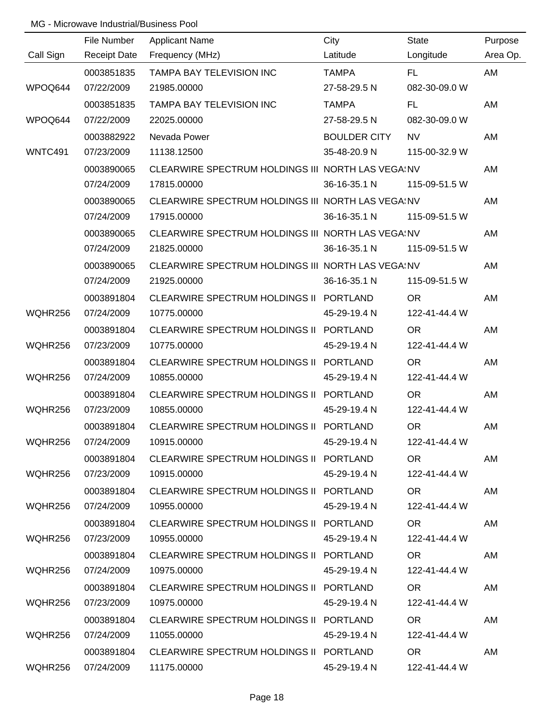|           | File Number         | <b>Applicant Name</b>                             | City                | <b>State</b>  | Purpose  |
|-----------|---------------------|---------------------------------------------------|---------------------|---------------|----------|
| Call Sign | <b>Receipt Date</b> | Frequency (MHz)                                   | Latitude            | Longitude     | Area Op. |
|           | 0003851835          | TAMPA BAY TELEVISION INC                          | <b>TAMPA</b>        | FL.           | AM       |
| WPOQ644   | 07/22/2009          | 21985.00000                                       | 27-58-29.5 N        | 082-30-09.0 W |          |
|           | 0003851835          | TAMPA BAY TELEVISION INC                          | <b>TAMPA</b>        | FL.           | AM       |
| WPOQ644   | 07/22/2009          | 22025.00000                                       | 27-58-29.5 N        | 082-30-09.0 W |          |
|           | 0003882922          | Nevada Power                                      | <b>BOULDER CITY</b> | <b>NV</b>     | AM       |
| WNTC491   | 07/23/2009          | 11138.12500                                       | 35-48-20.9 N        | 115-00-32.9 W |          |
|           | 0003890065          | CLEARWIRE SPECTRUM HOLDINGS III NORTH LAS VEGAINV |                     |               | AM       |
|           | 07/24/2009          | 17815.00000                                       | 36-16-35.1 N        | 115-09-51.5 W |          |
|           | 0003890065          | CLEARWIRE SPECTRUM HOLDINGS III NORTH LAS VEGAINV |                     |               | AM       |
|           | 07/24/2009          | 17915.00000                                       | 36-16-35.1 N        | 115-09-51.5 W |          |
|           | 0003890065          | CLEARWIRE SPECTRUM HOLDINGS III NORTH LAS VEGAINV |                     |               | AM       |
|           | 07/24/2009          | 21825.00000                                       | 36-16-35.1 N        | 115-09-51.5 W |          |
|           | 0003890065          | CLEARWIRE SPECTRUM HOLDINGS III NORTH LAS VEGAINV |                     |               | AM       |
|           | 07/24/2009          | 21925.00000                                       | 36-16-35.1 N        | 115-09-51.5 W |          |
|           | 0003891804          | CLEARWIRE SPECTRUM HOLDINGS II PORTLAND           |                     | <b>OR</b>     | AM       |
| WQHR256   | 07/24/2009          | 10775.00000                                       | 45-29-19.4 N        | 122-41-44.4 W |          |
|           | 0003891804          | CLEARWIRE SPECTRUM HOLDINGS II PORTLAND           |                     | <b>OR</b>     | AM       |
| WQHR256   | 07/23/2009          | 10775.00000                                       | 45-29-19.4 N        | 122-41-44.4 W |          |
|           | 0003891804          | CLEARWIRE SPECTRUM HOLDINGS II PORTLAND           |                     | <b>OR</b>     | AM       |
| WQHR256   | 07/24/2009          | 10855.00000                                       | 45-29-19.4 N        | 122-41-44.4 W |          |
|           | 0003891804          | CLEARWIRE SPECTRUM HOLDINGS II PORTLAND           |                     | <b>OR</b>     | AM       |
| WQHR256   | 07/23/2009          | 10855.00000                                       | 45-29-19.4 N        | 122-41-44.4 W |          |
|           | 0003891804          | CLEARWIRE SPECTRUM HOLDINGS II PORTLAND           |                     | <b>OR</b>     | AM       |
| WQHR256   | 07/24/2009          | 10915.00000                                       | 45-29-19.4 N        | 122-41-44.4 W |          |
|           | 0003891804          | CLEARWIRE SPECTRUM HOLDINGS II PORTLAND           |                     | OR .          | AM       |
| WQHR256   | 07/23/2009          | 10915.00000                                       | 45-29-19.4 N        | 122-41-44.4 W |          |
|           | 0003891804          | CLEARWIRE SPECTRUM HOLDINGS II PORTLAND           |                     | OR            | AM       |
| WQHR256   | 07/24/2009          | 10955.00000                                       | 45-29-19.4 N        | 122-41-44.4 W |          |
|           | 0003891804          | CLEARWIRE SPECTRUM HOLDINGS II PORTLAND           |                     | OR .          | AM       |
| WQHR256   | 07/23/2009          | 10955.00000                                       | 45-29-19.4 N        | 122-41-44.4 W |          |
|           | 0003891804          | CLEARWIRE SPECTRUM HOLDINGS II PORTLAND           |                     | OR.           | AM       |
| WQHR256   | 07/24/2009          | 10975.00000                                       | 45-29-19.4 N        | 122-41-44.4 W |          |
|           | 0003891804          | CLEARWIRE SPECTRUM HOLDINGS II PORTLAND           |                     | OR.           | AM       |
| WQHR256   | 07/23/2009          | 10975.00000                                       | 45-29-19.4 N        | 122-41-44.4 W |          |
|           | 0003891804          | CLEARWIRE SPECTRUM HOLDINGS II PORTLAND           |                     | OR.           | AM       |
| WQHR256   | 07/24/2009          | 11055.00000                                       | 45-29-19.4 N        | 122-41-44.4 W |          |
|           | 0003891804          | CLEARWIRE SPECTRUM HOLDINGS II PORTLAND           |                     | OR.           | AM       |
| WQHR256   | 07/24/2009          | 11175.00000                                       | 45-29-19.4 N        | 122-41-44.4 W |          |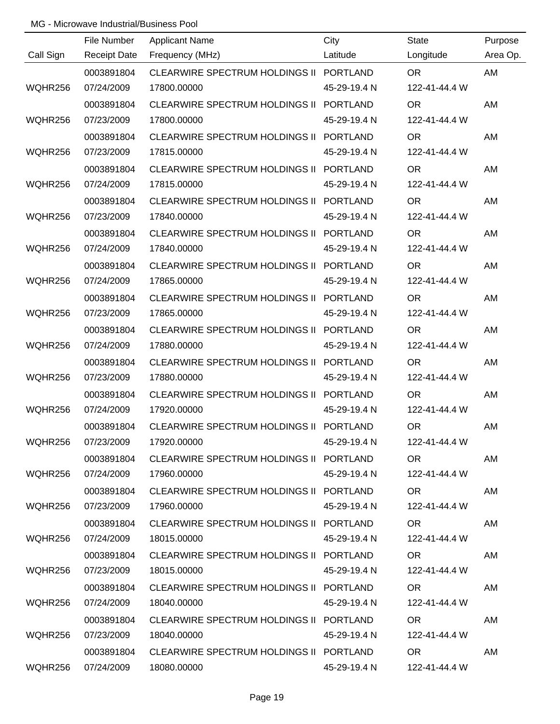| Call Sign | File Number<br><b>Receipt Date</b> | <b>Applicant Name</b><br>Frequency (MHz) | City<br>Latitude | <b>State</b><br>Longitude | Purpose<br>Area Op. |
|-----------|------------------------------------|------------------------------------------|------------------|---------------------------|---------------------|
|           | 0003891804                         | CLEARWIRE SPECTRUM HOLDINGS II PORTLAND  |                  | <b>OR</b>                 | AM                  |
| WQHR256   | 07/24/2009                         | 17800.00000                              | 45-29-19.4 N     | 122-41-44.4 W             |                     |
|           | 0003891804                         | CLEARWIRE SPECTRUM HOLDINGS II PORTLAND  |                  | <b>OR</b>                 | AM                  |
| WQHR256   | 07/23/2009                         | 17800.00000                              | 45-29-19.4 N     | 122-41-44.4 W             |                     |
|           | 0003891804                         | CLEARWIRE SPECTRUM HOLDINGS II PORTLAND  |                  | <b>OR</b>                 | AM                  |
| WQHR256   | 07/23/2009                         | 17815.00000                              | 45-29-19.4 N     | 122-41-44.4 W             |                     |
|           | 0003891804                         | CLEARWIRE SPECTRUM HOLDINGS II PORTLAND  |                  | <b>OR</b>                 | AM                  |
| WQHR256   | 07/24/2009                         | 17815.00000                              | 45-29-19.4 N     | 122-41-44.4 W             |                     |
|           | 0003891804                         | CLEARWIRE SPECTRUM HOLDINGS II PORTLAND  |                  | <b>OR</b>                 | AM                  |
| WQHR256   | 07/23/2009                         | 17840.00000                              | 45-29-19.4 N     | 122-41-44.4 W             |                     |
|           | 0003891804                         | CLEARWIRE SPECTRUM HOLDINGS II PORTLAND  |                  | <b>OR</b>                 | AM                  |
| WQHR256   | 07/24/2009                         | 17840.00000                              | 45-29-19.4 N     | 122-41-44.4 W             |                     |
|           | 0003891804                         | CLEARWIRE SPECTRUM HOLDINGS II PORTLAND  |                  | <b>OR</b>                 | AM                  |
| WQHR256   | 07/24/2009                         | 17865.00000                              | 45-29-19.4 N     | 122-41-44.4 W             |                     |
|           | 0003891804                         | CLEARWIRE SPECTRUM HOLDINGS II PORTLAND  |                  | <b>OR</b>                 | AM                  |
| WQHR256   | 07/23/2009                         | 17865.00000                              | 45-29-19.4 N     | 122-41-44.4 W             |                     |
|           | 0003891804                         | CLEARWIRE SPECTRUM HOLDINGS II PORTLAND  |                  | <b>OR</b>                 | AM                  |
| WQHR256   | 07/24/2009                         | 17880.00000                              | 45-29-19.4 N     | 122-41-44.4 W             |                     |
|           | 0003891804                         | CLEARWIRE SPECTRUM HOLDINGS II PORTLAND  |                  | <b>OR</b>                 | AM                  |
| WQHR256   | 07/23/2009                         | 17880.00000                              | 45-29-19.4 N     | 122-41-44.4 W             |                     |
|           | 0003891804                         | CLEARWIRE SPECTRUM HOLDINGS II PORTLAND  |                  | <b>OR</b>                 | AM                  |
| WQHR256   | 07/24/2009                         | 17920.00000                              | 45-29-19.4 N     | 122-41-44.4 W             |                     |
|           | 0003891804                         | CLEARWIRE SPECTRUM HOLDINGS II PORTLAND  |                  | <b>OR</b>                 | AM                  |
| WQHR256   | 07/23/2009                         | 17920.00000                              | 45-29-19.4 N     | 122-41-44.4 W             |                     |
|           | 0003891804                         | CLEARWIRE SPECTRUM HOLDINGS II PORTLAND  |                  | OR <sub>1</sub>           | AM                  |
| WQHR256   | 07/24/2009                         | 17960.00000                              | 45-29-19.4 N     | 122-41-44.4 W             |                     |
|           | 0003891804                         | CLEARWIRE SPECTRUM HOLDINGS II PORTLAND  |                  | <b>OR</b>                 | AM                  |
| WQHR256   | 07/23/2009                         | 17960.00000                              | 45-29-19.4 N     | 122-41-44.4 W             |                     |
|           | 0003891804                         | CLEARWIRE SPECTRUM HOLDINGS II PORTLAND  |                  | OR.                       | AM                  |
| WQHR256   | 07/24/2009                         | 18015.00000                              | 45-29-19.4 N     | 122-41-44.4 W             |                     |
|           | 0003891804                         | CLEARWIRE SPECTRUM HOLDINGS II PORTLAND  |                  | OR <sub>1</sub>           | AM                  |
| WQHR256   | 07/23/2009                         | 18015.00000                              | 45-29-19.4 N     | 122-41-44.4 W             |                     |
|           | 0003891804                         | CLEARWIRE SPECTRUM HOLDINGS II PORTLAND  |                  | OR.                       | AM                  |
| WQHR256   | 07/24/2009                         | 18040.00000                              | 45-29-19.4 N     | 122-41-44.4 W             |                     |
|           | 0003891804                         | CLEARWIRE SPECTRUM HOLDINGS II PORTLAND  |                  | OR.                       | AM                  |
| WQHR256   | 07/23/2009                         | 18040.00000                              | 45-29-19.4 N     | 122-41-44.4 W             |                     |
|           | 0003891804                         | CLEARWIRE SPECTRUM HOLDINGS II PORTLAND  |                  | <b>OR</b>                 | AM                  |
| WQHR256   | 07/24/2009                         | 18080.00000                              | 45-29-19.4 N     | 122-41-44.4 W             |                     |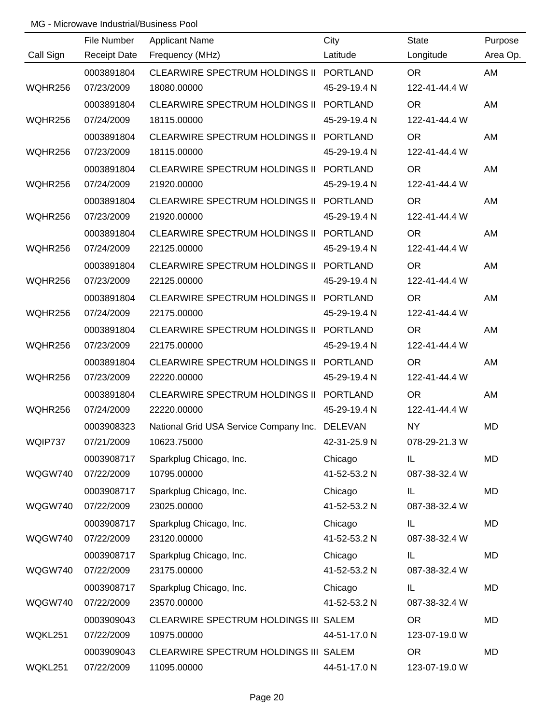|           | File Number         | <b>Applicant Name</b>                          | City            | <b>State</b>  | Purpose  |
|-----------|---------------------|------------------------------------------------|-----------------|---------------|----------|
| Call Sign | <b>Receipt Date</b> | Frequency (MHz)                                | Latitude        | Longitude     | Area Op. |
|           | 0003891804          | CLEARWIRE SPECTRUM HOLDINGS II PORTLAND        |                 | <b>OR</b>     | AM       |
| WQHR256   | 07/23/2009          | 18080.00000                                    | 45-29-19.4 N    | 122-41-44.4 W |          |
|           | 0003891804          | CLEARWIRE SPECTRUM HOLDINGS II PORTLAND        |                 | <b>OR</b>     | AM       |
| WQHR256   | 07/24/2009          | 18115.00000                                    | 45-29-19.4 N    | 122-41-44.4 W |          |
|           | 0003891804          | CLEARWIRE SPECTRUM HOLDINGS II PORTLAND        |                 | <b>OR</b>     | AM       |
| WQHR256   | 07/23/2009          | 18115.00000                                    | 45-29-19.4 N    | 122-41-44.4 W |          |
|           | 0003891804          | CLEARWIRE SPECTRUM HOLDINGS II PORTLAND        |                 | <b>OR</b>     | AM       |
| WQHR256   | 07/24/2009          | 21920.00000                                    | 45-29-19.4 N    | 122-41-44.4 W |          |
|           | 0003891804          | CLEARWIRE SPECTRUM HOLDINGS II PORTLAND        |                 | <b>OR</b>     | AM       |
| WQHR256   | 07/23/2009          | 21920.00000                                    | 45-29-19.4 N    | 122-41-44.4 W |          |
|           | 0003891804          | <b>CLEARWIRE SPECTRUM HOLDINGS II</b>          | <b>PORTLAND</b> | <b>OR</b>     | AM       |
| WQHR256   | 07/24/2009          | 22125.00000                                    | 45-29-19.4 N    | 122-41-44.4 W |          |
|           | 0003891804          | CLEARWIRE SPECTRUM HOLDINGS II                 | <b>PORTLAND</b> | <b>OR</b>     | AM       |
| WQHR256   | 07/23/2009          | 22125.00000                                    | 45-29-19.4 N    | 122-41-44.4 W |          |
|           | 0003891804          | CLEARWIRE SPECTRUM HOLDINGS II                 | <b>PORTLAND</b> | <b>OR</b>     | AM       |
| WQHR256   | 07/24/2009          | 22175.00000                                    | 45-29-19.4 N    | 122-41-44.4 W |          |
|           | 0003891804          | <b>CLEARWIRE SPECTRUM HOLDINGS II</b>          | <b>PORTLAND</b> | <b>OR</b>     | AM       |
| WQHR256   | 07/23/2009          | 22175.00000                                    | 45-29-19.4 N    | 122-41-44.4 W |          |
|           | 0003891804          | CLEARWIRE SPECTRUM HOLDINGS II PORTLAND        |                 | <b>OR</b>     | AM       |
| WQHR256   | 07/23/2009          | 22220.00000                                    | 45-29-19.4 N    | 122-41-44.4 W |          |
|           | 0003891804          | <b>CLEARWIRE SPECTRUM HOLDINGS II</b>          | PORTLAND        | <b>OR</b>     | AM       |
| WQHR256   | 07/24/2009          | 22220.00000                                    | 45-29-19.4 N    | 122-41-44.4 W |          |
|           | 0003908323          | National Grid USA Service Company Inc. DELEVAN |                 | <b>NY</b>     | MD       |
| WQIP737   | 07/21/2009          | 10623.75000                                    | 42-31-25.9 N    | 078-29-21.3 W |          |
|           | 0003908717          | Sparkplug Chicago, Inc.                        | Chicago         | IL            | MD       |
| WQGW740   | 07/22/2009          | 10795.00000                                    | 41-52-53.2 N    | 087-38-32.4 W |          |
|           | 0003908717          | Sparkplug Chicago, Inc.                        | Chicago         | IL            | MD       |
| WQGW740   | 07/22/2009          | 23025.00000                                    | 41-52-53.2 N    | 087-38-32.4 W |          |
|           | 0003908717          | Sparkplug Chicago, Inc.                        | Chicago         | IL            | MD       |
| WQGW740   | 07/22/2009          | 23120.00000                                    | 41-52-53.2 N    | 087-38-32.4 W |          |
|           | 0003908717          | Sparkplug Chicago, Inc.                        | Chicago         | IL            | MD       |
| WQGW740   | 07/22/2009          | 23175.00000                                    | 41-52-53.2 N    | 087-38-32.4 W |          |
|           | 0003908717          | Sparkplug Chicago, Inc.                        | Chicago         | IL            | MD       |
| WQGW740   | 07/22/2009          | 23570.00000                                    | 41-52-53.2 N    | 087-38-32.4 W |          |
|           | 0003909043          | CLEARWIRE SPECTRUM HOLDINGS III SALEM          |                 | <b>OR</b>     | MD       |
| WQKL251   | 07/22/2009          | 10975.00000                                    | 44-51-17.0 N    | 123-07-19.0 W |          |
|           | 0003909043          | CLEARWIRE SPECTRUM HOLDINGS III SALEM          |                 | <b>OR</b>     | MD       |
| WQKL251   | 07/22/2009          | 11095.00000                                    | 44-51-17.0 N    | 123-07-19.0 W |          |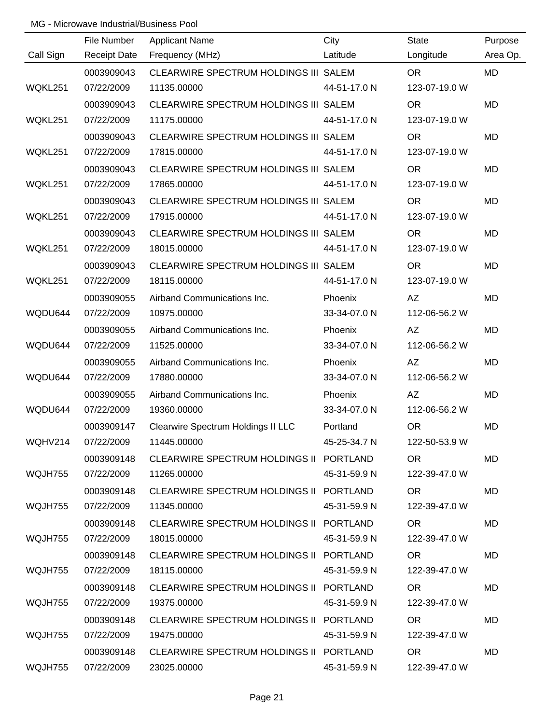|           | File Number         | <b>Applicant Name</b>                   | City         | <b>State</b>  | Purpose   |
|-----------|---------------------|-----------------------------------------|--------------|---------------|-----------|
| Call Sign | <b>Receipt Date</b> | Frequency (MHz)                         | Latitude     | Longitude     | Area Op.  |
|           | 0003909043          | CLEARWIRE SPECTRUM HOLDINGS III SALEM   |              | <b>OR</b>     | <b>MD</b> |
| WQKL251   | 07/22/2009          | 11135.00000                             | 44-51-17.0 N | 123-07-19.0 W |           |
|           | 0003909043          | CLEARWIRE SPECTRUM HOLDINGS III SALEM   |              | <b>OR</b>     | <b>MD</b> |
| WQKL251   | 07/22/2009          | 11175.00000                             | 44-51-17.0 N | 123-07-19.0 W |           |
|           | 0003909043          | CLEARWIRE SPECTRUM HOLDINGS III SALEM   |              | <b>OR</b>     | <b>MD</b> |
| WQKL251   | 07/22/2009          | 17815.00000                             | 44-51-17.0 N | 123-07-19.0 W |           |
|           | 0003909043          | CLEARWIRE SPECTRUM HOLDINGS III SALEM   |              | <b>OR</b>     | MD        |
| WQKL251   | 07/22/2009          | 17865.00000                             | 44-51-17.0 N | 123-07-19.0 W |           |
|           | 0003909043          | CLEARWIRE SPECTRUM HOLDINGS III SALEM   |              | <b>OR</b>     | MD        |
| WQKL251   | 07/22/2009          | 17915.00000                             | 44-51-17.0 N | 123-07-19.0 W |           |
|           | 0003909043          | CLEARWIRE SPECTRUM HOLDINGS III SALEM   |              | <b>OR</b>     | MD        |
| WQKL251   | 07/22/2009          | 18015.00000                             | 44-51-17.0 N | 123-07-19.0 W |           |
|           | 0003909043          | CLEARWIRE SPECTRUM HOLDINGS III SALEM   |              | <b>OR</b>     | MD        |
| WQKL251   | 07/22/2009          | 18115.00000                             | 44-51-17.0 N | 123-07-19.0 W |           |
|           | 0003909055          | Airband Communications Inc.             | Phoenix      | AZ            | MD        |
| WQDU644   | 07/22/2009          | 10975.00000                             | 33-34-07.0 N | 112-06-56.2 W |           |
|           | 0003909055          | Airband Communications Inc.             | Phoenix      | AZ            | MD        |
| WQDU644   | 07/22/2009          | 11525.00000                             | 33-34-07.0 N | 112-06-56.2 W |           |
|           | 0003909055          | Airband Communications Inc.             | Phoenix      | AZ            | MD        |
| WQDU644   | 07/22/2009          | 17880.00000                             | 33-34-07.0 N | 112-06-56.2 W |           |
|           | 0003909055          | Airband Communications Inc.             | Phoenix      | <b>AZ</b>     | MD        |
| WQDU644   | 07/22/2009          | 19360.00000                             | 33-34-07.0 N | 112-06-56.2 W |           |
|           | 0003909147          | Clearwire Spectrum Holdings II LLC      | Portland     | <b>OR</b>     | <b>MD</b> |
| WQHV214   | 07/22/2009          | 11445.00000                             | 45-25-34.7 N | 122-50-53.9 W |           |
|           | 0003909148          | CLEARWIRE SPECTRUM HOLDINGS II PORTLAND |              | <b>OR</b>     | MD        |
| WQJH755   | 07/22/2009          | 11265.00000                             | 45-31-59.9 N | 122-39-47.0 W |           |
|           | 0003909148          | CLEARWIRE SPECTRUM HOLDINGS II PORTLAND |              | OR.           | MD        |
| WQJH755   | 07/22/2009          | 11345.00000                             | 45-31-59.9 N | 122-39-47.0 W |           |
|           | 0003909148          | CLEARWIRE SPECTRUM HOLDINGS II PORTLAND |              | OR.           | MD        |
| WQJH755   | 07/22/2009          | 18015.00000                             | 45-31-59.9 N | 122-39-47.0 W |           |
|           | 0003909148          | CLEARWIRE SPECTRUM HOLDINGS II PORTLAND |              | OR.           | <b>MD</b> |
| WQJH755   | 07/22/2009          | 18115.00000                             | 45-31-59.9 N | 122-39-47.0 W |           |
|           | 0003909148          | CLEARWIRE SPECTRUM HOLDINGS II PORTLAND |              | <b>OR</b>     | MD        |
| WQJH755   | 07/22/2009          | 19375.00000                             | 45-31-59.9 N | 122-39-47.0 W |           |
|           | 0003909148          | CLEARWIRE SPECTRUM HOLDINGS II PORTLAND |              | <b>OR</b>     | MD        |
| WQJH755   | 07/22/2009          | 19475.00000                             | 45-31-59.9 N | 122-39-47.0 W |           |
|           | 0003909148          | CLEARWIRE SPECTRUM HOLDINGS II PORTLAND |              | <b>OR</b>     | MD        |
| WQJH755   | 07/22/2009          | 23025.00000                             | 45-31-59.9 N | 122-39-47.0 W |           |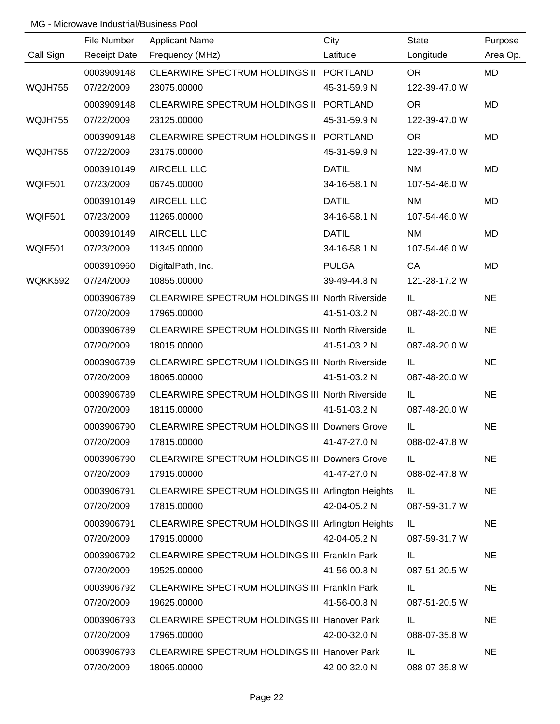|           | File Number | <b>Applicant Name</b>                                  | City         | <b>State</b>  | Purpose   |
|-----------|-------------|--------------------------------------------------------|--------------|---------------|-----------|
| Call Sign |             | Receipt Date Frequency (MHz)                           | Latitude     | Longitude     | Area Op.  |
|           | 0003909148  | CLEARWIRE SPECTRUM HOLDINGS II PORTLAND                |              | OR.           | <b>MD</b> |
| WQJH755   | 07/22/2009  | 23075.00000                                            | 45-31-59.9 N | 122-39-47.0 W |           |
|           | 0003909148  | CLEARWIRE SPECTRUM HOLDINGS II PORTLAND                |              | <b>OR</b>     | <b>MD</b> |
| WQJH755   | 07/22/2009  | 23125.00000                                            | 45-31-59.9 N | 122-39-47.0 W |           |
|           | 0003909148  | CLEARWIRE SPECTRUM HOLDINGS II PORTLAND                |              | <b>OR</b>     | <b>MD</b> |
| WQJH755   | 07/22/2009  | 23175.00000                                            | 45-31-59.9 N | 122-39-47.0 W |           |
|           | 0003910149  | <b>AIRCELL LLC</b>                                     | <b>DATIL</b> | <b>NM</b>     | MD        |
| WQIF501   | 07/23/2009  | 06745.00000                                            | 34-16-58.1 N | 107-54-46.0 W |           |
|           | 0003910149  | <b>AIRCELL LLC</b>                                     | <b>DATIL</b> | <b>NM</b>     | MD        |
| WQIF501   | 07/23/2009  | 11265.00000                                            | 34-16-58.1 N | 107-54-46.0 W |           |
|           | 0003910149  | <b>AIRCELL LLC</b>                                     | <b>DATIL</b> | <b>NM</b>     | MD        |
| WQIF501   | 07/23/2009  | 11345.00000                                            | 34-16-58.1 N | 107-54-46.0 W |           |
|           | 0003910960  | DigitalPath, Inc.                                      | <b>PULGA</b> | CA            | MD        |
| WQKK592   | 07/24/2009  | 10855.00000                                            | 39-49-44.8 N | 121-28-17.2 W |           |
|           | 0003906789  | <b>CLEARWIRE SPECTRUM HOLDINGS III North Riverside</b> |              | IL.           | <b>NE</b> |
|           | 07/20/2009  | 17965.00000                                            | 41-51-03.2 N | 087-48-20.0 W |           |
|           | 0003906789  | <b>CLEARWIRE SPECTRUM HOLDINGS III North Riverside</b> |              | IL            | <b>NE</b> |
|           | 07/20/2009  | 18015.00000                                            | 41-51-03.2 N | 087-48-20.0 W |           |
|           | 0003906789  | CLEARWIRE SPECTRUM HOLDINGS III North Riverside        |              | IL.           | <b>NE</b> |
|           | 07/20/2009  | 18065.00000                                            | 41-51-03.2 N | 087-48-20.0 W |           |
|           | 0003906789  | <b>CLEARWIRE SPECTRUM HOLDINGS III North Riverside</b> |              | IL            | <b>NE</b> |
|           | 07/20/2009  | 18115.00000                                            | 41-51-03.2 N | 087-48-20.0 W |           |
|           | 0003906790  | <b>CLEARWIRE SPECTRUM HOLDINGS III Downers Grove</b>   |              | IL.           | <b>NE</b> |
|           | 07/20/2009  | 17815.00000                                            | 41-47-27.0 N | 088-02-47.8 W |           |
|           | 0003906790  | <b>CLEARWIRE SPECTRUM HOLDINGS III Downers Grove</b>   |              | IL.           | <b>NE</b> |
|           | 07/20/2009  | 17915.00000                                            | 41-47-27.0 N | 088-02-47.8 W |           |
|           | 0003906791  | CLEARWIRE SPECTRUM HOLDINGS III Arlington Heights      |              | IL            | <b>NE</b> |
|           | 07/20/2009  | 17815.00000                                            | 42-04-05.2 N | 087-59-31.7 W |           |
|           | 0003906791  | CLEARWIRE SPECTRUM HOLDINGS III Arlington Heights      |              | IL.           | <b>NE</b> |
|           | 07/20/2009  | 17915.00000                                            | 42-04-05.2 N | 087-59-31.7 W |           |
|           | 0003906792  | <b>CLEARWIRE SPECTRUM HOLDINGS III Franklin Park</b>   |              | IL.           | <b>NE</b> |
|           | 07/20/2009  | 19525.00000                                            | 41-56-00.8 N | 087-51-20.5 W |           |
|           | 0003906792  | <b>CLEARWIRE SPECTRUM HOLDINGS III Franklin Park</b>   |              | IL.           | <b>NE</b> |
|           | 07/20/2009  | 19625.00000                                            | 41-56-00.8 N | 087-51-20.5 W |           |
|           | 0003906793  | <b>CLEARWIRE SPECTRUM HOLDINGS III Hanover Park</b>    |              | IL.           | <b>NE</b> |
|           | 07/20/2009  | 17965.00000                                            | 42-00-32.0 N | 088-07-35.8 W |           |
|           | 0003906793  | <b>CLEARWIRE SPECTRUM HOLDINGS III Hanover Park</b>    |              | IL.           | <b>NE</b> |
|           | 07/20/2009  | 18065.00000                                            | 42-00-32.0 N | 088-07-35.8 W |           |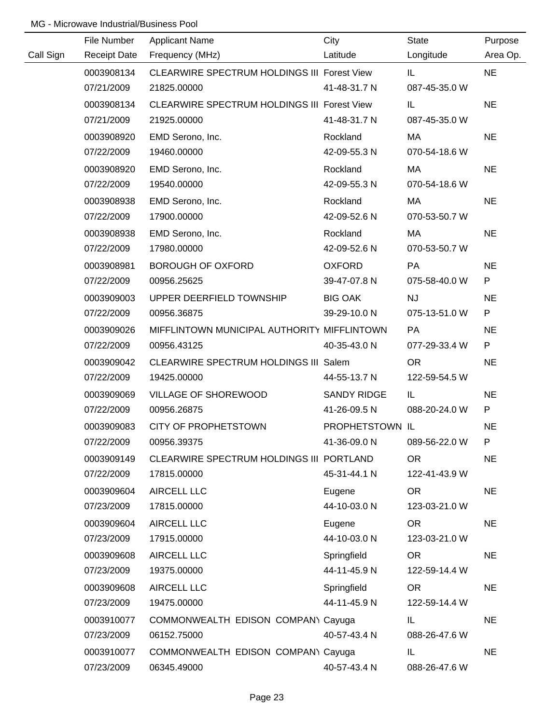|           | File Number         | <b>Applicant Name</b>                       | City            | <b>State</b>  | Purpose   |
|-----------|---------------------|---------------------------------------------|-----------------|---------------|-----------|
| Call Sign | <b>Receipt Date</b> | Frequency (MHz)                             | Latitude        | Longitude     | Area Op.  |
|           | 0003908134          | CLEARWIRE SPECTRUM HOLDINGS III Forest View |                 | IL.           | <b>NE</b> |
|           | 07/21/2009          | 21825.00000                                 | 41-48-31.7 N    | 087-45-35.0 W |           |
|           | 0003908134          | CLEARWIRE SPECTRUM HOLDINGS III Forest View |                 | IL            | <b>NE</b> |
|           | 07/21/2009          | 21925.00000                                 | 41-48-31.7 N    | 087-45-35.0 W |           |
|           | 0003908920          | EMD Serono, Inc.                            | Rockland        | МA            | <b>NE</b> |
|           | 07/22/2009          | 19460.00000                                 | 42-09-55.3 N    | 070-54-18.6 W |           |
|           | 0003908920          | EMD Serono, Inc.                            | Rockland        | МA            | <b>NE</b> |
|           | 07/22/2009          | 19540.00000                                 | 42-09-55.3 N    | 070-54-18.6 W |           |
|           | 0003908938          | EMD Serono, Inc.                            | Rockland        | МA            | <b>NE</b> |
|           | 07/22/2009          | 17900.00000                                 | 42-09-52.6 N    | 070-53-50.7 W |           |
|           | 0003908938          | EMD Serono, Inc.                            | Rockland        | МA            | <b>NE</b> |
|           | 07/22/2009          | 17980.00000                                 | 42-09-52.6 N    | 070-53-50.7 W |           |
|           | 0003908981          | <b>BOROUGH OF OXFORD</b>                    | <b>OXFORD</b>   | PA            | <b>NE</b> |
|           | 07/22/2009          | 00956.25625                                 | 39-47-07.8 N    | 075-58-40.0 W | P         |
|           | 0003909003          | UPPER DEERFIELD TOWNSHIP                    | <b>BIG OAK</b>  | <b>NJ</b>     | <b>NE</b> |
|           | 07/22/2009          | 00956.36875                                 | 39-29-10.0 N    | 075-13-51.0 W | P         |
|           | 0003909026          | MIFFLINTOWN MUNICIPAL AUTHORITY MIFFLINTOWN |                 | <b>PA</b>     | <b>NE</b> |
|           | 07/22/2009          | 00956.43125                                 | 40-35-43.0 N    | 077-29-33.4 W | P         |
|           | 0003909042          | CLEARWIRE SPECTRUM HOLDINGS III Salem       |                 | <b>OR</b>     | <b>NE</b> |
|           | 07/22/2009          | 19425.00000                                 | 44-55-13.7 N    | 122-59-54.5 W |           |
|           | 0003909069          | VILLAGE OF SHOREWOOD                        | SANDY RIDGE     | IL            | <b>NE</b> |
|           | 07/22/2009          | 00956.26875                                 | 41-26-09.5 N    | 088-20-24.0 W | P         |
|           | 0003909083          | <b>CITY OF PROPHETSTOWN</b>                 | PROPHETSTOWN IL |               | <b>NE</b> |
|           | 07/22/2009          | 00956.39375                                 | 41-36-09.0 N    | 089-56-22.0 W | P         |
|           | 0003909149          | CLEARWIRE SPECTRUM HOLDINGS III PORTLAND    |                 | OR            | <b>NE</b> |
|           | 07/22/2009          | 17815.00000                                 | 45-31-44.1 N    | 122-41-43.9 W |           |
|           | 0003909604          | AIRCELL LLC                                 | Eugene          | <b>OR</b>     | <b>NE</b> |
|           | 07/23/2009          | 17815.00000                                 | 44-10-03.0 N    | 123-03-21.0 W |           |
|           | 0003909604          | AIRCELL LLC                                 | Eugene          | <b>OR</b>     | <b>NE</b> |
|           | 07/23/2009          | 17915.00000                                 | 44-10-03.0 N    | 123-03-21.0 W |           |
|           | 0003909608          | AIRCELL LLC                                 | Springfield     | <b>OR</b>     | <b>NE</b> |
|           | 07/23/2009          | 19375.00000                                 | 44-11-45.9 N    | 122-59-14.4 W |           |
|           | 0003909608          | AIRCELL LLC                                 | Springfield     | <b>OR</b>     | <b>NE</b> |
|           | 07/23/2009          | 19475.00000                                 | 44-11-45.9 N    | 122-59-14.4 W |           |
|           | 0003910077          | COMMONWEALTH EDISON COMPANY Cayuga          |                 | IL.           | <b>NE</b> |
|           | 07/23/2009          | 06152.75000                                 | 40-57-43.4 N    | 088-26-47.6 W |           |
|           | 0003910077          | COMMONWEALTH EDISON COMPANY Cayuga          |                 | IL.           | <b>NE</b> |
|           | 07/23/2009          | 06345.49000                                 | 40-57-43.4 N    | 088-26-47.6 W |           |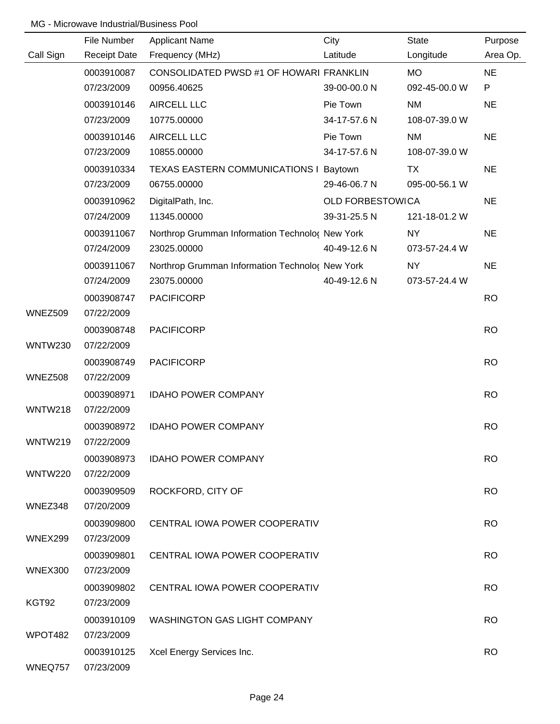|                | File Number         | <b>Applicant Name</b>                           | City                    | State         | Purpose   |
|----------------|---------------------|-------------------------------------------------|-------------------------|---------------|-----------|
| Call Sign      | <b>Receipt Date</b> | Frequency (MHz)                                 | Latitude                | Longitude     | Area Op.  |
|                | 0003910087          | CONSOLIDATED PWSD #1 OF HOWARI FRANKLIN         |                         | <b>MO</b>     | <b>NE</b> |
|                | 07/23/2009          | 00956.40625                                     | 39-00-00.0 N            | 092-45-00.0 W | P         |
|                | 0003910146          | <b>AIRCELL LLC</b>                              | Pie Town                | <b>NM</b>     | <b>NE</b> |
|                | 07/23/2009          | 10775.00000                                     | 34-17-57.6 N            | 108-07-39.0 W |           |
|                | 0003910146          | <b>AIRCELL LLC</b>                              | Pie Town                | <b>NM</b>     | <b>NE</b> |
|                | 07/23/2009          | 10855.00000                                     | 34-17-57.6 N            | 108-07-39.0 W |           |
|                | 0003910334          | TEXAS EASTERN COMMUNICATIONS I Baytown          |                         | <b>TX</b>     | <b>NE</b> |
|                | 07/23/2009          | 06755.00000                                     | 29-46-06.7 N            | 095-00-56.1 W |           |
|                | 0003910962          | DigitalPath, Inc.                               | <b>OLD FORBESTOWICA</b> |               | <b>NE</b> |
|                | 07/24/2009          | 11345.00000                                     | 39-31-25.5 N            | 121-18-01.2 W |           |
|                | 0003911067          | Northrop Grumman Information Technolo( New York |                         | NY            | <b>NE</b> |
|                | 07/24/2009          | 23025.00000                                     | 40-49-12.6 N            | 073-57-24.4 W |           |
|                | 0003911067          | Northrop Grumman Information Technolo( New York |                         | <b>NY</b>     | <b>NE</b> |
|                | 07/24/2009          | 23075.00000                                     | 40-49-12.6 N            | 073-57-24.4 W |           |
|                | 0003908747          | <b>PACIFICORP</b>                               |                         |               | <b>RO</b> |
| WNEZ509        | 07/22/2009          |                                                 |                         |               |           |
|                | 0003908748          | <b>PACIFICORP</b>                               |                         |               | <b>RO</b> |
| <b>WNTW230</b> | 07/22/2009          |                                                 |                         |               |           |
|                | 0003908749          | <b>PACIFICORP</b>                               |                         |               | <b>RO</b> |
| WNEZ508        | 07/22/2009          |                                                 |                         |               |           |
|                | 0003908971          | <b>IDAHO POWER COMPANY</b>                      |                         |               | <b>RO</b> |
| WNTW218        | 07/22/2009          |                                                 |                         |               |           |
|                | 0003908972          | <b>IDAHO POWER COMPANY</b>                      |                         |               | <b>RO</b> |
| WNTW219        | 07/22/2009          |                                                 |                         |               |           |
|                | 0003908973          | <b>IDAHO POWER COMPANY</b>                      |                         |               | <b>RO</b> |
| <b>WNTW220</b> | 07/22/2009          |                                                 |                         |               |           |
|                | 0003909509          | ROCKFORD, CITY OF                               |                         |               | <b>RO</b> |
| WNEZ348        | 07/20/2009          |                                                 |                         |               |           |
|                | 0003909800          | CENTRAL IOWA POWER COOPERATIV                   |                         |               | <b>RO</b> |
| WNEX299        | 07/23/2009          |                                                 |                         |               |           |
|                | 0003909801          | CENTRAL IOWA POWER COOPERATIV                   |                         |               | <b>RO</b> |
| <b>WNEX300</b> | 07/23/2009          |                                                 |                         |               |           |
|                | 0003909802          | CENTRAL IOWA POWER COOPERATIV                   |                         |               | <b>RO</b> |
| KGT92          | 07/23/2009          |                                                 |                         |               |           |
|                | 0003910109          | <b>WASHINGTON GAS LIGHT COMPANY</b>             |                         |               | <b>RO</b> |
| WPOT482        | 07/23/2009          |                                                 |                         |               |           |
|                | 0003910125          | Xcel Energy Services Inc.                       |                         |               | <b>RO</b> |
| WNEQ757        | 07/23/2009          |                                                 |                         |               |           |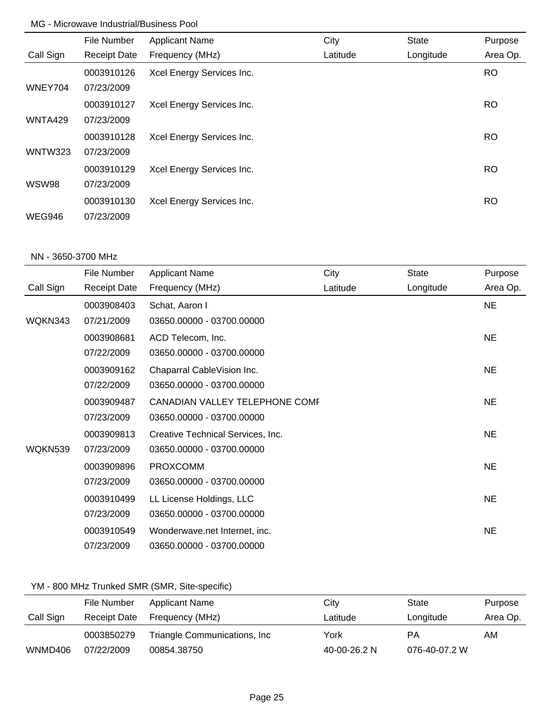|                | File Number         | <b>Applicant Name</b>     | City     | <b>State</b> | Purpose   |
|----------------|---------------------|---------------------------|----------|--------------|-----------|
| Call Sign      | <b>Receipt Date</b> | Frequency (MHz)           | Latitude | Longitude    | Area Op.  |
|                | 0003910126          | Xcel Energy Services Inc. |          |              | <b>RO</b> |
| WNEY704        | 07/23/2009          |                           |          |              |           |
|                | 0003910127          | Xcel Energy Services Inc. |          |              | <b>RO</b> |
| WNTA429        | 07/23/2009          |                           |          |              |           |
|                | 0003910128          | Xcel Energy Services Inc. |          |              | <b>RO</b> |
| <b>WNTW323</b> | 07/23/2009          |                           |          |              |           |
|                | 0003910129          | Xcel Energy Services Inc. |          |              | <b>RO</b> |
| WSW98          | 07/23/2009          |                           |          |              |           |
|                | 0003910130          | Xcel Energy Services Inc. |          |              | <b>RO</b> |
| WEG946         | 07/23/2009          |                           |          |              |           |

#### NN - 3650-3700 MHz

|           | File Number         | <b>Applicant Name</b>             | City     | <b>State</b> | Purpose   |
|-----------|---------------------|-----------------------------------|----------|--------------|-----------|
| Call Sign | <b>Receipt Date</b> | Frequency (MHz)                   | Latitude | Longitude    | Area Op.  |
|           | 0003908403          | Schat, Aaron I                    |          |              | <b>NE</b> |
| WQKN343   | 07/21/2009          | 03650.00000 - 03700.00000         |          |              |           |
|           | 0003908681          | ACD Telecom, Inc.                 |          |              | <b>NE</b> |
|           | 07/22/2009          | 03650.00000 - 03700.00000         |          |              |           |
|           | 0003909162          | Chaparral CableVision Inc.        |          |              | <b>NE</b> |
|           | 07/22/2009          | 03650.00000 - 03700.00000         |          |              |           |
|           | 0003909487          | CANADIAN VALLEY TELEPHONE COME    |          |              | <b>NE</b> |
|           | 07/23/2009          | 03650.00000 - 03700.00000         |          |              |           |
|           | 0003909813          | Creative Technical Services, Inc. |          |              | <b>NE</b> |
| WQKN539   | 07/23/2009          | 03650.00000 - 03700.00000         |          |              |           |
|           | 0003909896          | <b>PROXCOMM</b>                   |          |              | <b>NE</b> |
|           | 07/23/2009          | 03650.00000 - 03700.00000         |          |              |           |
|           | 0003910499          | LL License Holdings, LLC          |          |              | <b>NE</b> |
|           | 07/23/2009          | 03650.00000 - 03700.00000         |          |              |           |
|           | 0003910549          | Wonderwave.net Internet, inc.     |          |              | <b>NE</b> |
|           | 07/23/2009          | 03650.00000 - 03700.00000         |          |              |           |

# YM - 800 MHz Trunked SMR (SMR, Site-specific)

|           | File Number         | Applicant Name                | City         | State         | Purpose  |
|-----------|---------------------|-------------------------------|--------------|---------------|----------|
| Call Sign | <b>Receipt Date</b> | Frequency (MHz)               | Latitude     | Longitude     | Area Op. |
|           | 0003850279          | Triangle Communications, Inc. | York         | РA            | AM.      |
| WNMD406   | 07/22/2009          | 00854.38750                   | 40-00-26.2 N | 076-40-07.2 W |          |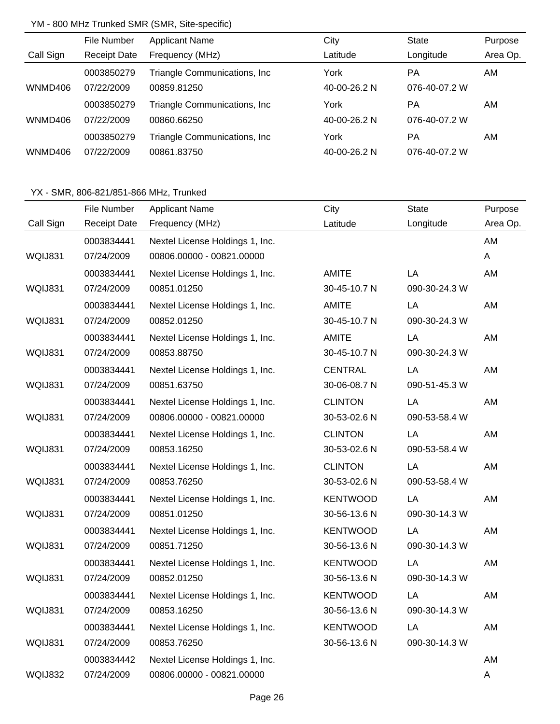## YM - 800 MHz Trunked SMR (SMR, Site-specific)

|           | File Number         | <b>Applicant Name</b>         | City         | <b>State</b>  | Purpose  |
|-----------|---------------------|-------------------------------|--------------|---------------|----------|
| Call Sign | <b>Receipt Date</b> | Frequency (MHz)               | Latitude     | Longitude     | Area Op. |
|           | 0003850279          | Triangle Communications, Inc. | York         | <b>PA</b>     | AM       |
| WNMD406   | 07/22/2009          | 00859.81250                   | 40-00-26.2 N | 076-40-07.2 W |          |
|           | 0003850279          | Triangle Communications, Inc. | York         | PA            | AM       |
| WNMD406   | 07/22/2009          | 00860.66250                   | 40-00-26.2 N | 076-40-07.2 W |          |
|           | 0003850279          | Triangle Communications, Inc. | York         | <b>PA</b>     | AM.      |
| WNMD406   | 07/22/2009          | 00861.83750                   | 40-00-26.2 N | 076-40-07.2 W |          |

|           | File Number         | <b>Applicant Name</b>           | City            | <b>State</b>  | Purpose  |
|-----------|---------------------|---------------------------------|-----------------|---------------|----------|
| Call Sign | <b>Receipt Date</b> | Frequency (MHz)                 | Latitude        | Longitude     | Area Op. |
|           | 0003834441          | Nextel License Holdings 1, Inc. |                 |               | AM       |
| WQIJ831   | 07/24/2009          | 00806.00000 - 00821.00000       |                 |               | A        |
|           | 0003834441          | Nextel License Holdings 1, Inc. | AMITE           | LA            | AM       |
| WQIJ831   | 07/24/2009          | 00851.01250                     | 30-45-10.7 N    | 090-30-24.3 W |          |
|           | 0003834441          | Nextel License Holdings 1, Inc. | <b>AMITE</b>    | LA            | AM       |
| WQIJ831   | 07/24/2009          | 00852.01250                     | 30-45-10.7 N    | 090-30-24.3 W |          |
|           | 0003834441          | Nextel License Holdings 1, Inc. | <b>AMITE</b>    | LA            | AM       |
| WQIJ831   | 07/24/2009          | 00853.88750                     | 30-45-10.7 N    | 090-30-24.3 W |          |
|           | 0003834441          | Nextel License Holdings 1, Inc. | <b>CENTRAL</b>  | LA            | AM       |
| WQIJ831   | 07/24/2009          | 00851.63750                     | 30-06-08.7 N    | 090-51-45.3 W |          |
|           | 0003834441          | Nextel License Holdings 1, Inc. | <b>CLINTON</b>  | LA            | AM       |
| WQIJ831   | 07/24/2009          | 00806.00000 - 00821.00000       | 30-53-02.6 N    | 090-53-58.4 W |          |
|           | 0003834441          | Nextel License Holdings 1, Inc. | <b>CLINTON</b>  | LA            | AM       |
| WQIJ831   | 07/24/2009          | 00853.16250                     | 30-53-02.6 N    | 090-53-58.4 W |          |
|           | 0003834441          | Nextel License Holdings 1, Inc. | <b>CLINTON</b>  | LA            | AM       |
| WQIJ831   | 07/24/2009          | 00853.76250                     | 30-53-02.6 N    | 090-53-58.4 W |          |
|           | 0003834441          | Nextel License Holdings 1, Inc. | <b>KENTWOOD</b> | LA            | AM       |
| WQIJ831   | 07/24/2009          | 00851.01250                     | 30-56-13.6 N    | 090-30-14.3 W |          |
|           | 0003834441          | Nextel License Holdings 1, Inc. | <b>KENTWOOD</b> | LA            | AM       |
| WQIJ831   | 07/24/2009          | 00851.71250                     | 30-56-13.6 N    | 090-30-14.3 W |          |
|           | 0003834441          | Nextel License Holdings 1, Inc. | <b>KENTWOOD</b> | LA            | AM       |
| WQIJ831   | 07/24/2009          | 00852.01250                     | 30-56-13.6 N    | 090-30-14.3 W |          |
|           | 0003834441          | Nextel License Holdings 1, Inc. | <b>KENTWOOD</b> | LA            | AM       |
| WQIJ831   | 07/24/2009          | 00853.16250                     | 30-56-13.6 N    | 090-30-14.3 W |          |
|           | 0003834441          | Nextel License Holdings 1, Inc. | <b>KENTWOOD</b> | LA            | AM       |
| WQIJ831   | 07/24/2009          | 00853.76250                     | 30-56-13.6 N    | 090-30-14.3 W |          |
|           | 0003834442          | Nextel License Holdings 1, Inc. |                 |               | AM       |
| WQIJ832   | 07/24/2009          | 00806.00000 - 00821.00000       |                 |               | A        |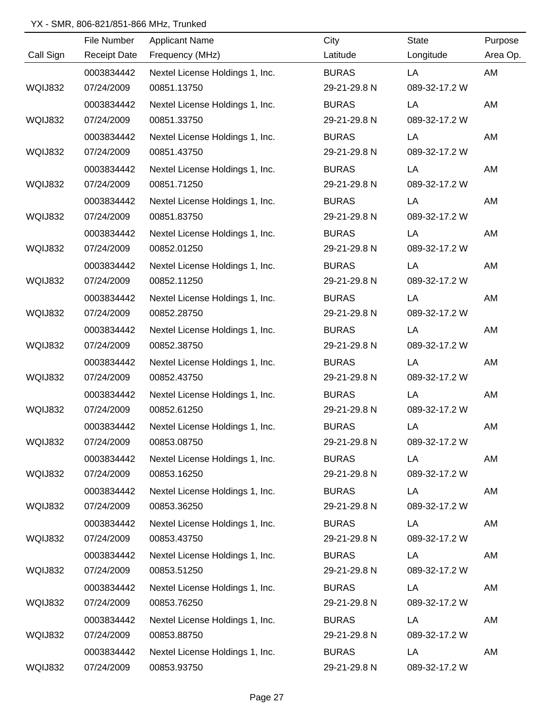|                | File Number         | <b>Applicant Name</b>           | City         | <b>State</b>  | Purpose  |
|----------------|---------------------|---------------------------------|--------------|---------------|----------|
| Call Sign      | <b>Receipt Date</b> | Frequency (MHz)                 | Latitude     | Longitude     | Area Op. |
|                | 0003834442          | Nextel License Holdings 1, Inc. | <b>BURAS</b> | LA            | AM       |
| WQIJ832        | 07/24/2009          | 00851.13750                     | 29-21-29.8 N | 089-32-17.2 W |          |
|                | 0003834442          | Nextel License Holdings 1, Inc. | <b>BURAS</b> | LA            | AM       |
| WQIJ832        | 07/24/2009          | 00851.33750                     | 29-21-29.8 N | 089-32-17.2 W |          |
|                | 0003834442          | Nextel License Holdings 1, Inc. | <b>BURAS</b> | LA            | AM       |
| <b>WQIJ832</b> | 07/24/2009          | 00851.43750                     | 29-21-29.8 N | 089-32-17.2 W |          |
|                | 0003834442          | Nextel License Holdings 1, Inc. | <b>BURAS</b> | LA            | AM       |
| WQIJ832        | 07/24/2009          | 00851.71250                     | 29-21-29.8 N | 089-32-17.2 W |          |
|                | 0003834442          | Nextel License Holdings 1, Inc. | <b>BURAS</b> | LA            | AM       |
| WQIJ832        | 07/24/2009          | 00851.83750                     | 29-21-29.8 N | 089-32-17.2 W |          |
|                | 0003834442          | Nextel License Holdings 1, Inc. | <b>BURAS</b> | LA            | AM       |
| <b>WQIJ832</b> | 07/24/2009          | 00852.01250                     | 29-21-29.8 N | 089-32-17.2 W |          |
|                | 0003834442          | Nextel License Holdings 1, Inc. | <b>BURAS</b> | LA            | AM       |
| <b>WQIJ832</b> | 07/24/2009          | 00852.11250                     | 29-21-29.8 N | 089-32-17.2 W |          |
|                | 0003834442          | Nextel License Holdings 1, Inc. | <b>BURAS</b> | LA            | AM       |
| WQIJ832        | 07/24/2009          | 00852.28750                     | 29-21-29.8 N | 089-32-17.2 W |          |
|                | 0003834442          | Nextel License Holdings 1, Inc. | <b>BURAS</b> | LA            | AM       |
| WQIJ832        | 07/24/2009          | 00852.38750                     | 29-21-29.8 N | 089-32-17.2 W |          |
|                | 0003834442          | Nextel License Holdings 1, Inc. | <b>BURAS</b> | LA            | AM       |
| WQIJ832        | 07/24/2009          | 00852.43750                     | 29-21-29.8 N | 089-32-17.2 W |          |
|                | 0003834442          | Nextel License Holdings 1, Inc. | <b>BURAS</b> | LA            | AM       |
| WQIJ832        | 07/24/2009          | 00852.61250                     | 29-21-29.8 N | 089-32-17.2 W |          |
|                | 0003834442          | Nextel License Holdings 1, Inc. | <b>BURAS</b> | LA            | AM       |
| WQIJ832        | 07/24/2009          | 00853.08750                     | 29-21-29.8 N | 089-32-17.2 W |          |
|                | 0003834442          | Nextel License Holdings 1, Inc. | <b>BURAS</b> | LA            | AM       |
| WQIJ832        | 07/24/2009          | 00853.16250                     | 29-21-29.8 N | 089-32-17.2 W |          |
|                | 0003834442          | Nextel License Holdings 1, Inc. | <b>BURAS</b> | LA            | AM       |
| WQIJ832        | 07/24/2009          | 00853.36250                     | 29-21-29.8 N | 089-32-17.2 W |          |
|                | 0003834442          | Nextel License Holdings 1, Inc. | <b>BURAS</b> | LA            | AM       |
| WQIJ832        | 07/24/2009          | 00853.43750                     | 29-21-29.8 N | 089-32-17.2 W |          |
|                | 0003834442          | Nextel License Holdings 1, Inc. | <b>BURAS</b> | LA            | AM       |
| WQIJ832        | 07/24/2009          | 00853.51250                     | 29-21-29.8 N | 089-32-17.2 W |          |
|                | 0003834442          | Nextel License Holdings 1, Inc. | <b>BURAS</b> | LA            | AM       |
| WQIJ832        | 07/24/2009          | 00853.76250                     | 29-21-29.8 N | 089-32-17.2 W |          |
|                | 0003834442          | Nextel License Holdings 1, Inc. | <b>BURAS</b> | LA            | AM       |
| WQIJ832        | 07/24/2009          | 00853.88750                     | 29-21-29.8 N | 089-32-17.2 W |          |
|                | 0003834442          | Nextel License Holdings 1, Inc. | <b>BURAS</b> | LA            | AM       |
| WQIJ832        | 07/24/2009          | 00853.93750                     | 29-21-29.8 N | 089-32-17.2 W |          |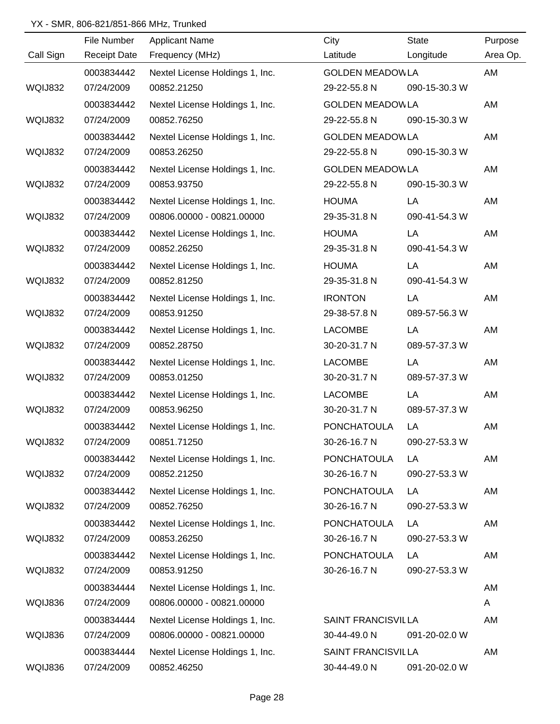|                | File Number         | <b>Applicant Name</b>           | City                      | <b>State</b>  | Purpose  |
|----------------|---------------------|---------------------------------|---------------------------|---------------|----------|
| Call Sign      | <b>Receipt Date</b> | Frequency (MHz)                 | Latitude                  | Longitude     | Area Op. |
|                | 0003834442          | Nextel License Holdings 1, Inc. | <b>GOLDEN MEADOWLA</b>    |               | AM       |
| WQIJ832        | 07/24/2009          | 00852.21250                     | 29-22-55.8 N              | 090-15-30.3 W |          |
|                | 0003834442          | Nextel License Holdings 1, Inc. | <b>GOLDEN MEADOWLA</b>    |               | AM       |
| WQIJ832        | 07/24/2009          | 00852.76250                     | 29-22-55.8 N              | 090-15-30.3 W |          |
|                | 0003834442          | Nextel License Holdings 1, Inc. | <b>GOLDEN MEADOWLA</b>    |               | AM       |
| WQIJ832        | 07/24/2009          | 00853.26250                     | 29-22-55.8 N              | 090-15-30.3 W |          |
|                | 0003834442          | Nextel License Holdings 1, Inc. | <b>GOLDEN MEADOWLA</b>    |               | AM       |
| <b>WQIJ832</b> | 07/24/2009          | 00853.93750                     | 29-22-55.8 N              | 090-15-30.3 W |          |
|                | 0003834442          | Nextel License Holdings 1, Inc. | <b>HOUMA</b>              | LA            | AM       |
| WQIJ832        | 07/24/2009          | 00806.00000 - 00821.00000       | 29-35-31.8 N              | 090-41-54.3 W |          |
|                | 0003834442          | Nextel License Holdings 1, Inc. | <b>HOUMA</b>              | LA            | AM       |
| WQIJ832        | 07/24/2009          | 00852.26250                     | 29-35-31.8 N              | 090-41-54.3 W |          |
|                | 0003834442          | Nextel License Holdings 1, Inc. | <b>HOUMA</b>              | LA            | AM       |
| WQIJ832        | 07/24/2009          | 00852.81250                     | 29-35-31.8 N              | 090-41-54.3 W |          |
|                | 0003834442          | Nextel License Holdings 1, Inc. | <b>IRONTON</b>            | LA            | AM       |
| WQIJ832        | 07/24/2009          | 00853.91250                     | 29-38-57.8 N              | 089-57-56.3 W |          |
|                | 0003834442          | Nextel License Holdings 1, Inc. | <b>LACOMBE</b>            | LA            | AM       |
| WQIJ832        | 07/24/2009          | 00852.28750                     | 30-20-31.7 N              | 089-57-37.3 W |          |
|                | 0003834442          | Nextel License Holdings 1, Inc. | <b>LACOMBE</b>            | LA            | AM       |
| WQIJ832        | 07/24/2009          | 00853.01250                     | 30-20-31.7 N              | 089-57-37.3 W |          |
|                | 0003834442          | Nextel License Holdings 1, Inc. | <b>LACOMBE</b>            | LA            | AM       |
| WQIJ832        | 07/24/2009          | 00853.96250                     | 30-20-31.7 N              | 089-57-37.3 W |          |
|                | 0003834442          | Nextel License Holdings 1, Inc. | <b>PONCHATOULA</b>        | LA            | AM       |
| WQIJ832        | 07/24/2009          | 00851.71250                     | 30-26-16.7 N              | 090-27-53.3 W |          |
|                | 0003834442          | Nextel License Holdings 1, Inc. | <b>PONCHATOULA</b>        | LA            | AM       |
| WQIJ832        | 07/24/2009          | 00852.21250                     | 30-26-16.7 N              | 090-27-53.3 W |          |
|                | 0003834442          | Nextel License Holdings 1, Inc. | <b>PONCHATOULA</b>        | LA            | AM       |
| WQIJ832        | 07/24/2009          | 00852.76250                     | 30-26-16.7 N              | 090-27-53.3 W |          |
|                | 0003834442          | Nextel License Holdings 1, Inc. | <b>PONCHATOULA</b>        | LA            | AM       |
| WQIJ832        | 07/24/2009          | 00853.26250                     | 30-26-16.7 N              | 090-27-53.3 W |          |
|                | 0003834442          | Nextel License Holdings 1, Inc. | <b>PONCHATOULA</b>        | LA            | AM       |
| WQIJ832        | 07/24/2009          | 00853.91250                     | 30-26-16.7 N              | 090-27-53.3 W |          |
|                | 0003834444          | Nextel License Holdings 1, Inc. |                           |               | AM       |
| WQIJ836        | 07/24/2009          | 00806.00000 - 00821.00000       |                           |               | A        |
|                | 0003834444          | Nextel License Holdings 1, Inc. | <b>SAINT FRANCISVILLA</b> |               | AM       |
| WQIJ836        | 07/24/2009          | 00806.00000 - 00821.00000       | 30-44-49.0 N              | 091-20-02.0 W |          |
|                | 0003834444          | Nextel License Holdings 1, Inc. | <b>SAINT FRANCISVILLA</b> |               | AM       |
| WQIJ836        | 07/24/2009          | 00852.46250                     | 30-44-49.0 N              | 091-20-02.0 W |          |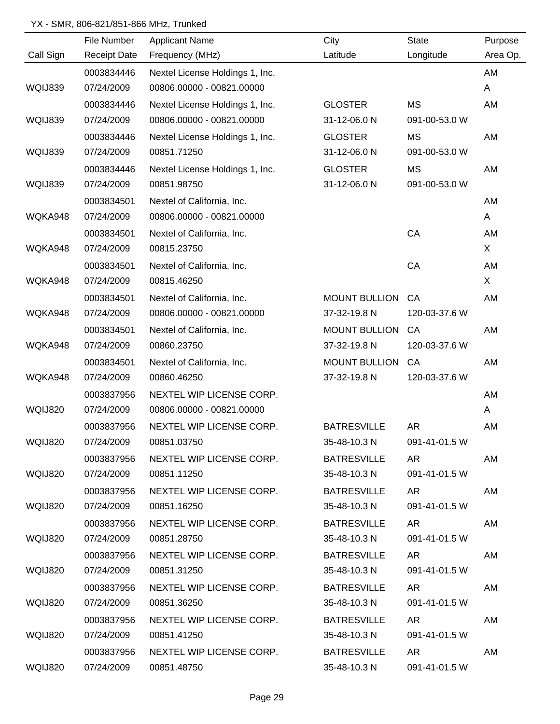|                | File Number         | <b>Applicant Name</b>           | City                 | <b>State</b>  | Purpose  |
|----------------|---------------------|---------------------------------|----------------------|---------------|----------|
| Call Sign      | <b>Receipt Date</b> | Frequency (MHz)                 | Latitude             | Longitude     | Area Op. |
|                | 0003834446          | Nextel License Holdings 1, Inc. |                      |               | AM       |
| WQIJ839        | 07/24/2009          | 00806.00000 - 00821.00000       |                      |               | A        |
|                | 0003834446          | Nextel License Holdings 1, Inc. | <b>GLOSTER</b>       | <b>MS</b>     | AM       |
| WQIJ839        | 07/24/2009          | 00806.00000 - 00821.00000       | 31-12-06.0 N         | 091-00-53.0 W |          |
|                | 0003834446          | Nextel License Holdings 1, Inc. | <b>GLOSTER</b>       | <b>MS</b>     | AM       |
| WQIJ839        | 07/24/2009          | 00851.71250                     | 31-12-06.0 N         | 091-00-53.0 W |          |
|                | 0003834446          | Nextel License Holdings 1, Inc. | <b>GLOSTER</b>       | <b>MS</b>     | AM       |
| WQIJ839        | 07/24/2009          | 00851.98750                     | 31-12-06.0 N         | 091-00-53.0 W |          |
|                | 0003834501          | Nextel of California, Inc.      |                      |               | AM       |
| WQKA948        | 07/24/2009          | 00806.00000 - 00821.00000       |                      |               | A        |
|                | 0003834501          | Nextel of California, Inc.      |                      | CA            | AM       |
| WQKA948        | 07/24/2009          | 00815.23750                     |                      |               | X        |
|                | 0003834501          | Nextel of California, Inc.      |                      | CA            | AM       |
| WQKA948        | 07/24/2009          | 00815.46250                     |                      |               | X        |
|                | 0003834501          | Nextel of California, Inc.      | <b>MOUNT BULLION</b> | CA            | AM       |
| WQKA948        | 07/24/2009          | 00806.00000 - 00821.00000       | 37-32-19.8 N         | 120-03-37.6 W |          |
|                | 0003834501          | Nextel of California, Inc.      | <b>MOUNT BULLION</b> | CA            | AM       |
| WQKA948        | 07/24/2009          | 00860.23750                     | 37-32-19.8 N         | 120-03-37.6 W |          |
|                | 0003834501          | Nextel of California, Inc.      | <b>MOUNT BULLION</b> | CA            | AM       |
| WQKA948        | 07/24/2009          | 00860.46250                     | 37-32-19.8 N         | 120-03-37.6 W |          |
|                | 0003837956          | NEXTEL WIP LICENSE CORP.        |                      |               | AM       |
| <b>WQIJ820</b> | 07/24/2009          | 00806.00000 - 00821.00000       |                      |               | A        |
|                | 0003837956          | NEXTEL WIP LICENSE CORP.        | <b>BATRESVILLE</b>   | <b>AR</b>     | AM       |
| WQIJ820        | 07/24/2009          | 00851.03750                     | 35-48-10.3 N         | 091-41-01.5 W |          |
|                | 0003837956          | NEXTEL WIP LICENSE CORP.        | <b>BATRESVILLE</b>   | AR            | AM       |
| WQIJ820        | 07/24/2009          | 00851.11250                     | 35-48-10.3 N         | 091-41-01.5 W |          |
|                | 0003837956          | NEXTEL WIP LICENSE CORP.        | <b>BATRESVILLE</b>   | AR            | AM       |
| WQIJ820        | 07/24/2009          | 00851.16250                     | 35-48-10.3 N         | 091-41-01.5 W |          |
|                | 0003837956          | NEXTEL WIP LICENSE CORP.        | <b>BATRESVILLE</b>   | AR            | AM       |
| WQIJ820        | 07/24/2009          | 00851.28750                     | 35-48-10.3 N         | 091-41-01.5 W |          |
|                | 0003837956          | NEXTEL WIP LICENSE CORP.        | <b>BATRESVILLE</b>   | AR            | AM       |
| WQIJ820        | 07/24/2009          | 00851.31250                     | 35-48-10.3 N         | 091-41-01.5 W |          |
|                | 0003837956          | NEXTEL WIP LICENSE CORP.        | <b>BATRESVILLE</b>   | AR            | AM       |
| WQIJ820        | 07/24/2009          | 00851.36250                     | 35-48-10.3 N         | 091-41-01.5 W |          |
|                | 0003837956          | NEXTEL WIP LICENSE CORP.        | <b>BATRESVILLE</b>   | AR.           | AM       |
| WQIJ820        | 07/24/2009          | 00851.41250                     | 35-48-10.3 N         | 091-41-01.5 W |          |
|                | 0003837956          | NEXTEL WIP LICENSE CORP.        | <b>BATRESVILLE</b>   | AR            | AM       |
| WQIJ820        | 07/24/2009          | 00851.48750                     | 35-48-10.3 N         | 091-41-01.5 W |          |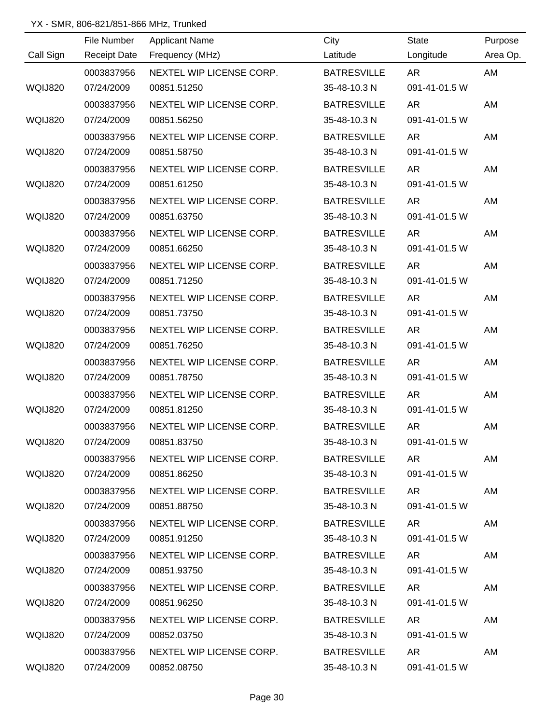|                |             | <u> 1989 - Johann Barn, mars an t-Amerikaansk kommunister (</u> |                    |               |          |
|----------------|-------------|-----------------------------------------------------------------|--------------------|---------------|----------|
|                | File Number | <b>Applicant Name</b>                                           | City               | State         | Purpose  |
| Call Sign      |             | Receipt Date Frequency (MHz)                                    | Latitude           | Longitude     | Area Op. |
|                | 0003837956  | NEXTEL WIP LICENSE CORP.                                        | <b>BATRESVILLE</b> | <b>AR</b>     | AM       |
| <b>WQIJ820</b> | 07/24/2009  | 00851.51250                                                     | 35-48-10.3 N       | 091-41-01.5 W |          |
|                | 0003837956  | NEXTEL WIP LICENSE CORP.                                        | <b>BATRESVILLE</b> | AR            | AM       |
| <b>WQIJ820</b> | 07/24/2009  | 00851.56250                                                     | 35-48-10.3 N       | 091-41-01.5 W |          |
|                | 0003837956  | NEXTEL WIP LICENSE CORP.                                        | <b>BATRESVILLE</b> | AR            | AM       |
| <b>WQIJ820</b> | 07/24/2009  | 00851.58750                                                     | 35-48-10.3 N       | 091-41-01.5 W |          |
|                | 0003837956  | NEXTEL WIP LICENSE CORP.                                        | <b>BATRESVILLE</b> | AR            | AM       |
| WQIJ820        | 07/24/2009  | 00851.61250                                                     | 35-48-10.3 N       | 091-41-01.5 W |          |
|                | 0003837956  | NEXTEL WIP LICENSE CORP.                                        | <b>BATRESVILLE</b> | AR            | AM       |
| WQIJ820        | 07/24/2009  | 00851.63750                                                     | 35-48-10.3 N       | 091-41-01.5 W |          |
|                | 0003837956  | NEXTEL WIP LICENSE CORP.                                        | <b>BATRESVILLE</b> | <b>AR</b>     | AM       |
| WQIJ820        | 07/24/2009  | 00851.66250                                                     | 35-48-10.3 N       | 091-41-01.5 W |          |
|                | 0003837956  | NEXTEL WIP LICENSE CORP.                                        | <b>BATRESVILLE</b> | AR            | AM       |
| WQIJ820        | 07/24/2009  | 00851.71250                                                     | 35-48-10.3 N       | 091-41-01.5 W |          |
|                | 0003837956  | NEXTEL WIP LICENSE CORP.                                        | <b>BATRESVILLE</b> | <b>AR</b>     | AM       |
| WQIJ820        | 07/24/2009  | 00851.73750                                                     | 35-48-10.3 N       | 091-41-01.5 W |          |
|                | 0003837956  | NEXTEL WIP LICENSE CORP.                                        | <b>BATRESVILLE</b> | <b>AR</b>     | AM       |
| <b>WQIJ820</b> | 07/24/2009  | 00851.76250                                                     | 35-48-10.3 N       | 091-41-01.5 W |          |
|                | 0003837956  | NEXTEL WIP LICENSE CORP.                                        | <b>BATRESVILLE</b> | <b>AR</b>     | AM       |
| WQIJ820        | 07/24/2009  | 00851.78750                                                     | 35-48-10.3 N       | 091-41-01.5 W |          |
|                | 0003837956  | NEXTEL WIP LICENSE CORP.                                        | <b>BATRESVILLE</b> | <b>AR</b>     | AM       |
| WQIJ820        | 07/24/2009  | 00851.81250                                                     | 35-48-10.3 N       | 091-41-01.5 W |          |
|                | 0003837956  | NEXTEL WIP LICENSE CORP.                                        | <b>BATRESVILLE</b> | AR            | AM       |
| WQIJ820        | 07/24/2009  | 00851.83750                                                     | 35-48-10.3 N       | 091-41-01.5 W |          |
|                | 0003837956  | NEXTEL WIP LICENSE CORP.                                        | <b>BATRESVILLE</b> | AR            | AM       |
| WQIJ820        | 07/24/2009  | 00851.86250                                                     | 35-48-10.3 N       | 091-41-01.5 W |          |
|                | 0003837956  | NEXTEL WIP LICENSE CORP.                                        | BATRESVILLE        | AR            | AM       |
| WQIJ820        | 07/24/2009  | 00851.88750                                                     | 35-48-10.3 N       | 091-41-01.5 W |          |
|                | 0003837956  | NEXTEL WIP LICENSE CORP.                                        | BATRESVILLE        | AR            | AM       |
| WQIJ820        | 07/24/2009  | 00851.91250                                                     | 35-48-10.3 N       | 091-41-01.5 W |          |
|                | 0003837956  | NEXTEL WIP LICENSE CORP.                                        | <b>BATRESVILLE</b> | AR            | AM       |
| WQIJ820        | 07/24/2009  | 00851.93750                                                     | 35-48-10.3 N       | 091-41-01.5 W |          |
|                | 0003837956  | NEXTEL WIP LICENSE CORP.                                        | <b>BATRESVILLE</b> | AR            | AM       |
| WQIJ820        | 07/24/2009  | 00851.96250                                                     | 35-48-10.3 N       | 091-41-01.5 W |          |
|                | 0003837956  | NEXTEL WIP LICENSE CORP.                                        | <b>BATRESVILLE</b> | AR.           | AM       |
| WQIJ820        | 07/24/2009  | 00852.03750                                                     | 35-48-10.3 N       | 091-41-01.5 W |          |
|                | 0003837956  | NEXTEL WIP LICENSE CORP.                                        | <b>BATRESVILLE</b> | AR            | AM       |
| WQIJ820        | 07/24/2009  | 00852.08750                                                     | 35-48-10.3 N       | 091-41-01.5 W |          |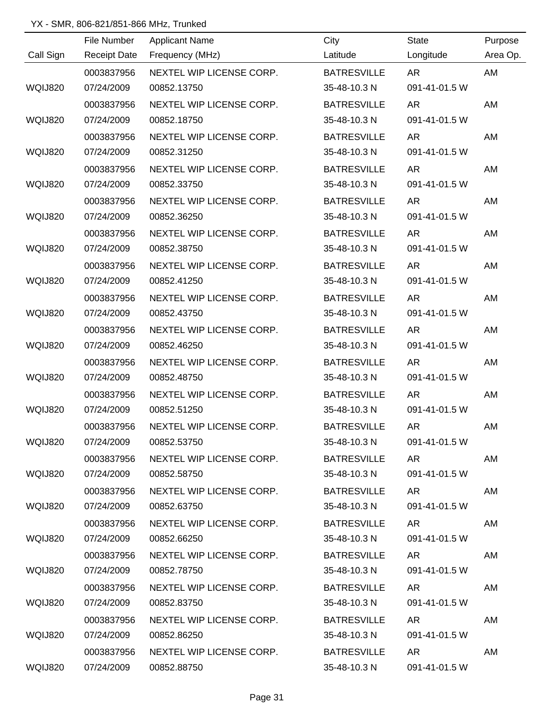|           |             | <u> 1989 - Johann Stoff, deutscher Stoffen und der Stoffen und der Stoffen und der Stoffen und der Stoffen und der</u> |                    |               |          |
|-----------|-------------|------------------------------------------------------------------------------------------------------------------------|--------------------|---------------|----------|
| Call Sign | File Number | <b>Applicant Name</b><br>Receipt Date Frequency (MHz)                                                                  | City               | State         | Purpose  |
|           |             |                                                                                                                        | Latitude           | Longitude     | Area Op. |
|           | 0003837956  | NEXTEL WIP LICENSE CORP.                                                                                               | <b>BATRESVILLE</b> | <b>AR</b>     | AM       |
| WQIJ820   | 07/24/2009  | 00852.13750                                                                                                            | 35-48-10.3 N       | 091-41-01.5 W |          |
|           | 0003837956  | NEXTEL WIP LICENSE CORP.                                                                                               | <b>BATRESVILLE</b> | AR            | AM       |
| WQIJ820   | 07/24/2009  | 00852.18750                                                                                                            | 35-48-10.3 N       | 091-41-01.5 W |          |
|           | 0003837956  | NEXTEL WIP LICENSE CORP.                                                                                               | <b>BATRESVILLE</b> | AR            | AM       |
| WQIJ820   | 07/24/2009  | 00852.31250                                                                                                            | 35-48-10.3 N       | 091-41-01.5 W |          |
|           | 0003837956  | NEXTEL WIP LICENSE CORP.                                                                                               | <b>BATRESVILLE</b> | AR            | AM       |
| WQIJ820   | 07/24/2009  | 00852.33750                                                                                                            | 35-48-10.3 N       | 091-41-01.5 W |          |
|           | 0003837956  | NEXTEL WIP LICENSE CORP.                                                                                               | <b>BATRESVILLE</b> | AR            | AM       |
| WQIJ820   | 07/24/2009  | 00852.36250                                                                                                            | 35-48-10.3 N       | 091-41-01.5 W |          |
|           | 0003837956  | NEXTEL WIP LICENSE CORP.                                                                                               | <b>BATRESVILLE</b> | <b>AR</b>     | AM       |
| WQIJ820   | 07/24/2009  | 00852.38750                                                                                                            | 35-48-10.3 N       | 091-41-01.5 W |          |
|           | 0003837956  | NEXTEL WIP LICENSE CORP.                                                                                               | <b>BATRESVILLE</b> | AR            | AM       |
| WQIJ820   | 07/24/2009  | 00852.41250                                                                                                            | 35-48-10.3 N       | 091-41-01.5 W |          |
|           | 0003837956  | NEXTEL WIP LICENSE CORP.                                                                                               | <b>BATRESVILLE</b> | AR            | AM       |
| WQIJ820   | 07/24/2009  | 00852.43750                                                                                                            | 35-48-10.3 N       | 091-41-01.5 W |          |
|           | 0003837956  | NEXTEL WIP LICENSE CORP.                                                                                               | <b>BATRESVILLE</b> | <b>AR</b>     | AM       |
| WQIJ820   | 07/24/2009  | 00852.46250                                                                                                            | 35-48-10.3 N       | 091-41-01.5 W |          |
|           | 0003837956  | NEXTEL WIP LICENSE CORP.                                                                                               | <b>BATRESVILLE</b> | AR            | AM       |
| WQIJ820   | 07/24/2009  | 00852.48750                                                                                                            | 35-48-10.3 N       | 091-41-01.5 W |          |
|           | 0003837956  | NEXTEL WIP LICENSE CORP.                                                                                               | <b>BATRESVILLE</b> | AR            | AM       |
| WQIJ820   | 07/24/2009  | 00852.51250                                                                                                            | 35-48-10.3 N       | 091-41-01.5 W |          |
|           | 0003837956  | NEXTEL WIP LICENSE CORP.                                                                                               | <b>BATRESVILLE</b> | AR            | AM       |
| WQIJ820   | 07/24/2009  | 00852.53750                                                                                                            | 35-48-10.3 N       | 091-41-01.5 W |          |
|           | 0003837956  | NEXTEL WIP LICENSE CORP.                                                                                               | <b>BATRESVILLE</b> | AR            | AM       |
| WQIJ820   | 07/24/2009  | 00852.58750                                                                                                            | 35-48-10.3 N       | 091-41-01.5 W |          |
|           | 0003837956  | NEXTEL WIP LICENSE CORP.                                                                                               | BATRESVILLE        | AR            | AM       |
| WQIJ820   | 07/24/2009  | 00852.63750                                                                                                            | 35-48-10.3 N       | 091-41-01.5 W |          |
|           | 0003837956  | NEXTEL WIP LICENSE CORP.                                                                                               | BATRESVILLE        | AR            | AM       |
| WQIJ820   | 07/24/2009  | 00852.66250                                                                                                            | 35-48-10.3 N       | 091-41-01.5 W |          |
|           | 0003837956  | NEXTEL WIP LICENSE CORP.                                                                                               | <b>BATRESVILLE</b> | AR            | AM       |
| WQIJ820   | 07/24/2009  | 00852.78750                                                                                                            | 35-48-10.3 N       | 091-41-01.5 W |          |
|           | 0003837956  | NEXTEL WIP LICENSE CORP.                                                                                               | <b>BATRESVILLE</b> | AR.           | AM       |
| WQIJ820   | 07/24/2009  | 00852.83750                                                                                                            | 35-48-10.3 N       | 091-41-01.5 W |          |
|           | 0003837956  | NEXTEL WIP LICENSE CORP.                                                                                               | <b>BATRESVILLE</b> | AR.           | AM       |
| WQIJ820   | 07/24/2009  | 00852.86250                                                                                                            | 35-48-10.3 N       | 091-41-01.5 W |          |
|           | 0003837956  | NEXTEL WIP LICENSE CORP.                                                                                               | <b>BATRESVILLE</b> | AR            | AM       |
| WQIJ820   | 07/24/2009  | 00852.88750                                                                                                            | 35-48-10.3 N       | 091-41-01.5 W |          |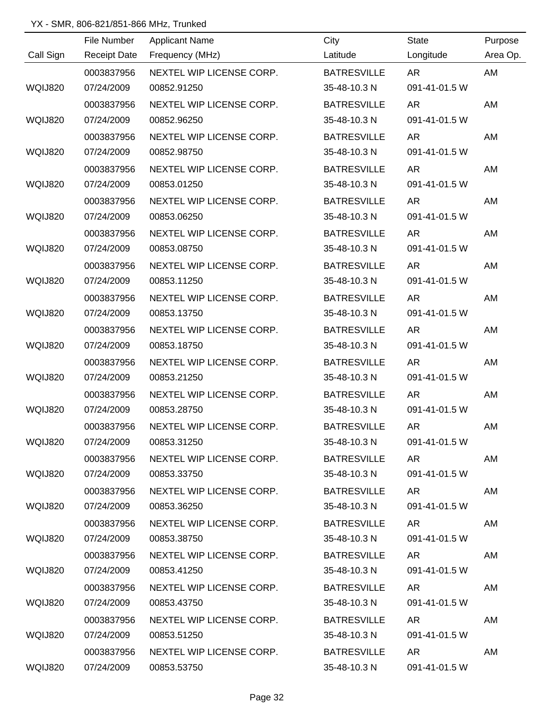|                |             | <u> 1980 - Johann Barn, mars ann an t-Amhain Aonaich an t-Aonaich an t-Aonaich ann an t-Aonaich ann an t-Aonaich</u> |                    |               |          |
|----------------|-------------|----------------------------------------------------------------------------------------------------------------------|--------------------|---------------|----------|
|                | File Number | <b>Applicant Name</b>                                                                                                | City               | State         | Purpose  |
| Call Sign      |             | Receipt Date Frequency (MHz)                                                                                         | Latitude           | Longitude     | Area Op. |
|                | 0003837956  | NEXTEL WIP LICENSE CORP.                                                                                             | <b>BATRESVILLE</b> | <b>AR</b>     | AM       |
| <b>WQIJ820</b> | 07/24/2009  | 00852.91250                                                                                                          | 35-48-10.3 N       | 091-41-01.5 W |          |
|                | 0003837956  | NEXTEL WIP LICENSE CORP.                                                                                             | <b>BATRESVILLE</b> | AR            | AM       |
| <b>WQIJ820</b> | 07/24/2009  | 00852.96250                                                                                                          | 35-48-10.3 N       | 091-41-01.5 W |          |
|                | 0003837956  | NEXTEL WIP LICENSE CORP.                                                                                             | <b>BATRESVILLE</b> | AR            | AM       |
| <b>WQIJ820</b> | 07/24/2009  | 00852.98750                                                                                                          | 35-48-10.3 N       | 091-41-01.5 W |          |
|                | 0003837956  | NEXTEL WIP LICENSE CORP.                                                                                             | <b>BATRESVILLE</b> | AR            | AM       |
| WQIJ820        | 07/24/2009  | 00853.01250                                                                                                          | 35-48-10.3 N       | 091-41-01.5 W |          |
|                | 0003837956  | NEXTEL WIP LICENSE CORP.                                                                                             | <b>BATRESVILLE</b> | AR            | AM       |
| WQIJ820        | 07/24/2009  | 00853.06250                                                                                                          | 35-48-10.3 N       | 091-41-01.5 W |          |
|                | 0003837956  | NEXTEL WIP LICENSE CORP.                                                                                             | <b>BATRESVILLE</b> | <b>AR</b>     | AM       |
| WQIJ820        | 07/24/2009  | 00853.08750                                                                                                          | 35-48-10.3 N       | 091-41-01.5 W |          |
|                | 0003837956  | NEXTEL WIP LICENSE CORP.                                                                                             | <b>BATRESVILLE</b> | AR            | AM       |
| WQIJ820        | 07/24/2009  | 00853.11250                                                                                                          | 35-48-10.3 N       | 091-41-01.5 W |          |
|                | 0003837956  | NEXTEL WIP LICENSE CORP.                                                                                             | <b>BATRESVILLE</b> | <b>AR</b>     | AM       |
| WQIJ820        | 07/24/2009  | 00853.13750                                                                                                          | 35-48-10.3 N       | 091-41-01.5 W |          |
|                | 0003837956  | NEXTEL WIP LICENSE CORP.                                                                                             | <b>BATRESVILLE</b> | <b>AR</b>     | AM       |
| <b>WQIJ820</b> | 07/24/2009  | 00853.18750                                                                                                          | 35-48-10.3 N       | 091-41-01.5 W |          |
|                | 0003837956  | NEXTEL WIP LICENSE CORP.                                                                                             | <b>BATRESVILLE</b> | <b>AR</b>     | AM       |
| WQIJ820        | 07/24/2009  | 00853.21250                                                                                                          | 35-48-10.3 N       | 091-41-01.5 W |          |
|                | 0003837956  | NEXTEL WIP LICENSE CORP.                                                                                             | <b>BATRESVILLE</b> | <b>AR</b>     | AM       |
| WQIJ820        | 07/24/2009  | 00853.28750                                                                                                          | 35-48-10.3 N       | 091-41-01.5 W |          |
|                | 0003837956  | NEXTEL WIP LICENSE CORP.                                                                                             | <b>BATRESVILLE</b> | AR            | AM       |
| WQIJ820        | 07/24/2009  | 00853.31250                                                                                                          | 35-48-10.3 N       | 091-41-01.5 W |          |
|                | 0003837956  | NEXTEL WIP LICENSE CORP.                                                                                             | <b>BATRESVILLE</b> | AR            | AM       |
| WQIJ820        | 07/24/2009  | 00853.33750                                                                                                          | 35-48-10.3 N       | 091-41-01.5 W |          |
|                | 0003837956  | NEXTEL WIP LICENSE CORP.                                                                                             | BATRESVILLE        | AR            | AM       |
| WQIJ820        | 07/24/2009  | 00853.36250                                                                                                          | 35-48-10.3 N       | 091-41-01.5 W |          |
|                | 0003837956  | NEXTEL WIP LICENSE CORP.                                                                                             | BATRESVILLE        | AR            | AM       |
| WQIJ820        | 07/24/2009  | 00853.38750                                                                                                          | 35-48-10.3 N       | 091-41-01.5 W |          |
|                | 0003837956  | NEXTEL WIP LICENSE CORP.                                                                                             | BATRESVILLE        | AR            | AM       |
| WQIJ820        | 07/24/2009  | 00853.41250                                                                                                          | 35-48-10.3 N       | 091-41-01.5 W |          |
|                | 0003837956  | NEXTEL WIP LICENSE CORP.                                                                                             | <b>BATRESVILLE</b> | AR            | AM       |
| WQIJ820        | 07/24/2009  | 00853.43750                                                                                                          | 35-48-10.3 N       | 091-41-01.5 W |          |
|                | 0003837956  | NEXTEL WIP LICENSE CORP.                                                                                             | <b>BATRESVILLE</b> | AR.           | AM       |
| WQIJ820        | 07/24/2009  | 00853.51250                                                                                                          | 35-48-10.3 N       | 091-41-01.5 W |          |
|                | 0003837956  | NEXTEL WIP LICENSE CORP.                                                                                             | <b>BATRESVILLE</b> | AR            | AM       |
| WQIJ820        | 07/24/2009  | 00853.53750                                                                                                          | 35-48-10.3 N       | 091-41-01.5 W |          |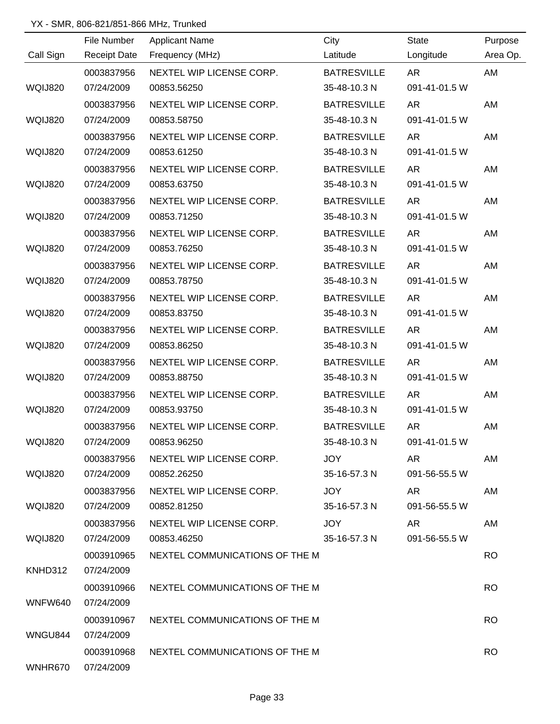|                | File Number         | <b>Applicant Name</b>                     | City               | <b>State</b>  | Purpose   |
|----------------|---------------------|-------------------------------------------|--------------------|---------------|-----------|
| Call Sign      | <b>Receipt Date</b> | Frequency (MHz)                           | Latitude           | Longitude     | Area Op.  |
|                | 0003837956          | NEXTEL WIP LICENSE CORP.                  | <b>BATRESVILLE</b> | <b>AR</b>     | AM        |
| WQIJ820        | 07/24/2009          | 00853.56250                               | 35-48-10.3 N       | 091-41-01.5 W |           |
|                | 0003837956          | NEXTEL WIP LICENSE CORP.                  | <b>BATRESVILLE</b> | <b>AR</b>     | AM        |
| <b>WQIJ820</b> | 07/24/2009          | 00853.58750                               | 35-48-10.3 N       | 091-41-01.5 W |           |
|                | 0003837956          | NEXTEL WIP LICENSE CORP.                  | <b>BATRESVILLE</b> | AR            | AM        |
| <b>WQIJ820</b> | 07/24/2009          | 00853.61250                               | 35-48-10.3 N       | 091-41-01.5 W |           |
|                | 0003837956          | NEXTEL WIP LICENSE CORP.                  | <b>BATRESVILLE</b> | <b>AR</b>     | AM        |
| WQIJ820        | 07/24/2009          | 00853.63750                               | 35-48-10.3 N       | 091-41-01.5 W |           |
|                | 0003837956          | NEXTEL WIP LICENSE CORP.                  | <b>BATRESVILLE</b> | <b>AR</b>     | AM        |
| <b>WQIJ820</b> | 07/24/2009          | 00853.71250                               | 35-48-10.3 N       | 091-41-01.5 W |           |
|                | 0003837956          | NEXTEL WIP LICENSE CORP.                  | <b>BATRESVILLE</b> | <b>AR</b>     | AM        |
| <b>WQIJ820</b> | 07/24/2009          | 00853.76250                               | 35-48-10.3 N       | 091-41-01.5 W |           |
|                | 0003837956          | NEXTEL WIP LICENSE CORP.                  | <b>BATRESVILLE</b> | <b>AR</b>     | AM        |
| WQIJ820        | 07/24/2009          | 00853.78750                               | 35-48-10.3 N       | 091-41-01.5 W |           |
|                | 0003837956          | NEXTEL WIP LICENSE CORP.                  | <b>BATRESVILLE</b> | <b>AR</b>     | AM        |
| WQIJ820        | 07/24/2009          | 00853.83750                               | 35-48-10.3 N       | 091-41-01.5 W |           |
|                | 0003837956          | NEXTEL WIP LICENSE CORP.                  | <b>BATRESVILLE</b> | <b>AR</b>     | AM        |
| WQIJ820        | 07/24/2009          | 00853.86250                               | 35-48-10.3 N       | 091-41-01.5 W |           |
|                | 0003837956          | NEXTEL WIP LICENSE CORP.                  | <b>BATRESVILLE</b> | <b>AR</b>     | AM        |
| <b>WQIJ820</b> | 07/24/2009          | 00853.88750                               | 35-48-10.3 N       | 091-41-01.5 W |           |
|                | 0003837956          | NEXTEL WIP LICENSE CORP.                  | <b>BATRESVILLE</b> | <b>AR</b>     | AM        |
| WQIJ820        | 07/24/2009          | 00853.93750                               | 35-48-10.3 N       | 091-41-01.5 W |           |
|                | 0003837956          | NEXTEL WIP LICENSE CORP.                  | <b>BATRESVILLE</b> | <b>AR</b>     | AM        |
| WQIJ820        | 07/24/2009          | 00853.96250                               | 35-48-10.3 N       | 091-41-01.5 W |           |
|                | 0003837956          | NEXTEL WIP LICENSE CORP.                  | <b>JOY</b>         | AR.           | AM        |
| WQIJ820        | 07/24/2009          | 00852.26250                               | 35-16-57.3 N       | 091-56-55.5 W |           |
|                | 0003837956          | NEXTEL WIP LICENSE CORP.                  | JOY                | AR            | AM        |
| WQIJ820        | 07/24/2009          | 00852.81250                               | 35-16-57.3 N       | 091-56-55.5 W |           |
|                | 0003837956          | NEXTEL WIP LICENSE CORP.                  | JOY                | AR            | AM        |
| WQIJ820        | 07/24/2009          | 00853.46250                               | 35-16-57.3 N       | 091-56-55.5 W |           |
|                | 0003910965          | NEXTEL COMMUNICATIONS OF THE M            |                    |               | <b>RO</b> |
| KNHD312        | 07/24/2009          |                                           |                    |               |           |
|                | 0003910966          | NEXTEL COMMUNICATIONS OF THE M            |                    |               | <b>RO</b> |
| WNFW640        | 07/24/2009          |                                           |                    |               |           |
|                |                     | 0003910967 NEXTEL COMMUNICATIONS OF THE M |                    |               | <b>RO</b> |
| WNGU844        | 07/24/2009          |                                           |                    |               |           |
|                | 0003910968          | NEXTEL COMMUNICATIONS OF THE M            |                    |               | <b>RO</b> |
| WNHR670        | 07/24/2009          |                                           |                    |               |           |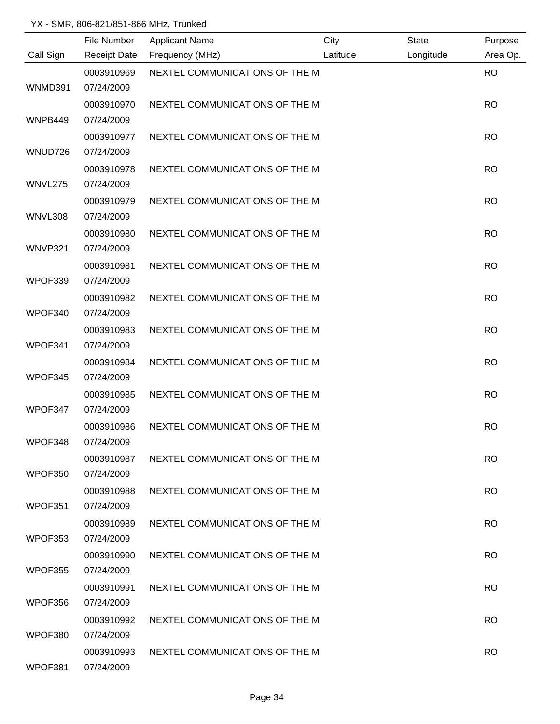|           | File Number              | <b>Applicant Name</b>          | City     | <b>State</b> | Purpose   |
|-----------|--------------------------|--------------------------------|----------|--------------|-----------|
| Call Sign | <b>Receipt Date</b>      | Frequency (MHz)                | Latitude | Longitude    | Area Op.  |
| WNMD391   | 0003910969<br>07/24/2009 | NEXTEL COMMUNICATIONS OF THE M |          |              | <b>RO</b> |
|           | 0003910970               | NEXTEL COMMUNICATIONS OF THE M |          |              | <b>RO</b> |
| WNPB449   | 07/24/2009               |                                |          |              |           |
|           | 0003910977               | NEXTEL COMMUNICATIONS OF THE M |          |              | <b>RO</b> |
| WNUD726   | 07/24/2009               |                                |          |              |           |
|           | 0003910978               | NEXTEL COMMUNICATIONS OF THE M |          |              | <b>RO</b> |
| WNVL275   | 07/24/2009               |                                |          |              |           |
|           | 0003910979               | NEXTEL COMMUNICATIONS OF THE M |          |              | <b>RO</b> |
| WNVL308   | 07/24/2009               |                                |          |              |           |
|           | 0003910980               | NEXTEL COMMUNICATIONS OF THE M |          |              | <b>RO</b> |
| WNVP321   | 07/24/2009               |                                |          |              |           |
|           | 0003910981               | NEXTEL COMMUNICATIONS OF THE M |          |              | <b>RO</b> |
| WPOF339   | 07/24/2009               |                                |          |              |           |
|           | 0003910982               | NEXTEL COMMUNICATIONS OF THE M |          |              | <b>RO</b> |
| WPOF340   | 07/24/2009               |                                |          |              |           |
|           | 0003910983               | NEXTEL COMMUNICATIONS OF THE M |          |              | <b>RO</b> |
| WPOF341   | 07/24/2009               |                                |          |              |           |
|           | 0003910984               | NEXTEL COMMUNICATIONS OF THE M |          |              | <b>RO</b> |
| WPOF345   | 07/24/2009               |                                |          |              |           |
|           | 0003910985               | NEXTEL COMMUNICATIONS OF THE M |          |              | <b>RO</b> |
| WPOF347   | 07/24/2009               |                                |          |              |           |
|           | 0003910986               | NEXTEL COMMUNICATIONS OF THE M |          |              | <b>RO</b> |
| WPOF348   | 07/24/2009               |                                |          |              |           |
|           | 0003910987               | NEXTEL COMMUNICATIONS OF THE M |          |              | <b>RO</b> |
| WPOF350   | 07/24/2009               |                                |          |              |           |
| WPOF351   | 0003910988<br>07/24/2009 | NEXTEL COMMUNICATIONS OF THE M |          |              | <b>RO</b> |
|           | 0003910989               | NEXTEL COMMUNICATIONS OF THE M |          |              | <b>RO</b> |
| WPOF353   | 07/24/2009               |                                |          |              |           |
|           | 0003910990               | NEXTEL COMMUNICATIONS OF THE M |          |              | <b>RO</b> |
| WPOF355   | 07/24/2009               |                                |          |              |           |
|           | 0003910991               | NEXTEL COMMUNICATIONS OF THE M |          |              | <b>RO</b> |
| WPOF356   | 07/24/2009               |                                |          |              |           |
|           | 0003910992               | NEXTEL COMMUNICATIONS OF THE M |          |              | <b>RO</b> |
| WPOF380   | 07/24/2009               |                                |          |              |           |
|           | 0003910993               | NEXTEL COMMUNICATIONS OF THE M |          |              | <b>RO</b> |
| WPOF381   | 07/24/2009               |                                |          |              |           |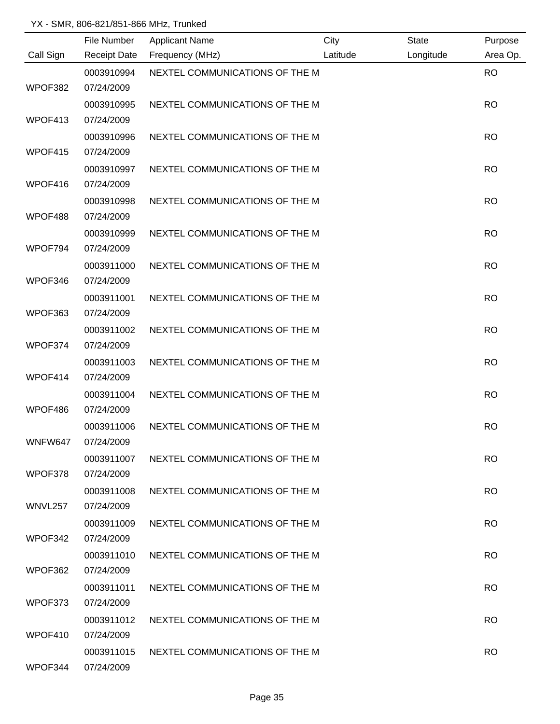|           | File Number         | <b>Applicant Name</b>          | City     | <b>State</b> | Purpose   |
|-----------|---------------------|--------------------------------|----------|--------------|-----------|
| Call Sign | <b>Receipt Date</b> | Frequency (MHz)                | Latitude | Longitude    | Area Op.  |
|           | 0003910994          | NEXTEL COMMUNICATIONS OF THE M |          |              | <b>RO</b> |
| WPOF382   | 07/24/2009          |                                |          |              |           |
|           | 0003910995          | NEXTEL COMMUNICATIONS OF THE M |          |              | <b>RO</b> |
| WPOF413   | 07/24/2009          |                                |          |              |           |
|           | 0003910996          | NEXTEL COMMUNICATIONS OF THE M |          |              | <b>RO</b> |
| WPOF415   | 07/24/2009          |                                |          |              |           |
|           | 0003910997          | NEXTEL COMMUNICATIONS OF THE M |          |              | <b>RO</b> |
| WPOF416   | 07/24/2009          |                                |          |              |           |
|           | 0003910998          | NEXTEL COMMUNICATIONS OF THE M |          |              | <b>RO</b> |
| WPOF488   | 07/24/2009          |                                |          |              |           |
|           | 0003910999          | NEXTEL COMMUNICATIONS OF THE M |          |              | <b>RO</b> |
| WPOF794   | 07/24/2009          |                                |          |              |           |
|           | 0003911000          | NEXTEL COMMUNICATIONS OF THE M |          |              | <b>RO</b> |
| WPOF346   | 07/24/2009          |                                |          |              |           |
|           | 0003911001          | NEXTEL COMMUNICATIONS OF THE M |          |              | <b>RO</b> |
| WPOF363   | 07/24/2009          |                                |          |              |           |
|           | 0003911002          | NEXTEL COMMUNICATIONS OF THE M |          |              | <b>RO</b> |
| WPOF374   | 07/24/2009          |                                |          |              |           |
|           | 0003911003          | NEXTEL COMMUNICATIONS OF THE M |          |              | <b>RO</b> |
| WPOF414   | 07/24/2009          |                                |          |              |           |
|           | 0003911004          | NEXTEL COMMUNICATIONS OF THE M |          |              | <b>RO</b> |
| WPOF486   | 07/24/2009          |                                |          |              |           |
|           | 0003911006          | NEXTEL COMMUNICATIONS OF THE M |          |              | <b>RO</b> |
| WNFW647   | 07/24/2009          |                                |          |              |           |
|           | 0003911007          | NEXTEL COMMUNICATIONS OF THE M |          |              | <b>RO</b> |
| WPOF378   | 07/24/2009          |                                |          |              |           |
|           | 0003911008          | NEXTEL COMMUNICATIONS OF THE M |          |              | <b>RO</b> |
| WNVL257   | 07/24/2009          |                                |          |              |           |
|           | 0003911009          | NEXTEL COMMUNICATIONS OF THE M |          |              | <b>RO</b> |
| WPOF342   | 07/24/2009          |                                |          |              |           |
|           | 0003911010          | NEXTEL COMMUNICATIONS OF THE M |          |              | <b>RO</b> |
| WPOF362   | 07/24/2009          |                                |          |              |           |
|           | 0003911011          | NEXTEL COMMUNICATIONS OF THE M |          |              | <b>RO</b> |
| WPOF373   | 07/24/2009          |                                |          |              |           |
|           | 0003911012          | NEXTEL COMMUNICATIONS OF THE M |          |              | <b>RO</b> |
| WPOF410   | 07/24/2009          |                                |          |              |           |
|           | 0003911015          | NEXTEL COMMUNICATIONS OF THE M |          |              | <b>RO</b> |
| WPOF344   | 07/24/2009          |                                |          |              |           |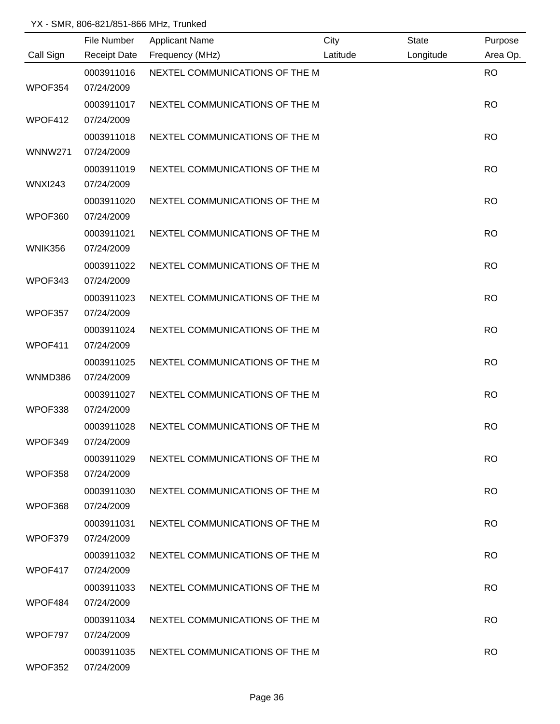|                | File Number              | <b>Applicant Name</b>          | City     | <b>State</b> | Purpose   |
|----------------|--------------------------|--------------------------------|----------|--------------|-----------|
| Call Sign      | <b>Receipt Date</b>      | Frequency (MHz)                | Latitude | Longitude    | Area Op.  |
| WPOF354        | 0003911016<br>07/24/2009 | NEXTEL COMMUNICATIONS OF THE M |          |              | <b>RO</b> |
|                | 0003911017               | NEXTEL COMMUNICATIONS OF THE M |          |              | <b>RO</b> |
| WPOF412        | 07/24/2009               |                                |          |              |           |
| <b>WNNW271</b> | 0003911018<br>07/24/2009 | NEXTEL COMMUNICATIONS OF THE M |          |              | <b>RO</b> |
| <b>WNXI243</b> | 0003911019<br>07/24/2009 | NEXTEL COMMUNICATIONS OF THE M |          |              | <b>RO</b> |
| WPOF360        | 0003911020<br>07/24/2009 | NEXTEL COMMUNICATIONS OF THE M |          |              | <b>RO</b> |
| <b>WNIK356</b> | 0003911021<br>07/24/2009 | NEXTEL COMMUNICATIONS OF THE M |          |              | <b>RO</b> |
| WPOF343        | 0003911022<br>07/24/2009 | NEXTEL COMMUNICATIONS OF THE M |          |              | <b>RO</b> |
|                | 0003911023<br>07/24/2009 | NEXTEL COMMUNICATIONS OF THE M |          |              | <b>RO</b> |
| WPOF357        | 0003911024               | NEXTEL COMMUNICATIONS OF THE M |          |              | <b>RO</b> |
| WPOF411        | 07/24/2009<br>0003911025 | NEXTEL COMMUNICATIONS OF THE M |          |              | <b>RO</b> |
| WNMD386        | 07/24/2009               |                                |          |              |           |
| WPOF338        | 0003911027<br>07/24/2009 | NEXTEL COMMUNICATIONS OF THE M |          |              | <b>RO</b> |
| WPOF349        | 0003911028<br>07/24/2009 | NEXTEL COMMUNICATIONS OF THE M |          |              | <b>RO</b> |
| WPOF358        | 0003911029<br>07/24/2009 | NEXTEL COMMUNICATIONS OF THE M |          |              | <b>RO</b> |
| WPOF368        | 0003911030<br>07/24/2009 | NEXTEL COMMUNICATIONS OF THE M |          |              | <b>RO</b> |
|                | 0003911031               | NEXTEL COMMUNICATIONS OF THE M |          |              | <b>RO</b> |
| WPOF379        | 07/24/2009               |                                |          |              |           |
| WPOF417        | 0003911032<br>07/24/2009 | NEXTEL COMMUNICATIONS OF THE M |          |              | <b>RO</b> |
| WPOF484        | 0003911033<br>07/24/2009 | NEXTEL COMMUNICATIONS OF THE M |          |              | <b>RO</b> |
| WPOF797        | 0003911034<br>07/24/2009 | NEXTEL COMMUNICATIONS OF THE M |          |              | <b>RO</b> |
| WPOF352        | 0003911035<br>07/24/2009 | NEXTEL COMMUNICATIONS OF THE M |          |              | <b>RO</b> |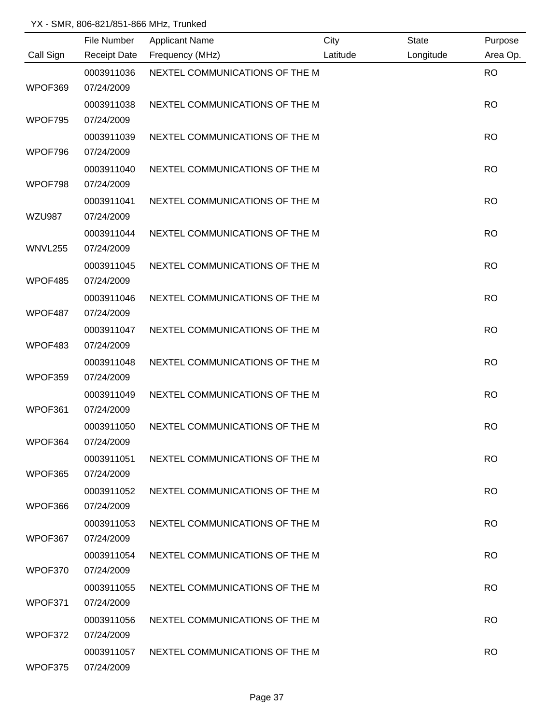|               | File Number              | <b>Applicant Name</b>          | City     | <b>State</b> | Purpose   |
|---------------|--------------------------|--------------------------------|----------|--------------|-----------|
| Call Sign     | <b>Receipt Date</b>      | Frequency (MHz)                | Latitude | Longitude    | Area Op.  |
| WPOF369       | 0003911036<br>07/24/2009 | NEXTEL COMMUNICATIONS OF THE M |          |              | <b>RO</b> |
|               | 0003911038               | NEXTEL COMMUNICATIONS OF THE M |          |              | <b>RO</b> |
| WPOF795       | 07/24/2009               |                                |          |              |           |
| WPOF796       | 0003911039<br>07/24/2009 | NEXTEL COMMUNICATIONS OF THE M |          |              | <b>RO</b> |
| WPOF798       | 0003911040<br>07/24/2009 | NEXTEL COMMUNICATIONS OF THE M |          |              | <b>RO</b> |
| <b>WZU987</b> | 0003911041<br>07/24/2009 | NEXTEL COMMUNICATIONS OF THE M |          |              | <b>RO</b> |
| WNVL255       | 0003911044<br>07/24/2009 | NEXTEL COMMUNICATIONS OF THE M |          |              | <b>RO</b> |
| WPOF485       | 0003911045<br>07/24/2009 | NEXTEL COMMUNICATIONS OF THE M |          |              | <b>RO</b> |
| WPOF487       | 0003911046<br>07/24/2009 | NEXTEL COMMUNICATIONS OF THE M |          |              | <b>RO</b> |
| WPOF483       | 0003911047<br>07/24/2009 | NEXTEL COMMUNICATIONS OF THE M |          |              | <b>RO</b> |
| WPOF359       | 0003911048<br>07/24/2009 | NEXTEL COMMUNICATIONS OF THE M |          |              | <b>RO</b> |
| WPOF361       | 0003911049<br>07/24/2009 | NEXTEL COMMUNICATIONS OF THE M |          |              | <b>RO</b> |
|               | 0003911050               | NEXTEL COMMUNICATIONS OF THE M |          |              | <b>RO</b> |
| WPOF364       | 07/24/2009<br>0003911051 | NEXTEL COMMUNICATIONS OF THE M |          |              | <b>RO</b> |
| WPOF365       | 07/24/2009<br>0003911052 | NEXTEL COMMUNICATIONS OF THE M |          |              | <b>RO</b> |
| WPOF366       | 07/24/2009<br>0003911053 | NEXTEL COMMUNICATIONS OF THE M |          |              | <b>RO</b> |
| WPOF367       | 07/24/2009               |                                |          |              |           |
| WPOF370       | 0003911054<br>07/24/2009 | NEXTEL COMMUNICATIONS OF THE M |          |              | <b>RO</b> |
| WPOF371       | 0003911055<br>07/24/2009 | NEXTEL COMMUNICATIONS OF THE M |          |              | <b>RO</b> |
| WPOF372       | 0003911056<br>07/24/2009 | NEXTEL COMMUNICATIONS OF THE M |          |              | <b>RO</b> |
| WPOF375       | 0003911057<br>07/24/2009 | NEXTEL COMMUNICATIONS OF THE M |          |              | <b>RO</b> |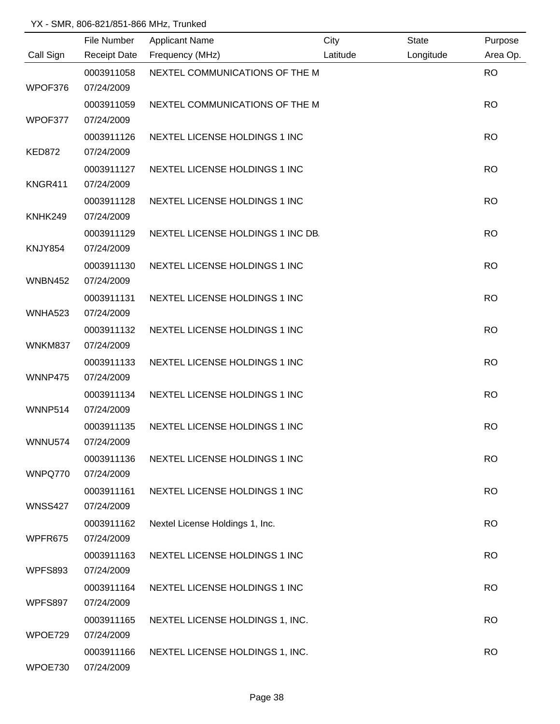|                | File Number              | <b>Applicant Name</b>             | City     | State     | Purpose   |
|----------------|--------------------------|-----------------------------------|----------|-----------|-----------|
| Call Sign      | <b>Receipt Date</b>      | Frequency (MHz)                   | Latitude | Longitude | Area Op.  |
| WPOF376        | 0003911058<br>07/24/2009 | NEXTEL COMMUNICATIONS OF THE M    |          |           | <b>RO</b> |
|                | 0003911059               | NEXTEL COMMUNICATIONS OF THE M    |          |           | <b>RO</b> |
| WPOF377        | 07/24/2009               |                                   |          |           |           |
| <b>KED872</b>  | 0003911126<br>07/24/2009 | NEXTEL LICENSE HOLDINGS 1 INC     |          |           | <b>RO</b> |
| KNGR411        | 0003911127<br>07/24/2009 | NEXTEL LICENSE HOLDINGS 1 INC     |          |           | <b>RO</b> |
| KNHK249        | 0003911128<br>07/24/2009 | NEXTEL LICENSE HOLDINGS 1 INC     |          |           | <b>RO</b> |
| <b>KNJY854</b> | 0003911129<br>07/24/2009 | NEXTEL LICENSE HOLDINGS 1 INC DB. |          |           | <b>RO</b> |
| <b>WNBN452</b> | 0003911130<br>07/24/2009 | NEXTEL LICENSE HOLDINGS 1 INC     |          |           | <b>RO</b> |
| <b>WNHA523</b> | 0003911131<br>07/24/2009 | NEXTEL LICENSE HOLDINGS 1 INC     |          |           | <b>RO</b> |
| WNKM837        | 0003911132<br>07/24/2009 | NEXTEL LICENSE HOLDINGS 1 INC     |          |           | <b>RO</b> |
| WNNP475        | 0003911133<br>07/24/2009 | NEXTEL LICENSE HOLDINGS 1 INC     |          |           | <b>RO</b> |
| WNNP514        | 0003911134<br>07/24/2009 | NEXTEL LICENSE HOLDINGS 1 INC     |          |           | <b>RO</b> |
| <b>WNNU574</b> | 0003911135<br>07/24/2009 | NEXTEL LICENSE HOLDINGS 1 INC     |          |           | <b>RO</b> |
| WNPQ770        | 0003911136<br>07/24/2009 | NEXTEL LICENSE HOLDINGS 1 INC     |          |           | <b>RO</b> |
| <b>WNSS427</b> | 0003911161<br>07/24/2009 | NEXTEL LICENSE HOLDINGS 1 INC     |          |           | <b>RO</b> |
| WPFR675        | 0003911162<br>07/24/2009 | Nextel License Holdings 1, Inc.   |          |           | <b>RO</b> |
| <b>WPFS893</b> | 0003911163<br>07/24/2009 | NEXTEL LICENSE HOLDINGS 1 INC     |          |           | <b>RO</b> |
| WPFS897        | 0003911164<br>07/24/2009 | NEXTEL LICENSE HOLDINGS 1 INC     |          |           | <b>RO</b> |
| WPOE729        | 0003911165<br>07/24/2009 | NEXTEL LICENSE HOLDINGS 1, INC.   |          |           | <b>RO</b> |
| WPOE730        | 0003911166<br>07/24/2009 | NEXTEL LICENSE HOLDINGS 1, INC.   |          |           | <b>RO</b> |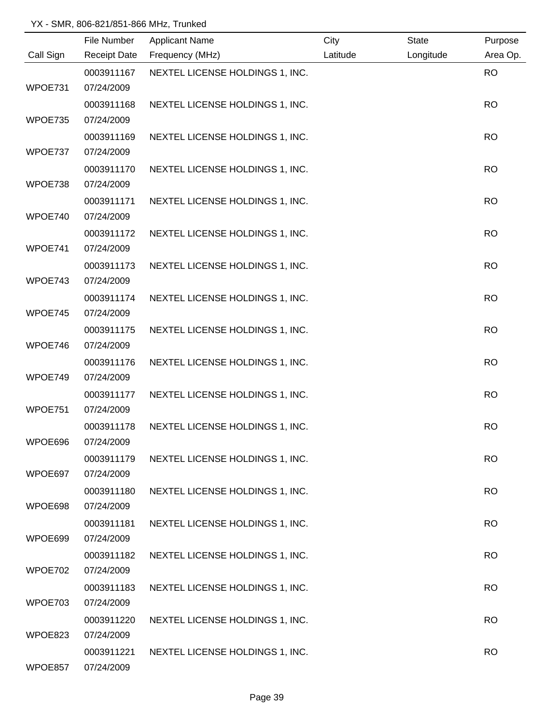|           | File Number              | <b>Applicant Name</b>           | City     | State     | Purpose   |
|-----------|--------------------------|---------------------------------|----------|-----------|-----------|
| Call Sign | <b>Receipt Date</b>      | Frequency (MHz)                 | Latitude | Longitude | Area Op.  |
|           | 0003911167               | NEXTEL LICENSE HOLDINGS 1, INC. |          |           | <b>RO</b> |
| WPOE731   | 07/24/2009               |                                 |          |           |           |
|           | 0003911168               | NEXTEL LICENSE HOLDINGS 1, INC. |          |           | <b>RO</b> |
| WPOE735   | 07/24/2009               |                                 |          |           |           |
|           | 0003911169               | NEXTEL LICENSE HOLDINGS 1, INC. |          |           | <b>RO</b> |
| WPOE737   | 07/24/2009               |                                 |          |           |           |
|           | 0003911170               | NEXTEL LICENSE HOLDINGS 1, INC. |          |           | <b>RO</b> |
| WPOE738   | 07/24/2009               |                                 |          |           |           |
|           | 0003911171               | NEXTEL LICENSE HOLDINGS 1, INC. |          |           | <b>RO</b> |
| WPOE740   | 07/24/2009               |                                 |          |           |           |
|           | 0003911172               | NEXTEL LICENSE HOLDINGS 1, INC. |          |           | <b>RO</b> |
| WPOE741   | 07/24/2009               |                                 |          |           |           |
| WPOE743   | 0003911173<br>07/24/2009 | NEXTEL LICENSE HOLDINGS 1, INC. |          |           | <b>RO</b> |
|           | 0003911174               | NEXTEL LICENSE HOLDINGS 1, INC. |          |           | <b>RO</b> |
| WPOE745   | 07/24/2009               |                                 |          |           |           |
|           | 0003911175               | NEXTEL LICENSE HOLDINGS 1, INC. |          |           | <b>RO</b> |
| WPOE746   | 07/24/2009               |                                 |          |           |           |
|           | 0003911176               | NEXTEL LICENSE HOLDINGS 1, INC. |          |           | <b>RO</b> |
| WPOE749   | 07/24/2009               |                                 |          |           |           |
|           | 0003911177               | NEXTEL LICENSE HOLDINGS 1, INC. |          |           | <b>RO</b> |
| WPOE751   | 07/24/2009               |                                 |          |           |           |
|           | 0003911178               | NEXTEL LICENSE HOLDINGS 1, INC. |          |           | <b>RO</b> |
| WPOE696   | 07/24/2009               |                                 |          |           |           |
|           | 0003911179               | NEXTEL LICENSE HOLDINGS 1, INC. |          |           | <b>RO</b> |
| WPOE697   | 07/24/2009               |                                 |          |           |           |
|           | 0003911180               | NEXTEL LICENSE HOLDINGS 1, INC. |          |           | <b>RO</b> |
| WPOE698   | 07/24/2009               |                                 |          |           |           |
|           | 0003911181               | NEXTEL LICENSE HOLDINGS 1, INC. |          |           | <b>RO</b> |
| WPOE699   | 07/24/2009               |                                 |          |           |           |
|           | 0003911182               | NEXTEL LICENSE HOLDINGS 1, INC. |          |           | <b>RO</b> |
| WPOE702   | 07/24/2009               |                                 |          |           |           |
| WPOE703   | 0003911183<br>07/24/2009 | NEXTEL LICENSE HOLDINGS 1, INC. |          |           | <b>RO</b> |
|           | 0003911220               | NEXTEL LICENSE HOLDINGS 1, INC. |          |           | <b>RO</b> |
| WPOE823   | 07/24/2009               |                                 |          |           |           |
|           | 0003911221               | NEXTEL LICENSE HOLDINGS 1, INC. |          |           | <b>RO</b> |
| WPOE857   | 07/24/2009               |                                 |          |           |           |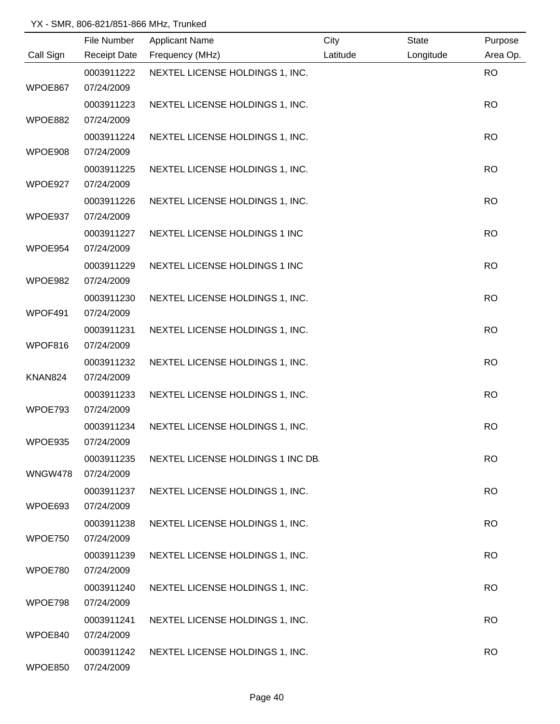|                | File Number         | <b>Applicant Name</b>             | City     | <b>State</b> | Purpose   |
|----------------|---------------------|-----------------------------------|----------|--------------|-----------|
| Call Sign      | <b>Receipt Date</b> | Frequency (MHz)                   | Latitude | Longitude    | Area Op.  |
|                | 0003911222          | NEXTEL LICENSE HOLDINGS 1, INC.   |          |              | <b>RO</b> |
| WPOE867        | 07/24/2009          |                                   |          |              |           |
|                | 0003911223          | NEXTEL LICENSE HOLDINGS 1, INC.   |          |              | <b>RO</b> |
| WPOE882        | 07/24/2009          |                                   |          |              |           |
|                | 0003911224          | NEXTEL LICENSE HOLDINGS 1, INC.   |          |              | <b>RO</b> |
| WPOE908        | 07/24/2009          |                                   |          |              |           |
|                | 0003911225          | NEXTEL LICENSE HOLDINGS 1, INC.   |          |              | <b>RO</b> |
| WPOE927        | 07/24/2009          |                                   |          |              |           |
|                | 0003911226          | NEXTEL LICENSE HOLDINGS 1, INC.   |          |              | <b>RO</b> |
| WPOE937        | 07/24/2009          |                                   |          |              |           |
|                | 0003911227          | NEXTEL LICENSE HOLDINGS 1 INC     |          |              | <b>RO</b> |
| WPOE954        | 07/24/2009          |                                   |          |              |           |
|                | 0003911229          | NEXTEL LICENSE HOLDINGS 1 INC     |          |              | <b>RO</b> |
| WPOE982        | 07/24/2009          |                                   |          |              |           |
|                | 0003911230          | NEXTEL LICENSE HOLDINGS 1, INC.   |          |              | <b>RO</b> |
| WPOF491        | 07/24/2009          |                                   |          |              |           |
|                | 0003911231          | NEXTEL LICENSE HOLDINGS 1, INC.   |          |              | <b>RO</b> |
| WPOF816        | 07/24/2009          |                                   |          |              |           |
|                | 0003911232          | NEXTEL LICENSE HOLDINGS 1, INC.   |          |              | <b>RO</b> |
| <b>KNAN824</b> | 07/24/2009          |                                   |          |              |           |
|                | 0003911233          | NEXTEL LICENSE HOLDINGS 1, INC.   |          |              | <b>RO</b> |
| WPOE793        | 07/24/2009          |                                   |          |              |           |
|                | 0003911234          | NEXTEL LICENSE HOLDINGS 1, INC.   |          |              | <b>RO</b> |
| WPOE935        | 07/24/2009          |                                   |          |              |           |
|                | 0003911235          | NEXTEL LICENSE HOLDINGS 1 INC DB. |          |              | <b>RO</b> |
| WNGW478        | 07/24/2009          |                                   |          |              |           |
|                | 0003911237          | NEXTEL LICENSE HOLDINGS 1, INC.   |          |              | <b>RO</b> |
| WPOE693        | 07/24/2009          |                                   |          |              |           |
|                | 0003911238          | NEXTEL LICENSE HOLDINGS 1, INC.   |          |              | <b>RO</b> |
| WPOE750        | 07/24/2009          |                                   |          |              |           |
|                | 0003911239          | NEXTEL LICENSE HOLDINGS 1, INC.   |          |              | <b>RO</b> |
| WPOE780        | 07/24/2009          |                                   |          |              |           |
|                | 0003911240          | NEXTEL LICENSE HOLDINGS 1, INC.   |          |              | <b>RO</b> |
| WPOE798        | 07/24/2009          |                                   |          |              |           |
|                | 0003911241          | NEXTEL LICENSE HOLDINGS 1, INC.   |          |              | <b>RO</b> |
| WPOE840        | 07/24/2009          |                                   |          |              |           |
|                | 0003911242          | NEXTEL LICENSE HOLDINGS 1, INC.   |          |              | <b>RO</b> |
| WPOE850        | 07/24/2009          |                                   |          |              |           |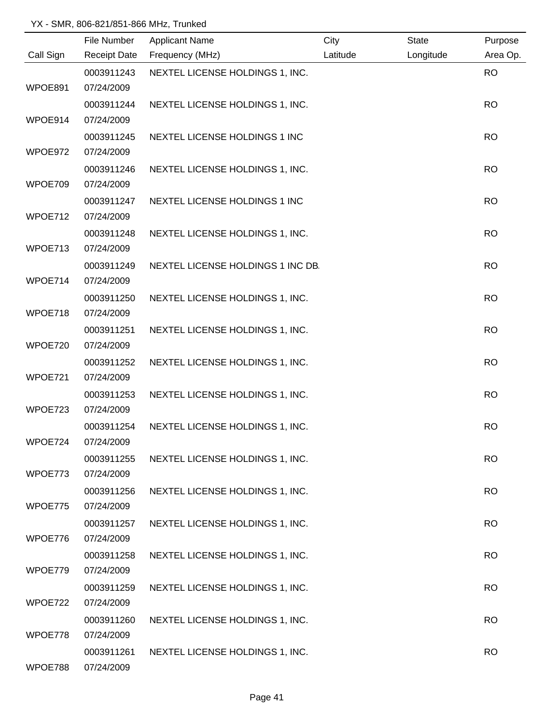|           | File Number              | <b>Applicant Name</b>             | City     | <b>State</b> | Purpose   |
|-----------|--------------------------|-----------------------------------|----------|--------------|-----------|
| Call Sign |                          | Receipt Date Frequency (MHz)      | Latitude | Longitude    | Area Op.  |
|           | 0003911243               | NEXTEL LICENSE HOLDINGS 1, INC.   |          |              | <b>RO</b> |
| WPOE891   | 07/24/2009               |                                   |          |              |           |
|           | 0003911244               | NEXTEL LICENSE HOLDINGS 1, INC.   |          |              | <b>RO</b> |
| WPOE914   | 07/24/2009               |                                   |          |              |           |
|           | 0003911245               | NEXTEL LICENSE HOLDINGS 1 INC     |          |              | <b>RO</b> |
| WPOE972   | 07/24/2009               |                                   |          |              |           |
|           | 0003911246               | NEXTEL LICENSE HOLDINGS 1, INC.   |          |              | <b>RO</b> |
| WPOE709   | 07/24/2009               |                                   |          |              |           |
|           | 0003911247               | NEXTEL LICENSE HOLDINGS 1 INC     |          |              | <b>RO</b> |
| WPOE712   | 07/24/2009               |                                   |          |              |           |
|           | 0003911248               | NEXTEL LICENSE HOLDINGS 1, INC.   |          |              | <b>RO</b> |
| WPOE713   | 07/24/2009               |                                   |          |              |           |
|           | 0003911249               | NEXTEL LICENSE HOLDINGS 1 INC DB. |          |              | <b>RO</b> |
| WPOE714   | 07/24/2009               |                                   |          |              |           |
|           | 0003911250               | NEXTEL LICENSE HOLDINGS 1, INC.   |          |              | <b>RO</b> |
| WPOE718   | 07/24/2009               |                                   |          |              |           |
|           | 0003911251               | NEXTEL LICENSE HOLDINGS 1, INC.   |          |              | <b>RO</b> |
| WPOE720   | 07/24/2009               |                                   |          |              |           |
|           | 0003911252               | NEXTEL LICENSE HOLDINGS 1, INC.   |          |              | <b>RO</b> |
| WPOE721   | 07/24/2009               |                                   |          |              |           |
|           | 0003911253               | NEXTEL LICENSE HOLDINGS 1, INC.   |          |              | <b>RO</b> |
| WPOE723   | 07/24/2009               |                                   |          |              |           |
|           | 0003911254               | NEXTEL LICENSE HOLDINGS 1, INC.   |          |              | <b>RO</b> |
| WPOE724   | 07/24/2009               |                                   |          |              |           |
|           | 0003911255               | NEXTEL LICENSE HOLDINGS 1, INC.   |          |              | <b>RO</b> |
| WPOE773   | 07/24/2009               |                                   |          |              |           |
|           | 0003911256               | NEXTEL LICENSE HOLDINGS 1, INC.   |          |              | <b>RO</b> |
| WPOE775   | 07/24/2009               |                                   |          |              |           |
|           | 0003911257               | NEXTEL LICENSE HOLDINGS 1, INC.   |          |              | <b>RO</b> |
| WPOE776   | 07/24/2009               |                                   |          |              |           |
|           | 0003911258               | NEXTEL LICENSE HOLDINGS 1, INC.   |          |              | <b>RO</b> |
| WPOE779   | 07/24/2009               |                                   |          |              |           |
| WPOE722   | 0003911259<br>07/24/2009 | NEXTEL LICENSE HOLDINGS 1, INC.   |          |              | <b>RO</b> |
|           |                          |                                   |          |              |           |
| WPOE778   | 0003911260<br>07/24/2009 | NEXTEL LICENSE HOLDINGS 1, INC.   |          |              | <b>RO</b> |
|           | 0003911261               | NEXTEL LICENSE HOLDINGS 1, INC.   |          |              | <b>RO</b> |
| WPOE788   | 07/24/2009               |                                   |          |              |           |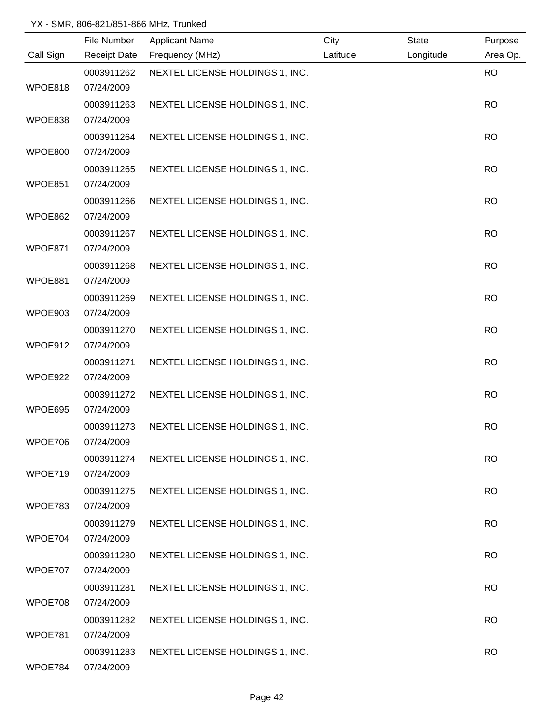|                | File Number         | <b>Applicant Name</b>           | City     | <b>State</b> | Purpose   |
|----------------|---------------------|---------------------------------|----------|--------------|-----------|
| Call Sign      | <b>Receipt Date</b> | Frequency (MHz)                 | Latitude | Longitude    | Area Op.  |
|                | 0003911262          | NEXTEL LICENSE HOLDINGS 1, INC. |          |              | <b>RO</b> |
| WPOE818        | 07/24/2009          |                                 |          |              |           |
|                | 0003911263          | NEXTEL LICENSE HOLDINGS 1, INC. |          |              | <b>RO</b> |
| WPOE838        | 07/24/2009          |                                 |          |              |           |
|                | 0003911264          | NEXTEL LICENSE HOLDINGS 1, INC. |          |              | <b>RO</b> |
| <b>WPOE800</b> | 07/24/2009          |                                 |          |              |           |
|                | 0003911265          | NEXTEL LICENSE HOLDINGS 1, INC. |          |              | <b>RO</b> |
| WPOE851        | 07/24/2009          |                                 |          |              |           |
|                | 0003911266          | NEXTEL LICENSE HOLDINGS 1, INC. |          |              | <b>RO</b> |
| WPOE862        | 07/24/2009          |                                 |          |              |           |
|                | 0003911267          | NEXTEL LICENSE HOLDINGS 1, INC. |          |              | <b>RO</b> |
| WPOE871        | 07/24/2009          |                                 |          |              |           |
|                | 0003911268          | NEXTEL LICENSE HOLDINGS 1, INC. |          |              | <b>RO</b> |
| WPOE881        | 07/24/2009          |                                 |          |              |           |
|                | 0003911269          | NEXTEL LICENSE HOLDINGS 1, INC. |          |              | <b>RO</b> |
| WPOE903        | 07/24/2009          |                                 |          |              |           |
|                | 0003911270          | NEXTEL LICENSE HOLDINGS 1, INC. |          |              | <b>RO</b> |
| WPOE912        | 07/24/2009          |                                 |          |              |           |
|                | 0003911271          | NEXTEL LICENSE HOLDINGS 1, INC. |          |              | <b>RO</b> |
| WPOE922        | 07/24/2009          |                                 |          |              |           |
|                | 0003911272          | NEXTEL LICENSE HOLDINGS 1, INC. |          |              | <b>RO</b> |
| WPOE695        | 07/24/2009          |                                 |          |              |           |
|                | 0003911273          | NEXTEL LICENSE HOLDINGS 1, INC. |          |              | <b>RO</b> |
| WPOE706        | 07/24/2009          |                                 |          |              |           |
|                | 0003911274          | NEXTEL LICENSE HOLDINGS 1, INC. |          |              | <b>RO</b> |
| WPOE719        | 07/24/2009          |                                 |          |              |           |
|                | 0003911275          | NEXTEL LICENSE HOLDINGS 1, INC. |          |              | <b>RO</b> |
| WPOE783        | 07/24/2009          |                                 |          |              |           |
|                | 0003911279          | NEXTEL LICENSE HOLDINGS 1, INC. |          |              | <b>RO</b> |
| WPOE704        | 07/24/2009          |                                 |          |              |           |
|                | 0003911280          | NEXTEL LICENSE HOLDINGS 1, INC. |          |              | <b>RO</b> |
| WPOE707        | 07/24/2009          |                                 |          |              |           |
|                | 0003911281          | NEXTEL LICENSE HOLDINGS 1, INC. |          |              | <b>RO</b> |
| WPOE708        | 07/24/2009          |                                 |          |              |           |
|                | 0003911282          | NEXTEL LICENSE HOLDINGS 1, INC. |          |              | <b>RO</b> |
| WPOE781        | 07/24/2009          |                                 |          |              |           |
|                | 0003911283          | NEXTEL LICENSE HOLDINGS 1, INC. |          |              | <b>RO</b> |
| WPOE784        | 07/24/2009          |                                 |          |              |           |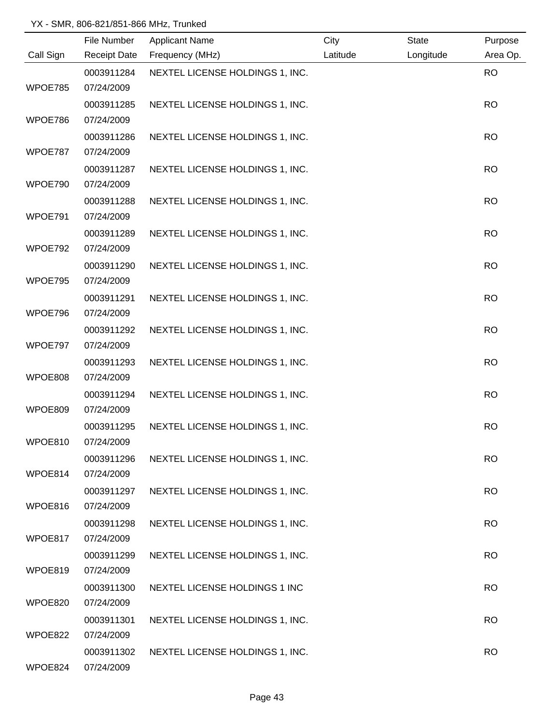|           | File Number              | <b>Applicant Name</b>           | City     | <b>State</b> | Purpose   |
|-----------|--------------------------|---------------------------------|----------|--------------|-----------|
| Call Sign | <b>Receipt Date</b>      | Frequency (MHz)                 | Latitude | Longitude    | Area Op.  |
|           | 0003911284               | NEXTEL LICENSE HOLDINGS 1, INC. |          |              | <b>RO</b> |
| WPOE785   | 07/24/2009               |                                 |          |              |           |
|           | 0003911285               | NEXTEL LICENSE HOLDINGS 1, INC. |          |              | <b>RO</b> |
| WPOE786   | 07/24/2009               |                                 |          |              |           |
|           | 0003911286               | NEXTEL LICENSE HOLDINGS 1, INC. |          |              | <b>RO</b> |
| WPOE787   | 07/24/2009               |                                 |          |              |           |
|           | 0003911287               | NEXTEL LICENSE HOLDINGS 1, INC. |          |              | <b>RO</b> |
| WPOE790   | 07/24/2009               |                                 |          |              |           |
|           | 0003911288               | NEXTEL LICENSE HOLDINGS 1, INC. |          |              | <b>RO</b> |
| WPOE791   | 07/24/2009               |                                 |          |              |           |
|           | 0003911289               | NEXTEL LICENSE HOLDINGS 1, INC. |          |              | <b>RO</b> |
| WPOE792   | 07/24/2009               |                                 |          |              |           |
|           | 0003911290               | NEXTEL LICENSE HOLDINGS 1, INC. |          |              | <b>RO</b> |
| WPOE795   | 07/24/2009               |                                 |          |              |           |
|           | 0003911291               | NEXTEL LICENSE HOLDINGS 1, INC. |          |              | <b>RO</b> |
| WPOE796   | 07/24/2009               |                                 |          |              |           |
|           | 0003911292               | NEXTEL LICENSE HOLDINGS 1, INC. |          |              | <b>RO</b> |
| WPOE797   | 07/24/2009               |                                 |          |              |           |
|           | 0003911293               | NEXTEL LICENSE HOLDINGS 1, INC. |          |              | <b>RO</b> |
| WPOE808   | 07/24/2009               |                                 |          |              |           |
|           | 0003911294               | NEXTEL LICENSE HOLDINGS 1, INC. |          |              | <b>RO</b> |
| WPOE809   | 07/24/2009               |                                 |          |              |           |
| WPOE810   | 0003911295<br>07/24/2009 | NEXTEL LICENSE HOLDINGS 1, INC. |          |              | <b>RO</b> |
|           |                          |                                 |          |              |           |
| WPOE814   | 0003911296<br>07/24/2009 | NEXTEL LICENSE HOLDINGS 1, INC. |          |              | <b>RO</b> |
|           | 0003911297               | NEXTEL LICENSE HOLDINGS 1, INC. |          |              | <b>RO</b> |
| WPOE816   | 07/24/2009               |                                 |          |              |           |
|           | 0003911298               | NEXTEL LICENSE HOLDINGS 1, INC. |          |              | <b>RO</b> |
| WPOE817   | 07/24/2009               |                                 |          |              |           |
|           | 0003911299               | NEXTEL LICENSE HOLDINGS 1, INC. |          |              | <b>RO</b> |
| WPOE819   | 07/24/2009               |                                 |          |              |           |
|           | 0003911300               | NEXTEL LICENSE HOLDINGS 1 INC   |          |              | <b>RO</b> |
| WPOE820   | 07/24/2009               |                                 |          |              |           |
|           | 0003911301               | NEXTEL LICENSE HOLDINGS 1, INC. |          |              | <b>RO</b> |
| WPOE822   | 07/24/2009               |                                 |          |              |           |
|           | 0003911302               | NEXTEL LICENSE HOLDINGS 1, INC. |          |              | <b>RO</b> |
| WPOE824   | 07/24/2009               |                                 |          |              |           |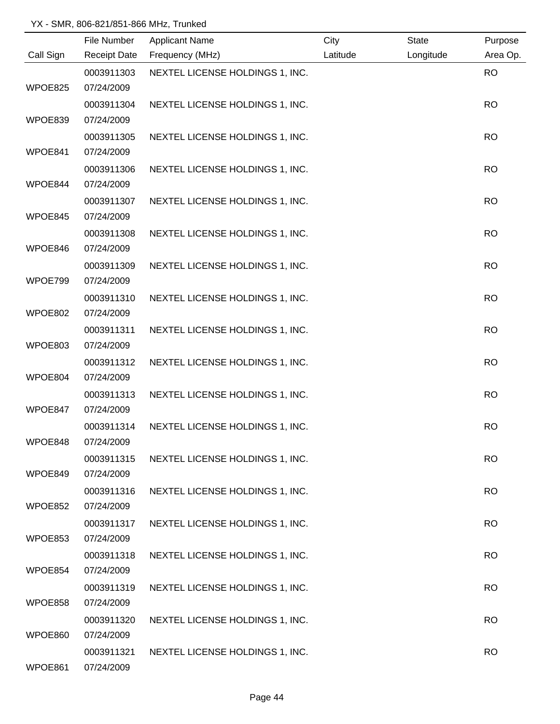|           | File Number         | <b>Applicant Name</b>           | City     | <b>State</b> | Purpose   |
|-----------|---------------------|---------------------------------|----------|--------------|-----------|
| Call Sign | <b>Receipt Date</b> | Frequency (MHz)                 | Latitude | Longitude    | Area Op.  |
|           | 0003911303          | NEXTEL LICENSE HOLDINGS 1, INC. |          |              | <b>RO</b> |
| WPOE825   | 07/24/2009          |                                 |          |              |           |
|           | 0003911304          | NEXTEL LICENSE HOLDINGS 1, INC. |          |              | <b>RO</b> |
| WPOE839   | 07/24/2009          |                                 |          |              |           |
|           | 0003911305          | NEXTEL LICENSE HOLDINGS 1, INC. |          |              | <b>RO</b> |
| WPOE841   | 07/24/2009          |                                 |          |              |           |
|           | 0003911306          | NEXTEL LICENSE HOLDINGS 1, INC. |          |              | <b>RO</b> |
| WPOE844   | 07/24/2009          |                                 |          |              |           |
|           | 0003911307          | NEXTEL LICENSE HOLDINGS 1, INC. |          |              | <b>RO</b> |
| WPOE845   | 07/24/2009          |                                 |          |              |           |
|           | 0003911308          | NEXTEL LICENSE HOLDINGS 1, INC. |          |              | <b>RO</b> |
| WPOE846   | 07/24/2009          |                                 |          |              |           |
|           | 0003911309          | NEXTEL LICENSE HOLDINGS 1, INC. |          |              | <b>RO</b> |
| WPOE799   | 07/24/2009          |                                 |          |              |           |
|           | 0003911310          | NEXTEL LICENSE HOLDINGS 1, INC. |          |              | <b>RO</b> |
| WPOE802   | 07/24/2009          |                                 |          |              |           |
|           | 0003911311          | NEXTEL LICENSE HOLDINGS 1, INC. |          |              | <b>RO</b> |
| WPOE803   | 07/24/2009          |                                 |          |              |           |
|           | 0003911312          | NEXTEL LICENSE HOLDINGS 1, INC. |          |              | <b>RO</b> |
| WPOE804   | 07/24/2009          |                                 |          |              |           |
|           | 0003911313          | NEXTEL LICENSE HOLDINGS 1, INC. |          |              | <b>RO</b> |
| WPOE847   | 07/24/2009          |                                 |          |              |           |
|           | 0003911314          | NEXTEL LICENSE HOLDINGS 1, INC. |          |              | <b>RO</b> |
| WPOE848   | 07/24/2009          |                                 |          |              |           |
|           | 0003911315          | NEXTEL LICENSE HOLDINGS 1, INC. |          |              | <b>RO</b> |
| WPOE849   | 07/24/2009          |                                 |          |              |           |
|           | 0003911316          | NEXTEL LICENSE HOLDINGS 1, INC. |          |              | <b>RO</b> |
| WPOE852   | 07/24/2009          |                                 |          |              |           |
|           | 0003911317          | NEXTEL LICENSE HOLDINGS 1, INC. |          |              | <b>RO</b> |
| WPOE853   | 07/24/2009          |                                 |          |              |           |
|           | 0003911318          | NEXTEL LICENSE HOLDINGS 1, INC. |          |              | <b>RO</b> |
| WPOE854   | 07/24/2009          |                                 |          |              |           |
|           | 0003911319          | NEXTEL LICENSE HOLDINGS 1, INC. |          |              | <b>RO</b> |
| WPOE858   | 07/24/2009          |                                 |          |              |           |
|           | 0003911320          | NEXTEL LICENSE HOLDINGS 1, INC. |          |              | <b>RO</b> |
| WPOE860   | 07/24/2009          |                                 |          |              |           |
|           | 0003911321          | NEXTEL LICENSE HOLDINGS 1, INC. |          |              | <b>RO</b> |
| WPOE861   | 07/24/2009          |                                 |          |              |           |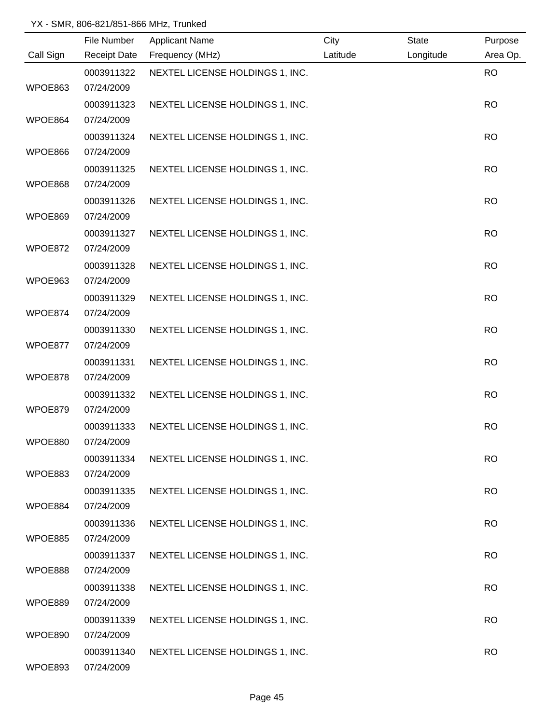|           | File Number         | <b>Applicant Name</b>           | City     | <b>State</b> | Purpose   |
|-----------|---------------------|---------------------------------|----------|--------------|-----------|
| Call Sign | <b>Receipt Date</b> | Frequency (MHz)                 | Latitude | Longitude    | Area Op.  |
|           | 0003911322          | NEXTEL LICENSE HOLDINGS 1, INC. |          |              | <b>RO</b> |
| WPOE863   | 07/24/2009          |                                 |          |              |           |
|           | 0003911323          | NEXTEL LICENSE HOLDINGS 1, INC. |          |              | <b>RO</b> |
| WPOE864   | 07/24/2009          |                                 |          |              |           |
|           | 0003911324          | NEXTEL LICENSE HOLDINGS 1, INC. |          |              | <b>RO</b> |
| WPOE866   | 07/24/2009          |                                 |          |              |           |
|           | 0003911325          | NEXTEL LICENSE HOLDINGS 1, INC. |          |              | <b>RO</b> |
| WPOE868   | 07/24/2009          |                                 |          |              |           |
|           | 0003911326          | NEXTEL LICENSE HOLDINGS 1, INC. |          |              | <b>RO</b> |
| WPOE869   | 07/24/2009          |                                 |          |              |           |
|           | 0003911327          | NEXTEL LICENSE HOLDINGS 1, INC. |          |              | <b>RO</b> |
| WPOE872   | 07/24/2009          |                                 |          |              |           |
|           | 0003911328          | NEXTEL LICENSE HOLDINGS 1, INC. |          |              | <b>RO</b> |
| WPOE963   | 07/24/2009          |                                 |          |              |           |
|           | 0003911329          | NEXTEL LICENSE HOLDINGS 1, INC. |          |              | <b>RO</b> |
| WPOE874   | 07/24/2009          |                                 |          |              |           |
|           | 0003911330          | NEXTEL LICENSE HOLDINGS 1, INC. |          |              | <b>RO</b> |
| WPOE877   | 07/24/2009          |                                 |          |              |           |
|           | 0003911331          | NEXTEL LICENSE HOLDINGS 1, INC. |          |              | <b>RO</b> |
| WPOE878   | 07/24/2009          |                                 |          |              |           |
|           | 0003911332          | NEXTEL LICENSE HOLDINGS 1, INC. |          |              | <b>RO</b> |
| WPOE879   | 07/24/2009          |                                 |          |              |           |
|           | 0003911333          | NEXTEL LICENSE HOLDINGS 1, INC. |          |              | <b>RO</b> |
| WPOE880   | 07/24/2009          |                                 |          |              |           |
|           | 0003911334          | NEXTEL LICENSE HOLDINGS 1, INC. |          |              | <b>RO</b> |
| WPOE883   | 07/24/2009          |                                 |          |              |           |
|           | 0003911335          | NEXTEL LICENSE HOLDINGS 1, INC. |          |              | <b>RO</b> |
| WPOE884   | 07/24/2009          |                                 |          |              |           |
|           | 0003911336          | NEXTEL LICENSE HOLDINGS 1, INC. |          |              | <b>RO</b> |
| WPOE885   | 07/24/2009          |                                 |          |              |           |
|           | 0003911337          | NEXTEL LICENSE HOLDINGS 1, INC. |          |              | <b>RO</b> |
| WPOE888   | 07/24/2009          |                                 |          |              |           |
|           | 0003911338          | NEXTEL LICENSE HOLDINGS 1, INC. |          |              | <b>RO</b> |
| WPOE889   | 07/24/2009          |                                 |          |              |           |
|           | 0003911339          | NEXTEL LICENSE HOLDINGS 1, INC. |          |              | <b>RO</b> |
| WPOE890   | 07/24/2009          |                                 |          |              |           |
|           | 0003911340          | NEXTEL LICENSE HOLDINGS 1, INC. |          |              | <b>RO</b> |
| WPOE893   | 07/24/2009          |                                 |          |              |           |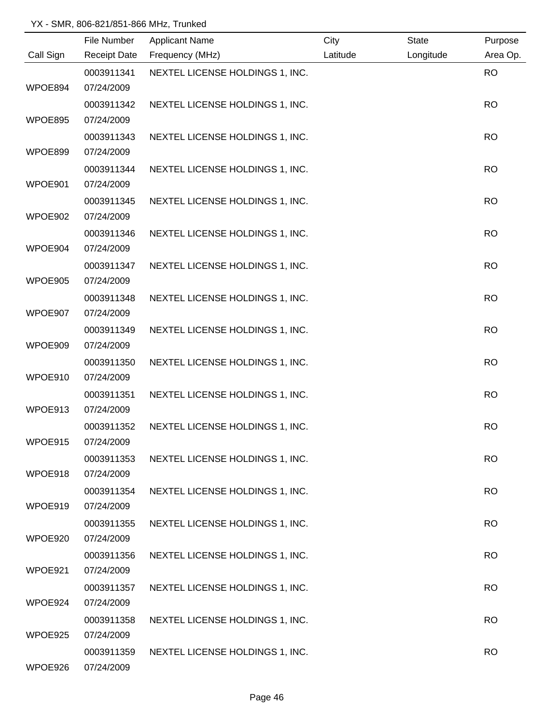|           | File Number         | <b>Applicant Name</b>           | City     | State     | Purpose   |
|-----------|---------------------|---------------------------------|----------|-----------|-----------|
| Call Sign | <b>Receipt Date</b> | Frequency (MHz)                 | Latitude | Longitude | Area Op.  |
|           | 0003911341          | NEXTEL LICENSE HOLDINGS 1, INC. |          |           | <b>RO</b> |
| WPOE894   | 07/24/2009          |                                 |          |           |           |
|           | 0003911342          | NEXTEL LICENSE HOLDINGS 1, INC. |          |           | <b>RO</b> |
| WPOE895   | 07/24/2009          |                                 |          |           |           |
|           | 0003911343          | NEXTEL LICENSE HOLDINGS 1, INC. |          |           | <b>RO</b> |
| WPOE899   | 07/24/2009          |                                 |          |           |           |
|           | 0003911344          | NEXTEL LICENSE HOLDINGS 1, INC. |          |           | <b>RO</b> |
| WPOE901   | 07/24/2009          |                                 |          |           |           |
|           | 0003911345          | NEXTEL LICENSE HOLDINGS 1, INC. |          |           | <b>RO</b> |
| WPOE902   | 07/24/2009          |                                 |          |           |           |
|           | 0003911346          | NEXTEL LICENSE HOLDINGS 1, INC. |          |           | <b>RO</b> |
| WPOE904   | 07/24/2009          |                                 |          |           |           |
|           | 0003911347          | NEXTEL LICENSE HOLDINGS 1, INC. |          |           | <b>RO</b> |
| WPOE905   | 07/24/2009          |                                 |          |           |           |
|           | 0003911348          | NEXTEL LICENSE HOLDINGS 1, INC. |          |           | <b>RO</b> |
| WPOE907   | 07/24/2009          |                                 |          |           |           |
|           | 0003911349          | NEXTEL LICENSE HOLDINGS 1, INC. |          |           | <b>RO</b> |
| WPOE909   | 07/24/2009          |                                 |          |           |           |
|           | 0003911350          | NEXTEL LICENSE HOLDINGS 1, INC. |          |           | <b>RO</b> |
| WPOE910   | 07/24/2009          |                                 |          |           |           |
|           | 0003911351          | NEXTEL LICENSE HOLDINGS 1, INC. |          |           | <b>RO</b> |
| WPOE913   | 07/24/2009          |                                 |          |           |           |
|           | 0003911352          | NEXTEL LICENSE HOLDINGS 1, INC. |          |           | <b>RO</b> |
| WPOE915   | 07/24/2009          |                                 |          |           |           |
|           | 0003911353          | NEXTEL LICENSE HOLDINGS 1, INC. |          |           | <b>RO</b> |
| WPOE918   | 07/24/2009          |                                 |          |           |           |
|           | 0003911354          | NEXTEL LICENSE HOLDINGS 1, INC. |          |           | <b>RO</b> |
| WPOE919   | 07/24/2009          |                                 |          |           |           |
|           | 0003911355          | NEXTEL LICENSE HOLDINGS 1, INC. |          |           | <b>RO</b> |
| WPOE920   | 07/24/2009          |                                 |          |           |           |
|           | 0003911356          | NEXTEL LICENSE HOLDINGS 1, INC. |          |           | <b>RO</b> |
| WPOE921   | 07/24/2009          |                                 |          |           |           |
|           | 0003911357          | NEXTEL LICENSE HOLDINGS 1, INC. |          |           | <b>RO</b> |
| WPOE924   | 07/24/2009          |                                 |          |           |           |
|           | 0003911358          | NEXTEL LICENSE HOLDINGS 1, INC. |          |           | <b>RO</b> |
| WPOE925   | 07/24/2009          |                                 |          |           |           |
|           | 0003911359          | NEXTEL LICENSE HOLDINGS 1, INC. |          |           | <b>RO</b> |
| WPOE926   | 07/24/2009          |                                 |          |           |           |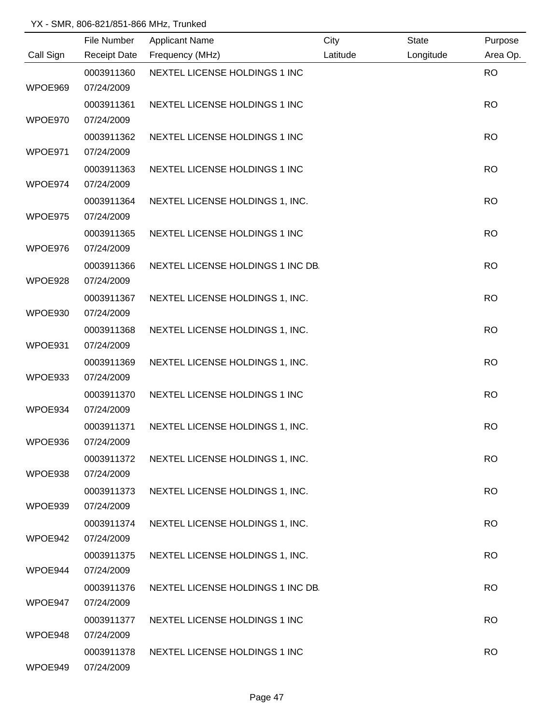|           | File Number | <b>Applicant Name</b>             | City     | <b>State</b> | Purpose   |
|-----------|-------------|-----------------------------------|----------|--------------|-----------|
| Call Sign |             | Receipt Date Frequency (MHz)      | Latitude | Longitude    | Area Op.  |
|           | 0003911360  | NEXTEL LICENSE HOLDINGS 1 INC     |          |              | <b>RO</b> |
| WPOE969   | 07/24/2009  |                                   |          |              |           |
|           | 0003911361  | NEXTEL LICENSE HOLDINGS 1 INC     |          |              | <b>RO</b> |
| WPOE970   | 07/24/2009  |                                   |          |              |           |
|           | 0003911362  | NEXTEL LICENSE HOLDINGS 1 INC     |          |              | <b>RO</b> |
| WPOE971   | 07/24/2009  |                                   |          |              |           |
|           | 0003911363  | NEXTEL LICENSE HOLDINGS 1 INC     |          |              | <b>RO</b> |
| WPOE974   | 07/24/2009  |                                   |          |              |           |
|           | 0003911364  | NEXTEL LICENSE HOLDINGS 1, INC.   |          |              | <b>RO</b> |
| WPOE975   | 07/24/2009  |                                   |          |              |           |
|           | 0003911365  | NEXTEL LICENSE HOLDINGS 1 INC     |          |              | <b>RO</b> |
| WPOE976   | 07/24/2009  |                                   |          |              |           |
|           | 0003911366  | NEXTEL LICENSE HOLDINGS 1 INC DB. |          |              | <b>RO</b> |
| WPOE928   | 07/24/2009  |                                   |          |              |           |
|           | 0003911367  | NEXTEL LICENSE HOLDINGS 1, INC.   |          |              | <b>RO</b> |
| WPOE930   | 07/24/2009  |                                   |          |              |           |
|           | 0003911368  | NEXTEL LICENSE HOLDINGS 1, INC.   |          |              | <b>RO</b> |
| WPOE931   | 07/24/2009  |                                   |          |              |           |
|           | 0003911369  | NEXTEL LICENSE HOLDINGS 1, INC.   |          |              | <b>RO</b> |
| WPOE933   | 07/24/2009  |                                   |          |              |           |
|           | 0003911370  | NEXTEL LICENSE HOLDINGS 1 INC     |          |              | <b>RO</b> |
| WPOE934   | 07/24/2009  |                                   |          |              |           |
|           | 0003911371  | NEXTEL LICENSE HOLDINGS 1, INC.   |          |              | <b>RO</b> |
| WPOE936   | 07/24/2009  |                                   |          |              |           |
|           | 0003911372  | NEXTEL LICENSE HOLDINGS 1, INC.   |          |              | <b>RO</b> |
| WPOE938   | 07/24/2009  |                                   |          |              |           |
|           | 0003911373  | NEXTEL LICENSE HOLDINGS 1, INC.   |          |              | <b>RO</b> |
| WPOE939   | 07/24/2009  |                                   |          |              |           |
|           | 0003911374  | NEXTEL LICENSE HOLDINGS 1, INC.   |          |              | <b>RO</b> |
| WPOE942   | 07/24/2009  |                                   |          |              |           |
|           | 0003911375  | NEXTEL LICENSE HOLDINGS 1, INC.   |          |              | <b>RO</b> |
| WPOE944   | 07/24/2009  |                                   |          |              |           |
|           | 0003911376  | NEXTEL LICENSE HOLDINGS 1 INC DB. |          |              | <b>RO</b> |
| WPOE947   | 07/24/2009  |                                   |          |              |           |
|           | 0003911377  | NEXTEL LICENSE HOLDINGS 1 INC     |          |              | <b>RO</b> |
| WPOE948   | 07/24/2009  |                                   |          |              |           |
|           | 0003911378  | NEXTEL LICENSE HOLDINGS 1 INC     |          |              | <b>RO</b> |
| WPOE949   | 07/24/2009  |                                   |          |              |           |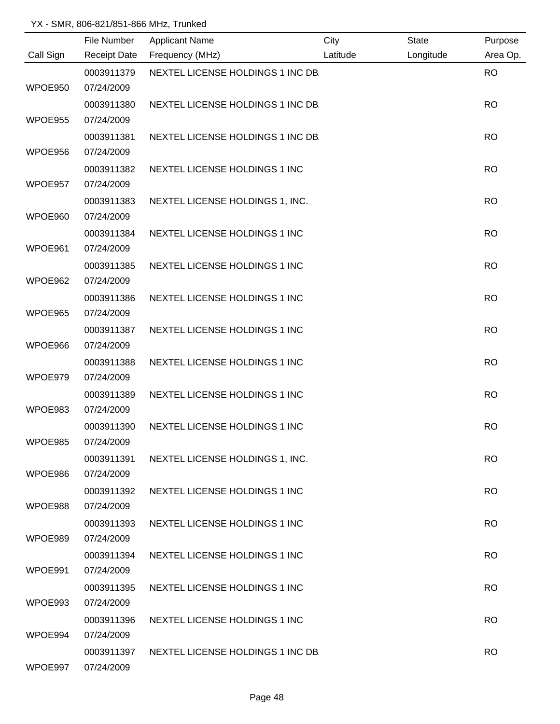|           | File Number              | <b>Applicant Name</b>             | City     | <b>State</b> | Purpose   |
|-----------|--------------------------|-----------------------------------|----------|--------------|-----------|
| Call Sign | <b>Receipt Date</b>      | Frequency (MHz)                   | Latitude | Longitude    | Area Op.  |
| WPOE950   | 0003911379<br>07/24/2009 | NEXTEL LICENSE HOLDINGS 1 INC DB. |          |              | <b>RO</b> |
|           | 0003911380               | NEXTEL LICENSE HOLDINGS 1 INC DB. |          |              | <b>RO</b> |
| WPOE955   | 07/24/2009               |                                   |          |              |           |
|           | 0003911381               | NEXTEL LICENSE HOLDINGS 1 INC DB. |          |              | <b>RO</b> |
| WPOE956   | 07/24/2009               |                                   |          |              |           |
|           | 0003911382               | NEXTEL LICENSE HOLDINGS 1 INC     |          |              | <b>RO</b> |
| WPOE957   | 07/24/2009               |                                   |          |              |           |
|           | 0003911383               | NEXTEL LICENSE HOLDINGS 1, INC.   |          |              | <b>RO</b> |
| WPOE960   | 07/24/2009               |                                   |          |              |           |
|           | 0003911384               | NEXTEL LICENSE HOLDINGS 1 INC     |          |              | <b>RO</b> |
| WPOE961   | 07/24/2009               |                                   |          |              |           |
|           | 0003911385               | NEXTEL LICENSE HOLDINGS 1 INC     |          |              | <b>RO</b> |
| WPOE962   | 07/24/2009               |                                   |          |              |           |
|           | 0003911386               | NEXTEL LICENSE HOLDINGS 1 INC     |          |              | <b>RO</b> |
| WPOE965   | 07/24/2009               |                                   |          |              |           |
| WPOE966   | 0003911387<br>07/24/2009 | NEXTEL LICENSE HOLDINGS 1 INC     |          |              | <b>RO</b> |
|           | 0003911388               | NEXTEL LICENSE HOLDINGS 1 INC     |          |              | <b>RO</b> |
| WPOE979   | 07/24/2009               |                                   |          |              |           |
|           | 0003911389               | NEXTEL LICENSE HOLDINGS 1 INC     |          |              | <b>RO</b> |
| WPOE983   | 07/24/2009               |                                   |          |              |           |
|           | 0003911390               | NEXTEL LICENSE HOLDINGS 1 INC     |          |              | <b>RO</b> |
| WPOE985   | 07/24/2009               |                                   |          |              |           |
|           | 0003911391               | NEXTEL LICENSE HOLDINGS 1, INC.   |          |              | <b>RO</b> |
| WPOE986   | 07/24/2009               |                                   |          |              |           |
|           | 0003911392               | NEXTEL LICENSE HOLDINGS 1 INC     |          |              | <b>RO</b> |
| WPOE988   | 07/24/2009               |                                   |          |              |           |
|           | 0003911393               | NEXTEL LICENSE HOLDINGS 1 INC     |          |              | <b>RO</b> |
| WPOE989   | 07/24/2009               |                                   |          |              |           |
|           | 0003911394               | NEXTEL LICENSE HOLDINGS 1 INC     |          |              | <b>RO</b> |
| WPOE991   | 07/24/2009               |                                   |          |              |           |
| WPOE993   | 0003911395<br>07/24/2009 | NEXTEL LICENSE HOLDINGS 1 INC     |          |              | <b>RO</b> |
|           | 0003911396               | NEXTEL LICENSE HOLDINGS 1 INC     |          |              | <b>RO</b> |
| WPOE994   | 07/24/2009               |                                   |          |              |           |
|           | 0003911397               | NEXTEL LICENSE HOLDINGS 1 INC DB. |          |              | <b>RO</b> |
| WPOE997   | 07/24/2009               |                                   |          |              |           |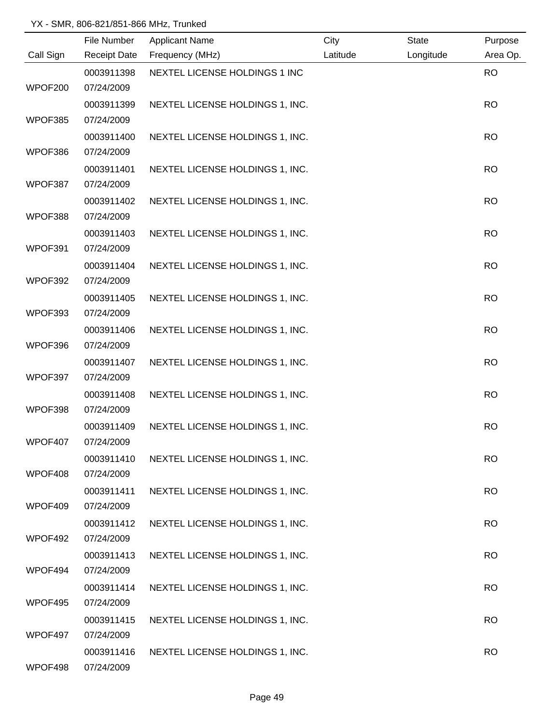|           | File Number              | <b>Applicant Name</b>           | City     | <b>State</b> | Purpose   |
|-----------|--------------------------|---------------------------------|----------|--------------|-----------|
| Call Sign | <b>Receipt Date</b>      | Frequency (MHz)                 | Latitude | Longitude    | Area Op.  |
|           | 0003911398               | NEXTEL LICENSE HOLDINGS 1 INC   |          |              | <b>RO</b> |
| WPOF200   | 07/24/2009               |                                 |          |              |           |
|           | 0003911399               | NEXTEL LICENSE HOLDINGS 1, INC. |          |              | <b>RO</b> |
| WPOF385   | 07/24/2009               |                                 |          |              |           |
|           | 0003911400               | NEXTEL LICENSE HOLDINGS 1, INC. |          |              | <b>RO</b> |
| WPOF386   | 07/24/2009               |                                 |          |              |           |
|           | 0003911401               | NEXTEL LICENSE HOLDINGS 1, INC. |          |              | <b>RO</b> |
| WPOF387   | 07/24/2009               |                                 |          |              |           |
|           | 0003911402               | NEXTEL LICENSE HOLDINGS 1, INC. |          |              | <b>RO</b> |
| WPOF388   | 07/24/2009               |                                 |          |              |           |
|           | 0003911403               | NEXTEL LICENSE HOLDINGS 1, INC. |          |              | <b>RO</b> |
| WPOF391   | 07/24/2009               |                                 |          |              |           |
|           | 0003911404               | NEXTEL LICENSE HOLDINGS 1, INC. |          |              | <b>RO</b> |
| WPOF392   | 07/24/2009               |                                 |          |              |           |
|           | 0003911405               | NEXTEL LICENSE HOLDINGS 1, INC. |          |              | <b>RO</b> |
| WPOF393   | 07/24/2009               |                                 |          |              |           |
|           | 0003911406               | NEXTEL LICENSE HOLDINGS 1, INC. |          |              | <b>RO</b> |
| WPOF396   | 07/24/2009               |                                 |          |              |           |
|           | 0003911407               | NEXTEL LICENSE HOLDINGS 1, INC. |          |              | <b>RO</b> |
| WPOF397   | 07/24/2009               |                                 |          |              |           |
|           | 0003911408               | NEXTEL LICENSE HOLDINGS 1, INC. |          |              | <b>RO</b> |
| WPOF398   | 07/24/2009               |                                 |          |              |           |
|           | 0003911409               | NEXTEL LICENSE HOLDINGS 1, INC. |          |              | <b>RO</b> |
| WPOF407   | 07/24/2009               |                                 |          |              |           |
|           | 0003911410               | NEXTEL LICENSE HOLDINGS 1, INC. |          |              | <b>RO</b> |
| WPOF408   | 07/24/2009               |                                 |          |              |           |
|           | 0003911411               | NEXTEL LICENSE HOLDINGS 1, INC. |          |              | <b>RO</b> |
| WPOF409   | 07/24/2009               |                                 |          |              |           |
|           | 0003911412               | NEXTEL LICENSE HOLDINGS 1, INC. |          |              | <b>RO</b> |
| WPOF492   | 07/24/2009               |                                 |          |              |           |
|           | 0003911413               | NEXTEL LICENSE HOLDINGS 1, INC. |          |              | <b>RO</b> |
| WPOF494   | 07/24/2009               |                                 |          |              |           |
|           | 0003911414               | NEXTEL LICENSE HOLDINGS 1, INC. |          |              | <b>RO</b> |
| WPOF495   | 07/24/2009               |                                 |          |              |           |
| WPOF497   | 0003911415<br>07/24/2009 | NEXTEL LICENSE HOLDINGS 1, INC. |          |              | <b>RO</b> |
|           |                          |                                 |          |              |           |
| WPOF498   | 0003911416<br>07/24/2009 | NEXTEL LICENSE HOLDINGS 1, INC. |          |              | <b>RO</b> |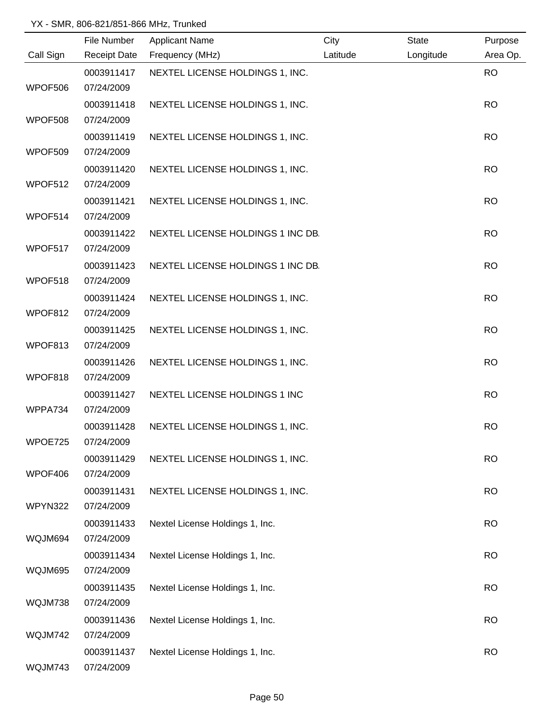|                | File Number         | <b>Applicant Name</b>             | City     | <b>State</b> | Purpose   |
|----------------|---------------------|-----------------------------------|----------|--------------|-----------|
| Call Sign      | <b>Receipt Date</b> | Frequency (MHz)                   | Latitude | Longitude    | Area Op.  |
|                | 0003911417          | NEXTEL LICENSE HOLDINGS 1, INC.   |          |              | <b>RO</b> |
| WPOF506        | 07/24/2009          |                                   |          |              |           |
|                | 0003911418          | NEXTEL LICENSE HOLDINGS 1, INC.   |          |              | <b>RO</b> |
| WPOF508        | 07/24/2009          |                                   |          |              |           |
|                | 0003911419          | NEXTEL LICENSE HOLDINGS 1, INC.   |          |              | <b>RO</b> |
| WPOF509        | 07/24/2009          |                                   |          |              |           |
|                | 0003911420          | NEXTEL LICENSE HOLDINGS 1, INC.   |          |              | <b>RO</b> |
| WPOF512        | 07/24/2009          |                                   |          |              |           |
|                | 0003911421          | NEXTEL LICENSE HOLDINGS 1, INC.   |          |              | <b>RO</b> |
| WPOF514        | 07/24/2009          |                                   |          |              |           |
|                | 0003911422          | NEXTEL LICENSE HOLDINGS 1 INC DB. |          |              | <b>RO</b> |
| WPOF517        | 07/24/2009          |                                   |          |              |           |
|                | 0003911423          | NEXTEL LICENSE HOLDINGS 1 INC DB. |          |              | <b>RO</b> |
| WPOF518        | 07/24/2009          |                                   |          |              |           |
|                | 0003911424          | NEXTEL LICENSE HOLDINGS 1, INC.   |          |              | <b>RO</b> |
| WPOF812        | 07/24/2009          |                                   |          |              |           |
|                | 0003911425          | NEXTEL LICENSE HOLDINGS 1, INC.   |          |              | <b>RO</b> |
| WPOF813        | 07/24/2009          |                                   |          |              |           |
|                | 0003911426          | NEXTEL LICENSE HOLDINGS 1, INC.   |          |              | <b>RO</b> |
| WPOF818        | 07/24/2009          |                                   |          |              |           |
|                | 0003911427          | NEXTEL LICENSE HOLDINGS 1 INC     |          |              | <b>RO</b> |
| WPPA734        | 07/24/2009          |                                   |          |              |           |
|                | 0003911428          | NEXTEL LICENSE HOLDINGS 1, INC.   |          |              | <b>RO</b> |
| WPOE725        | 07/24/2009          |                                   |          |              |           |
|                | 0003911429          | NEXTEL LICENSE HOLDINGS 1, INC.   |          |              | <b>RO</b> |
| WPOF406        | 07/24/2009          |                                   |          |              |           |
|                | 0003911431          | NEXTEL LICENSE HOLDINGS 1, INC.   |          |              | <b>RO</b> |
| <b>WPYN322</b> | 07/24/2009          |                                   |          |              |           |
|                | 0003911433          | Nextel License Holdings 1, Inc.   |          |              | <b>RO</b> |
| WQJM694        | 07/24/2009          |                                   |          |              |           |
|                | 0003911434          | Nextel License Holdings 1, Inc.   |          |              | <b>RO</b> |
| WQJM695        | 07/24/2009          |                                   |          |              |           |
|                | 0003911435          | Nextel License Holdings 1, Inc.   |          |              | <b>RO</b> |
| WQJM738        | 07/24/2009          |                                   |          |              |           |
|                | 0003911436          | Nextel License Holdings 1, Inc.   |          |              | <b>RO</b> |
| WQJM742        | 07/24/2009          |                                   |          |              |           |
|                | 0003911437          | Nextel License Holdings 1, Inc.   |          |              | <b>RO</b> |
| WQJM743        | 07/24/2009          |                                   |          |              |           |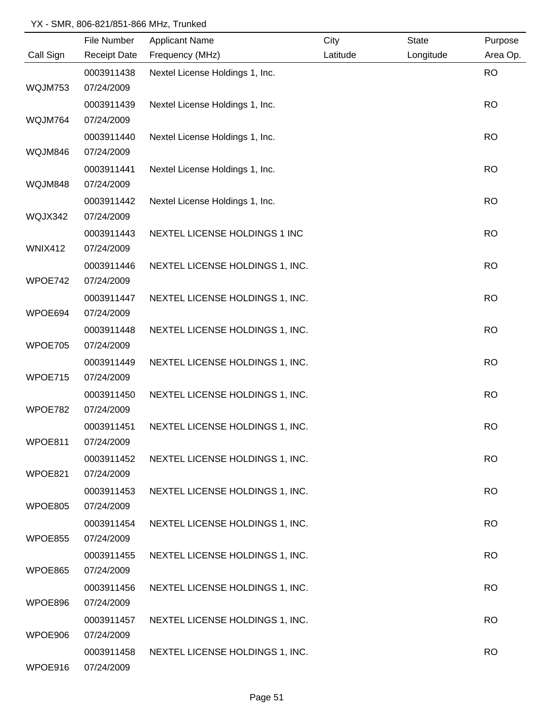|                | File Number         | <b>Applicant Name</b>           | City     | <b>State</b> | Purpose   |
|----------------|---------------------|---------------------------------|----------|--------------|-----------|
| Call Sign      | <b>Receipt Date</b> | Frequency (MHz)                 | Latitude | Longitude    | Area Op.  |
|                | 0003911438          | Nextel License Holdings 1, Inc. |          |              | <b>RO</b> |
| WQJM753        | 07/24/2009          |                                 |          |              |           |
|                | 0003911439          | Nextel License Holdings 1, Inc. |          |              | <b>RO</b> |
| WQJM764        | 07/24/2009          |                                 |          |              |           |
|                | 0003911440          | Nextel License Holdings 1, Inc. |          |              | <b>RO</b> |
| WQJM846        | 07/24/2009          |                                 |          |              |           |
|                | 0003911441          | Nextel License Holdings 1, Inc. |          |              | <b>RO</b> |
| WQJM848        | 07/24/2009          |                                 |          |              |           |
|                | 0003911442          | Nextel License Holdings 1, Inc. |          |              | <b>RO</b> |
| WQJX342        | 07/24/2009          |                                 |          |              |           |
|                | 0003911443          | NEXTEL LICENSE HOLDINGS 1 INC   |          |              | <b>RO</b> |
| <b>WNIX412</b> | 07/24/2009          |                                 |          |              |           |
|                | 0003911446          | NEXTEL LICENSE HOLDINGS 1, INC. |          |              | <b>RO</b> |
| WPOE742        | 07/24/2009          |                                 |          |              |           |
|                | 0003911447          | NEXTEL LICENSE HOLDINGS 1, INC. |          |              | <b>RO</b> |
| WPOE694        | 07/24/2009          |                                 |          |              |           |
|                | 0003911448          | NEXTEL LICENSE HOLDINGS 1, INC. |          |              | <b>RO</b> |
| WPOE705        | 07/24/2009          |                                 |          |              |           |
|                | 0003911449          | NEXTEL LICENSE HOLDINGS 1, INC. |          |              | <b>RO</b> |
| WPOE715        | 07/24/2009          |                                 |          |              |           |
|                | 0003911450          | NEXTEL LICENSE HOLDINGS 1, INC. |          |              | <b>RO</b> |
| WPOE782        | 07/24/2009          |                                 |          |              |           |
|                | 0003911451          | NEXTEL LICENSE HOLDINGS 1, INC. |          |              | <b>RO</b> |
| WPOE811        | 07/24/2009          |                                 |          |              |           |
|                | 0003911452          | NEXTEL LICENSE HOLDINGS 1, INC. |          |              | <b>RO</b> |
| WPOE821        | 07/24/2009          |                                 |          |              |           |
|                | 0003911453          | NEXTEL LICENSE HOLDINGS 1, INC. |          |              | <b>RO</b> |
| WPOE805        | 07/24/2009          |                                 |          |              |           |
|                | 0003911454          | NEXTEL LICENSE HOLDINGS 1, INC. |          |              | <b>RO</b> |
| WPOE855        | 07/24/2009          |                                 |          |              |           |
|                | 0003911455          | NEXTEL LICENSE HOLDINGS 1, INC. |          |              | <b>RO</b> |
| WPOE865        | 07/24/2009          |                                 |          |              |           |
|                | 0003911456          | NEXTEL LICENSE HOLDINGS 1, INC. |          |              | <b>RO</b> |
| WPOE896        | 07/24/2009          |                                 |          |              |           |
|                | 0003911457          | NEXTEL LICENSE HOLDINGS 1, INC. |          |              | <b>RO</b> |
| WPOE906        | 07/24/2009          |                                 |          |              |           |
|                | 0003911458          | NEXTEL LICENSE HOLDINGS 1, INC. |          |              | <b>RO</b> |
| WPOE916        | 07/24/2009          |                                 |          |              |           |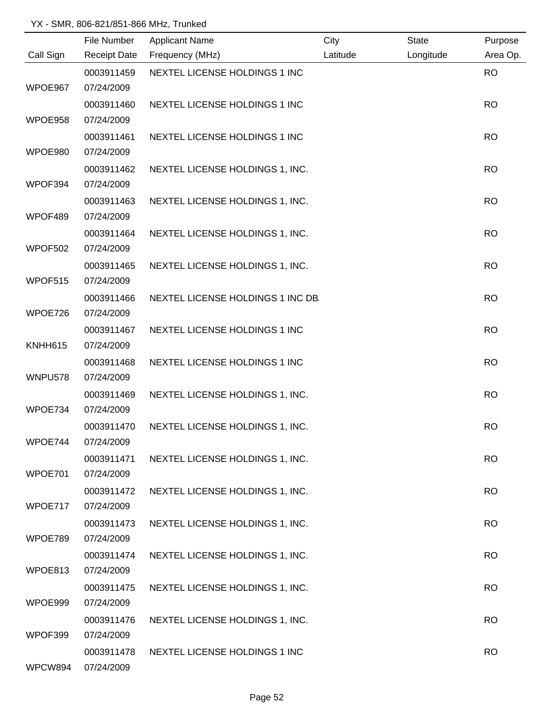|           | File Number         | <b>Applicant Name</b>             | City     | <b>State</b> | Purpose   |
|-----------|---------------------|-----------------------------------|----------|--------------|-----------|
| Call Sign | <b>Receipt Date</b> | Frequency (MHz)                   | Latitude | Longitude    | Area Op.  |
|           | 0003911459          | NEXTEL LICENSE HOLDINGS 1 INC     |          |              | <b>RO</b> |
| WPOE967   | 07/24/2009          |                                   |          |              |           |
|           | 0003911460          | NEXTEL LICENSE HOLDINGS 1 INC     |          |              | <b>RO</b> |
| WPOE958   | 07/24/2009          |                                   |          |              |           |
|           | 0003911461          | NEXTEL LICENSE HOLDINGS 1 INC     |          |              | <b>RO</b> |
| WPOE980   | 07/24/2009          |                                   |          |              |           |
|           | 0003911462          | NEXTEL LICENSE HOLDINGS 1, INC.   |          |              | <b>RO</b> |
| WPOF394   | 07/24/2009          |                                   |          |              |           |
|           | 0003911463          | NEXTEL LICENSE HOLDINGS 1, INC.   |          |              | <b>RO</b> |
| WPOF489   | 07/24/2009          |                                   |          |              |           |
|           | 0003911464          | NEXTEL LICENSE HOLDINGS 1, INC.   |          |              | <b>RO</b> |
| WPOF502   | 07/24/2009          |                                   |          |              |           |
|           | 0003911465          | NEXTEL LICENSE HOLDINGS 1, INC.   |          |              | <b>RO</b> |
| WPOF515   | 07/24/2009          |                                   |          |              |           |
|           | 0003911466          | NEXTEL LICENSE HOLDINGS 1 INC DB. |          |              | <b>RO</b> |
| WPOE726   | 07/24/2009          |                                   |          |              |           |
|           | 0003911467          | NEXTEL LICENSE HOLDINGS 1 INC     |          |              | <b>RO</b> |
| KNHH615   | 07/24/2009          |                                   |          |              |           |
|           | 0003911468          | NEXTEL LICENSE HOLDINGS 1 INC     |          |              | <b>RO</b> |
| WNPU578   | 07/24/2009          |                                   |          |              |           |
|           | 0003911469          | NEXTEL LICENSE HOLDINGS 1, INC.   |          |              | <b>RO</b> |
| WPOE734   | 07/24/2009          |                                   |          |              |           |
|           | 0003911470          | NEXTEL LICENSE HOLDINGS 1, INC.   |          |              | <b>RO</b> |
| WPOE744   | 07/24/2009          |                                   |          |              |           |
|           | 0003911471          | NEXTEL LICENSE HOLDINGS 1, INC.   |          |              | <b>RO</b> |
| WPOE701   | 07/24/2009          |                                   |          |              |           |
|           | 0003911472          | NEXTEL LICENSE HOLDINGS 1, INC.   |          |              | <b>RO</b> |
| WPOE717   | 07/24/2009          |                                   |          |              |           |
|           | 0003911473          | NEXTEL LICENSE HOLDINGS 1, INC.   |          |              | <b>RO</b> |
| WPOE789   | 07/24/2009          |                                   |          |              |           |
|           | 0003911474          | NEXTEL LICENSE HOLDINGS 1, INC.   |          |              | <b>RO</b> |
| WPOE813   | 07/24/2009          |                                   |          |              |           |
|           | 0003911475          | NEXTEL LICENSE HOLDINGS 1, INC.   |          |              | <b>RO</b> |
| WPOE999   | 07/24/2009          |                                   |          |              |           |
|           | 0003911476          | NEXTEL LICENSE HOLDINGS 1, INC.   |          |              | <b>RO</b> |
| WPOF399   | 07/24/2009          |                                   |          |              |           |
|           | 0003911478          | NEXTEL LICENSE HOLDINGS 1 INC     |          |              | <b>RO</b> |
| WPCW894   | 07/24/2009          |                                   |          |              |           |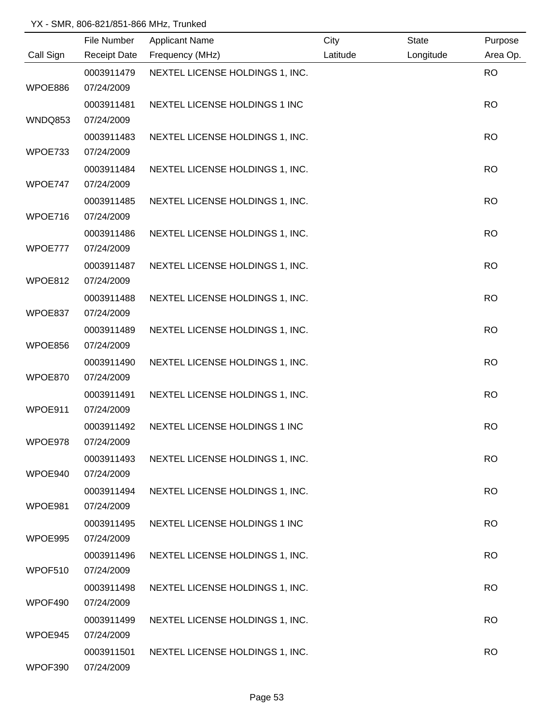|           | File Number              | <b>Applicant Name</b>           | City     | <b>State</b> | Purpose   |
|-----------|--------------------------|---------------------------------|----------|--------------|-----------|
| Call Sign | <b>Receipt Date</b>      | Frequency (MHz)                 | Latitude | Longitude    | Area Op.  |
|           | 0003911479               | NEXTEL LICENSE HOLDINGS 1, INC. |          |              | <b>RO</b> |
| WPOE886   | 07/24/2009               |                                 |          |              |           |
|           | 0003911481               | NEXTEL LICENSE HOLDINGS 1 INC   |          |              | <b>RO</b> |
| WNDQ853   | 07/24/2009               |                                 |          |              |           |
|           | 0003911483               | NEXTEL LICENSE HOLDINGS 1, INC. |          |              | <b>RO</b> |
| WPOE733   | 07/24/2009               |                                 |          |              |           |
|           | 0003911484               | NEXTEL LICENSE HOLDINGS 1, INC. |          |              | <b>RO</b> |
| WPOE747   | 07/24/2009               |                                 |          |              |           |
|           | 0003911485               | NEXTEL LICENSE HOLDINGS 1, INC. |          |              | <b>RO</b> |
| WPOE716   | 07/24/2009               |                                 |          |              |           |
|           | 0003911486               | NEXTEL LICENSE HOLDINGS 1, INC. |          |              | <b>RO</b> |
| WPOE777   | 07/24/2009               |                                 |          |              |           |
|           | 0003911487               | NEXTEL LICENSE HOLDINGS 1, INC. |          |              | <b>RO</b> |
| WPOE812   | 07/24/2009               |                                 |          |              |           |
|           | 0003911488               | NEXTEL LICENSE HOLDINGS 1, INC. |          |              | <b>RO</b> |
| WPOE837   | 07/24/2009               |                                 |          |              |           |
|           | 0003911489               | NEXTEL LICENSE HOLDINGS 1, INC. |          |              | <b>RO</b> |
| WPOE856   | 07/24/2009               |                                 |          |              |           |
|           | 0003911490               | NEXTEL LICENSE HOLDINGS 1, INC. |          |              | <b>RO</b> |
| WPOE870   | 07/24/2009               |                                 |          |              |           |
|           | 0003911491               | NEXTEL LICENSE HOLDINGS 1, INC. |          |              | <b>RO</b> |
| WPOE911   | 07/24/2009               |                                 |          |              |           |
|           | 0003911492               | NEXTEL LICENSE HOLDINGS 1 INC   |          |              | <b>RO</b> |
| WPOE978   | 07/24/2009               |                                 |          |              |           |
|           | 0003911493               | NEXTEL LICENSE HOLDINGS 1, INC. |          |              | <b>RO</b> |
| WPOE940   | 07/24/2009               |                                 |          |              |           |
|           | 0003911494               | NEXTEL LICENSE HOLDINGS 1, INC. |          |              | <b>RO</b> |
| WPOE981   | 07/24/2009               |                                 |          |              |           |
|           | 0003911495               | NEXTEL LICENSE HOLDINGS 1 INC   |          |              | <b>RO</b> |
| WPOE995   | 07/24/2009               |                                 |          |              |           |
|           | 0003911496               | NEXTEL LICENSE HOLDINGS 1, INC. |          |              | <b>RO</b> |
| WPOF510   | 07/24/2009               |                                 |          |              |           |
| WPOF490   | 0003911498<br>07/24/2009 | NEXTEL LICENSE HOLDINGS 1, INC. |          |              | <b>RO</b> |
|           |                          |                                 |          |              |           |
| WPOE945   | 0003911499<br>07/24/2009 | NEXTEL LICENSE HOLDINGS 1, INC. |          |              | <b>RO</b> |
|           | 0003911501               | NEXTEL LICENSE HOLDINGS 1, INC. |          |              | <b>RO</b> |
| WPOF390   | 07/24/2009               |                                 |          |              |           |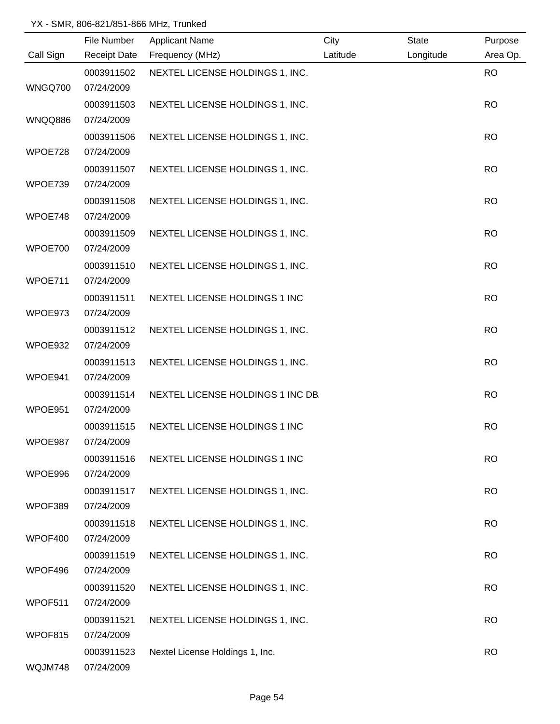|                | File Number         | <b>Applicant Name</b>             | City     | <b>State</b> | Purpose   |
|----------------|---------------------|-----------------------------------|----------|--------------|-----------|
| Call Sign      | <b>Receipt Date</b> | Frequency (MHz)                   | Latitude | Longitude    | Area Op.  |
|                | 0003911502          | NEXTEL LICENSE HOLDINGS 1, INC.   |          |              | <b>RO</b> |
| WNGQ700        | 07/24/2009          |                                   |          |              |           |
|                | 0003911503          | NEXTEL LICENSE HOLDINGS 1, INC.   |          |              | <b>RO</b> |
| <b>WNQQ886</b> | 07/24/2009          |                                   |          |              |           |
|                | 0003911506          | NEXTEL LICENSE HOLDINGS 1, INC.   |          |              | <b>RO</b> |
| WPOE728        | 07/24/2009          |                                   |          |              |           |
|                | 0003911507          | NEXTEL LICENSE HOLDINGS 1, INC.   |          |              | <b>RO</b> |
| WPOE739        | 07/24/2009          |                                   |          |              |           |
|                | 0003911508          | NEXTEL LICENSE HOLDINGS 1, INC.   |          |              | <b>RO</b> |
| WPOE748        | 07/24/2009          |                                   |          |              |           |
|                | 0003911509          | NEXTEL LICENSE HOLDINGS 1, INC.   |          |              | <b>RO</b> |
| WPOE700        | 07/24/2009          |                                   |          |              |           |
|                | 0003911510          | NEXTEL LICENSE HOLDINGS 1, INC.   |          |              | <b>RO</b> |
| WPOE711        | 07/24/2009          |                                   |          |              |           |
|                | 0003911511          | NEXTEL LICENSE HOLDINGS 1 INC     |          |              | <b>RO</b> |
| WPOE973        | 07/24/2009          |                                   |          |              |           |
|                | 0003911512          | NEXTEL LICENSE HOLDINGS 1, INC.   |          |              | <b>RO</b> |
| WPOE932        | 07/24/2009          |                                   |          |              |           |
|                | 0003911513          | NEXTEL LICENSE HOLDINGS 1, INC.   |          |              | <b>RO</b> |
| WPOE941        | 07/24/2009          |                                   |          |              |           |
|                | 0003911514          | NEXTEL LICENSE HOLDINGS 1 INC DB. |          |              | <b>RO</b> |
| WPOE951        | 07/24/2009          |                                   |          |              |           |
|                | 0003911515          | NEXTEL LICENSE HOLDINGS 1 INC     |          |              | <b>RO</b> |
| WPOE987        | 07/24/2009          |                                   |          |              |           |
|                | 0003911516          | NEXTEL LICENSE HOLDINGS 1 INC     |          |              | <b>RO</b> |
| WPOE996        | 07/24/2009          |                                   |          |              |           |
|                | 0003911517          | NEXTEL LICENSE HOLDINGS 1, INC.   |          |              | <b>RO</b> |
| WPOF389        | 07/24/2009          |                                   |          |              |           |
|                | 0003911518          | NEXTEL LICENSE HOLDINGS 1, INC.   |          |              | <b>RO</b> |
| WPOF400        | 07/24/2009          |                                   |          |              |           |
|                | 0003911519          | NEXTEL LICENSE HOLDINGS 1, INC.   |          |              | <b>RO</b> |
| WPOF496        | 07/24/2009          |                                   |          |              |           |
|                | 0003911520          | NEXTEL LICENSE HOLDINGS 1, INC.   |          |              | <b>RO</b> |
| WPOF511        | 07/24/2009          |                                   |          |              |           |
|                | 0003911521          | NEXTEL LICENSE HOLDINGS 1, INC.   |          |              | <b>RO</b> |
| WPOF815        | 07/24/2009          |                                   |          |              |           |
|                | 0003911523          | Nextel License Holdings 1, Inc.   |          |              | <b>RO</b> |
| WQJM748        | 07/24/2009          |                                   |          |              |           |